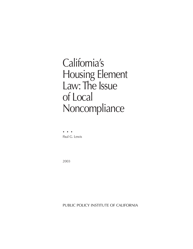# California's Housing Element Law: The Issue of Local Noncompliance

••• Paul G. Lewis

2003

PUBLIC POLICY INSTITUTE OF CALIFORNIA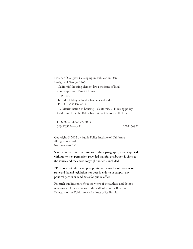Library of Congress Cataloging-in-Publication Data Lewis, Paul George, 1966- California's housing element law : the issue of local noncompliance / Paul G. Lewis. p. cm. Includes bibliographical references and index. ISBN: 1-58213-069-8 1. Discrimination in housing—California. 2. Housing policy— California. I. Public Policy Institute of California. II. Title.

HD7288.76.U52C25 2003 363.5'09794—dc21 2002154992

Copyright © 2003 by Public Policy Institute of California All rights reserved San Francisco, CA

Short sections of text, not to exceed three paragraphs, may be quoted without written permission provided that full attribution is given to the source and the above copyright notice is included.

PPIC does not take or support positions on any ballot measure or state and federal legislation nor does it endorse or support any political parties or candidates for public office.

Research publications reflect the views of the authors and do not necessarily reflect the views of the staff, officers, or Board of Directors of the Public Policy Institute of California.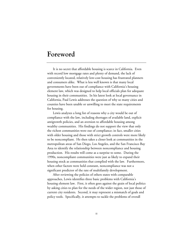### **Foreword**

It is no secret that affordable housing is scarce in California. Even with record low mortgage rates and plenty of demand, the lack of conveniently located, relatively low-cost housing has frustrated planners and consumers alike. What is less well known is that many local governments have been out of compliance with California's housing element law, which was designed to help local officials plan for adequate housing in their communities. In his latest look at local governance in California, Paul Lewis addresses the question of why so many cities and counties have been unable or unwilling to meet the state requirements for housing.

Lewis analyzes a long list of reasons why a city would be out of compliance with the law, including shortages of available land, explicit antigrowth policies, and an aversion to affordable housing among wealthy communities. His findings do not support the view that only the richest communities were out of compliance; in fact, smaller cities with older housing and those with strict growth controls were more likely to be noncompliant. He then takes a closer look at communities in the metropolitan areas of San Diego, Los Angeles, and the San Francisco Bay Area to identify the relationship between noncompliance and housing production. His results will come as a surprise to some. During the 1990s, noncompliant communities were just as likely to expand their housing stock as communities that complied with the law. Furthermore, when other factors were held constant, noncompliance was not a significant predictor of the rate of multifamily development.

After reviewing the policies of others states with comparable approaches, Lewis identifies three basic problems with California's housing element law. First, it often goes against the grain of local politics by asking cities to plan for the needs of the wider region, not just those of current city residents. Second, it may represent a mismatch of goals and policy tools. Specifically, it attempts to tackle the problems of overall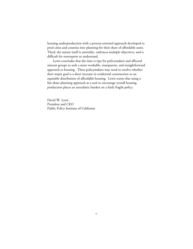housing underproduction with a process-oriented approach developed to prod cities and counties into planning for their share of affordable units. Third, the statute itself is unwieldy, embraces multiple objectives, and is difficult for nonexperts to understand.

Lewis concludes that the time is ripe for policymakers and affected interest groups to seek a more workable, transparent, and straightforward approach to housing. These policymakers may need to resolve whether their major goal is a sheer increase in residential construction or an equitable distribution of affordable housing. Lewis warns that using a fair-share planning approach as a tool to encourage overall housing production places an unrealistic burden on a fairly fragile policy.

David W. Lyon President and CEO Public Policy Institute of California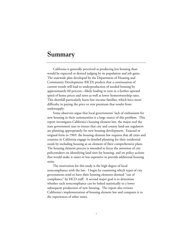### **Summary**

California is generally perceived as producing less housing than would be expected or desired judging by its population and job gains. The statewide plan developed by the Department of Housing and Community Development (HCD) predicts that a continuation of current trends will lead to underproduction of needed housing by approximately 60 percent—likely leading in turn to a further upward spiral of home prices and rents as well as lower homeownership rates. This shortfall particularly hurts low-income families, which have more difficulty in paying the price or rent premium that results from undersupply.

Some observers argue that local governments' lack of enthusiasm for new housing in their communities is a large source of this problem. This report investigates California's housing element law, the major tool the state government uses to ensure that city and county land-use regulators are planning appropriately for new housing development. Enacted in original form in 1969, the housing element law requires that all cities and counties in California engage in detailed planning for their residential needs by including housing as an element of their comprehensive plans. The housing element process is intended to focus the attention of city policymakers on identifying land sites for housing, and on policy actions that would make it easier or less expensive to provide additional housing units.

The motivation for this study is the high degree of local noncompliance with the law. I begin by examining which types of city governments tend to have their housing elements deemed "out of compliance" by HCD staff. A second major goal is to determine whether such noncompliance can be linked statistically to a lower subsequent production of new housing. The report also reviews California's implementation of housing element law and compares it to the experiences of other states.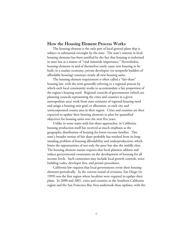#### **How the Housing Element Process Works**

The housing element is the only part of local general plans that is subject to substantial oversight by the state. The state's interest in local housing elements has been justified by the fact that housing is enshrined in state law as a matter of "vital statewide importance." Nevertheless, housing elements in and of themselves rarely cause new housing to be built; in a market economy, private developers (or nonprofit builders of affordable housing) construct nearly all new housing units.

The housing element requirement is often called a "fair-share" housing law, with the term generally referring to a regional process by which each local community works to accommodate a fair proportion of the region's housing need. Regional councils of governments (which are planning councils representing the cities and counties in a given metropolitan area) work from state estimates of regional housing need and assign a housing unit goal, or allocation, to each city and unincorporated county area in their region. Cities and counties are then expected to update their housing elements to plan for quantified objectives for housing units over the next five years.

Unlike in some states with fair-share approaches, in California housing production itself has received as much emphasis as the geographic distribution of housing for lower-income families. This state's broader notion of fair share probably has resulted from its longstanding problem of housing affordability and underproduction, which limits the opportunities of not only the poor but also the middle class. The housing element statute requires that local planners address and reduce governmental constraints on the development of housing for all income levels. Such constraints may include local growth controls, strict building codes, developer fees, and permit procedures.

California law requires that local governments revise their housing elements periodically. In the current round of revisions, San Diego (in 1999) was the first region where localities were required to update their plans. In 2000 and 2001, cities and counties in the Southern California region and the San Francisco Bay Area undertook these updates, with the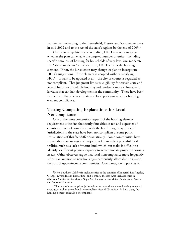requirement extending to the Bakersfield, Fresno, and Sacramento areas in mid-2002 and to the rest of the state's regions by the end of 2003.<sup>1</sup>

Once a local update has been drafted, HCD reviews it to gauge whether the plan can enable the targeted number of units—including specific amounts of housing for households of very low, low, moderate, and "above moderate" incomes. If so, HCD certifies the housing element. If not, the jurisdiction may change its plan to incorporate HCD's suggestions. If the element is adopted without satisfying HCD—or fails to be updated at all—the city or county is regarded as noncompliant. That judgment limits its eligibility for certain state and federal funds for affordable housing and renders it more vulnerable to lawsuits that can halt development in the community. There have been frequent conflicts between state and local policymakers over housing element compliance.

#### **Testing Competing Explanations for Local Noncompliance**

One of the most contentious aspects of the housing element requirement is the fact that nearly four cities in ten and a quarter of counties are out of compliance with the law.2 Large majorities of jurisdictions in the state have been noncompliant at some point. Explanations of this fact differ dramatically. Some communities have argued that state or regional projections fail to reflect powerful local realities, such as a lack of vacant land, which can make it difficult to identify a sufficient physical capacity to accommodate projected housing needs. Other observers argue that local noncompliance more frequently reflects an aversion to new housing—particularly affordable units—on the part of upper-income communities. Overt antigrowth policies or

\_\_\_\_\_\_\_\_\_\_\_\_

<sup>&</sup>lt;sup>1</sup>Here, Southern California includes cities in the counties of Imperial, Los Angeles, Orange, Riverside, San Bernardino, and Ventura; the Bay Area includes cities in Alameda, Contra Costa, Marin, Napa, San Francisco, San Mateo, Santa Clara, Solano, and Sonoma Counties.

 $2$ This tally of noncompliant jurisdictions includes those whose housing element is overdue, as well as those found noncompliant after HCD review. In both cases, the housing element is legally noncompliant.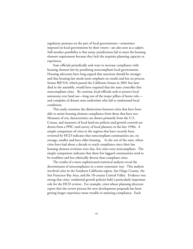regulatory postures on the part of local governments—sometimes imposed on local governments by their voters—are also seen as a culprit. Still another possibility is that many jurisdictions fail to meet the housing element requirement because they lack the requisite planning capacity or experience.

State officials periodically seek ways to increase compliance with housing element law by penalizing noncompliant local governments. Housing advocates have long argued that sanctions should be stronger and that housing law needs more emphasis on results and less on process. Senate Bill 910, which passed the California Senate in 2001 but later died in the assembly, would have required that the state controller fine noncompliant cities. By contrast, local officials seek to protect local autonomy over land use—long one of the major pillars of home rule and complain of distant state authorities who fail to understand local conditions.

This study examines the distinctions between cities that have been able to attain housing element compliance from those that have not. Measures of city characteristics are drawn primarily from the U.S. Census, and measures of local land-use policies and growth controls are drawn from a PPIC mail survey of local planners in the late 1990s. A simple comparison of cities in the regions that have recently been reviewed by HCD indicates that noncompliant communities are, on average, smaller and have older housing. In the rest of the state, where cities have had about a decade to reach compliance since their last housing element revisions were due, few cities were noncompliant. The simple comparison indicates that these few laggard communities tend to be wealthier and less ethnically diverse than compliant cities.

The results of a more sophisticated statistical analysis reveal the determinants of noncompliance in a more systematic way. This analysis involved cities in the Southern California region, San Diego County, the San Francisco Bay Area, and the 18-county Central Valley. Evidence was strong that cities' residential growth policies held a particularly important role for the HCD reviews. For example, cities whose planning directors report that the review process for new development proposals has been getting longer experience more trouble in attaining compliance. Each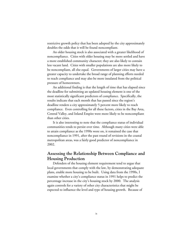restrictive growth policy that has been adopted by the city approximately doubles the odds that it will be found noncompliant.

An older housing stock is also associated with a greater likelihood of noncompliance. Cities with older housing may be more settled and have a more established community character; they are also likely to contain less vacant land. Cities with smaller populations are also more likely to be noncompliant, all else equal. Governments of larger cities may have a greater capacity to undertake the broad range of planning efforts needed to reach compliance and may also be more insulated from the political pressure of homeowners.

An additional finding is that the length of time that has elapsed since the deadline for submitting an updated housing element is one of the most statistically significant predictors of compliance. Specifically, the results indicate that each month that has passed since the region's deadline renders a city approximately 5 percent more likely to reach compliance. Even controlling for all these factors, cities in the Bay Area, Central Valley, and Inland Empire were more likely to be noncompliant than other cities.

It is also interesting to note that the compliance status of individual communities tends to persist over time. Although many cities were able to attain compliance as the 1990s wore on, it remained the case that noncompliance in 1991, after the past round of revisions in the coastal metropolitan areas, was a fairly good predictor of noncompliance in 2002.

### **Assessing the Relationship Between Compliance and Housing Production**

Defenders of the housing element requirement tend to argue that local governments that comply with the law, by demonstrating adequate plans, enable more housing to be built. Using data from the 1990s, I examine whether a city's compliance status in 1991 helps to predict the percentage increase in the city's housing stock by 2000. The analysis again controls for a variety of other city characteristics that might be expected to influence the level and type of housing growth. Because of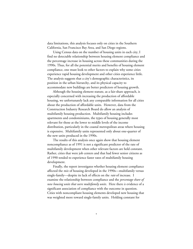data limitations, this analysis focuses only on cities in the Southern California, San Francisco Bay Area, and San Diego regions.

Using Census data on the number of housing units in each city, I find no detectable relationship between housing element compliance and the percentage increase in housing across these communities during the 1990s. Thus, for all the potential merits and benefits of housing element compliance, one must look to other factors to explain why some cities experience rapid housing development and other cities experience little. The analysis suggests that a city's demographic characteristics, its position in the urban hierarchy, and its physical capacity to accommodate new buildings are better predictors of housing growth.

Although the housing element statute, as a fair-share approach, is especially concerned with increasing the production of affordable housing, we unfortunately lack any comparable information for all cities about the production of affordable units. However, data from the Construction Industry Research Board do allow an analysis of multifamily housing production. Multifamily housing includes apartments and condominiums, the types of housing generally most relevant for those at the lower to middle levels of the income distribution, particularly in the coastal metropolitan areas where housing is expensive. Multifamily units represented only about one-quarter of the new units produced in the 1990s.

The results of this analysis once again show that housing element noncompliance as of 1991 is not a significant predictor of the rate of multifamily development when other relevant factors are held constant. Rather, cities that were job centers and that had fewer senior citizens as of 1990 tended to experience faster rates of multifamily housing development.

Finally, the report investigates whether housing element compliance affected the *mix* of housing developed in the 1990s—multifamily versus single-family—despite its lack of effects on the *rate* of increase. I examine the relationship between compliance and the *percentage share of new housing units that were multifamily units*. Here there *is* evidence of a significant association of compliance with the outcome in question. Cities with noncompliant housing elements developed new housing that was weighted more toward single-family units. Holding constant for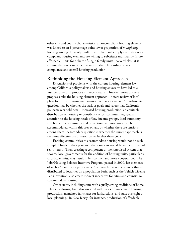other city and county characteristics, a noncompliant housing element was linked to an 8 percentage point lower proportion of *multifamily* housing among the newly built units. The results imply that cities with compliant housing elements are willing to substitute multifamily (more affordable) units for a share of single-family units. Nevertheless, it is striking that one can detect no measurable relationship between compliance and overall housing production.

#### **Rethinking the Housing Element Approach**

Discussions of problems with the current housing-element law among California policymakers and housing advocates have led to a number of reform proposals in recent years. However, most of these proposals take the housing element approach—a state review of local plans for future housing needs—more or less as a given. A fundamental question may be whether the various goals and values that California policymakers hold dear—increased housing production, an equitable distribution of housing responsibility across communities, special attention to the housing needs of low-income groups, local autonomy and home rule, environmental protection, and more—can all be accommodated within this area of law, or whether there are tensions among them. A secondary question is whether the current approach is the most effective use of resources to further these goals.

Enticing communities to accommodate housing would not be such an uphill battle if they perceived that doing so would be in their financial self-interest. Thus, creating a component of the state fiscal system that rewards local governments for the addition of housing units, particularly affordable units, may result in less conflict and more cooperation. The Jobs/Housing Balance Incentive Program, passed in 2000, has elements of such a "rewards for performance" approach. Revenue sources that are distributed to localities on a population basis, such as the Vehicle License Fee subvention, also create indirect incentives for cities and counties to accommodate housing.

Other states, including some with equally strong traditions of home rule as California, have also wrestled with issues of inadequate housing production, mandated fair shares for jurisdictions, and state oversight of local planning. In New Jersey, for instance, production of affordable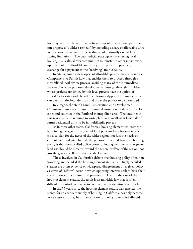housing rests mainly with the profit motives of private developers; they can propose a "builder's remedy" by including a share of affordable units in otherwise market-rate projects that would normally exceed local zoning limitations. The quasijudicial state agency overseeing local housing plans also allows communities to transfer to other jurisdictions up to half of the affordable units they are expected to produce, in exchange for a payment to the "receiving" municipality.

In Massachusetts, developers of affordable projects have access to a Comprehensive Permit Law that enables them to proceed through a streamlined local review process, avoiding many of the intermediate reviews that other proposed developments must go through. Builders whose projects are denied by this local process have the option of appealing to a statewide board, the Housing Appeals Committee, which can overturn the local decision and order the project to be permitted.

In Oregon, the state's Land Conservation and Development Commission imposes minimum zoning densities on residential land for cities and counties in the Portland metropolitan area. The localities in this region are also required to write plans so as to allow at least half of future residential units to be in multifamily projects.

As in these other states, California's housing element requirement has often gone against the grain of local policymaking because it asks cities to plan for the needs of the wider region, not just the needs of current city residents. Indeed, the philosophy behind fair-share housing policy is that the so-called police power of local governments to regulate land use should be directed toward the general welfare of the region, not just the general welfare of the specific locality.

Those involved in California's debate over housing policy often note how long and detailed the housing element statute is. Highly detailed statutes are often evidence of widespread disagreement on a given policy, as waves of "reform" occur in which opposing interests seek to have their specific concerns addressed and preserved in law. In the case of the housing element statute, the result is an unwieldy law that is often difficult for outside observers to comprehend in its entirety or details.

In the 33 years since the housing element statute was enacted, the search for an adequate supply of housing in California has only become more elusive. It may be a ripe occasion for policymakers and affected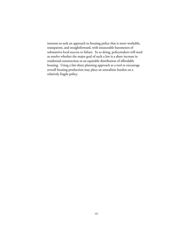interests to seek an approach to housing policy that is more workable, transparent, and straightforward, with measurable barometers of substantive local success or failure. In so doing, policymakers will need to resolve whether the major goal of such a law is a sheer increase in residential construction or an equitable distribution of affordable housing. Using a fair-share planning approach as a tool to encourage overall housing production may place an unrealistic burden on a relatively fragile policy.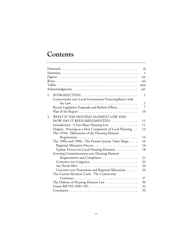## **Contents**

|    |                                                        | $\dddot{\mathbf{u}}$ |
|----|--------------------------------------------------------|----------------------|
|    |                                                        | $\mathbf{v}$         |
|    |                                                        | $\overline{X}$       |
|    |                                                        | xxi                  |
|    |                                                        | xxiii                |
|    |                                                        | <b>XXV</b>           |
| 1. |                                                        | $\mathbf{1}$         |
|    | Controversies over Local Government Noncompliance with |                      |
|    |                                                        | $\overline{2}$       |
|    | Recent Legislative Proposals and Reform Efforts        | $\overline{7}$       |
|    | Plan of the Report                                     | 10                   |
| 2. | WHAT IS THE HOUSING ELEMENT LAW AND                    |                      |
|    | HOW HAS IT BEEN IMPLEMENTED?                           | 11                   |
|    | Introduction: A Fair-Share Housing Law                 | 11                   |
|    | Origins: Housing as a New Component of Local Planning  | 13                   |
|    | The 1970s: Elaboration of the Housing Element          |                      |
|    |                                                        | 14                   |
|    | The 1980s and 1990s: The Present System Takes Shape    | 16                   |
|    |                                                        | 16                   |
|    | Update Process for Local Housing Elements              | 18                   |
|    | Growing Contentiousness over Housing Element           |                      |
|    | Requirements and Compliance                            | 21                   |
|    |                                                        | 22                   |
|    |                                                        | 24                   |
|    | Concerns over Projections and Regional Allocations     | 24                   |
|    | The Current Revision Cycle: The Controversy            |                      |
|    |                                                        | 27                   |
|    | The Defense of Housing Element Law                     | 30                   |
|    | Senate Bill 910 (2001-02)                              | 32                   |
|    |                                                        | 34                   |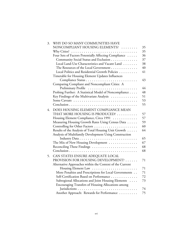| 3. | WHY DO SO MANY COMMUNITIES HAVE                                                            |    |
|----|--------------------------------------------------------------------------------------------|----|
|    | NONCOMPLIANT HOUSING ELEMENTS?                                                             | 35 |
|    | Why Cities? $\ldots \ldots \ldots \ldots \ldots \ldots \ldots \ldots \ldots \ldots \ldots$ | 35 |
|    | Four Sets of Factors Potentially Affecting Compliance                                      | 36 |
|    | Community Social Status and Exclusion                                                      | 37 |
|    | Local Land-Use Characteristics and Vacant Land                                             | 38 |
|    | The Resources of the Local Government                                                      | 40 |
|    | Local Politics and Residential Growth Policies                                             | 41 |
|    | Timetable for Housing Element Updates Influences                                           |    |
|    |                                                                                            | 43 |
|    | Comparing Compliant and Noncompliant Cities: A                                             |    |
|    | Preliminary Profile                                                                        | 44 |
|    | Probing Further: A Statistical Model of Noncompliance                                      | 48 |
|    | Key Findings of the Multivariate Analysis                                                  | 51 |
|    |                                                                                            | 53 |
|    |                                                                                            | 55 |
| 4. | DOES HOUSING ELEMENT COMPLIANCE MEAN                                                       |    |
|    | THAT MORE HOUSING IS PRODUCED?                                                             | 57 |
|    | Housing Element Compliance, Circa 1991                                                     | 57 |
|    | Measuring Housing Growth Rates Using Census Data                                           | 59 |
|    | Controlling for Other Factors                                                              | 60 |
|    | Results of the Analysis of Total Housing Unit Growth                                       | 64 |
|    | Analysis of Multifamily Development Using Construction                                     |    |
|    |                                                                                            | 65 |
|    | The Mix of New Housing Development                                                         | 67 |
|    | Reconciling These Findings                                                                 | 68 |
|    |                                                                                            | 68 |
| 5. | CAN STATES ENSURE ADEQUATE LOCAL                                                           |    |
|    | PROVISION FOR HOUSING DEVELOPMENT?                                                         | 71 |
|    | Alternative Approaches within the Context of the Current                                   |    |
|    |                                                                                            | 71 |
|    | More Penalties and Prescriptions for Local Governments                                     | 71 |
|    | Self-Certification Based on Performance                                                    | 72 |
|    | Subregional Allocations and Joint Housing Elements                                         | 73 |
|    | Encouraging Transfers of Housing Allocations among                                         |    |
|    |                                                                                            | 74 |
|    | Another Approach: Rewards for Performance                                                  | 75 |
|    |                                                                                            |    |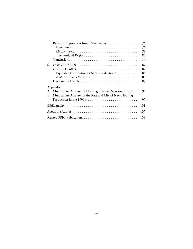| Relevant Experiences from Other States                         | 76  |
|----------------------------------------------------------------|-----|
|                                                                | 76  |
|                                                                | 79  |
|                                                                | 82  |
|                                                                | 84  |
| 6.                                                             | 87  |
|                                                                | 87  |
| Equitable Distribution or Sheer Production?                    | 88  |
| A Mandate in a Vacuum?                                         | 89  |
|                                                                | 89  |
| Appendix                                                       |     |
| A. Multivariate Analyses of Housing Element Noncompliance      | 91  |
| Multivariate Analyses of the Rate and Mix of New Housing<br>В. |     |
|                                                                | 95  |
| Bibliography                                                   | 101 |
|                                                                | 107 |
|                                                                | 109 |
|                                                                |     |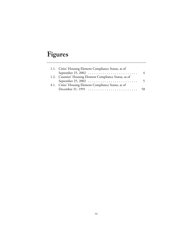# **Figures**

| 1.1. Cities' Housing Element Compliance Status, as of                       |    |  |
|-----------------------------------------------------------------------------|----|--|
|                                                                             | 4  |  |
| 1.2. Counties' Housing Element Compliance Status, as of                     |    |  |
|                                                                             |    |  |
| 4.1. Cities' Housing Element Compliance Status, as of                       |    |  |
| December 31, 1991 $\ldots \ldots \ldots \ldots \ldots \ldots \ldots \ldots$ | 58 |  |
|                                                                             |    |  |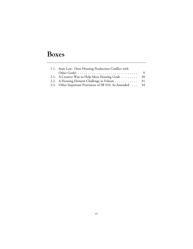# **Boxes**

| 1.1. State Law: Does Housing Production Conflict with                                                  |      |  |
|--------------------------------------------------------------------------------------------------------|------|--|
| Other Goals? $\ldots$ $\ldots$ $\ldots$ $\ldots$ $\ldots$ $\ldots$ $\ldots$ $\ldots$ $\ldots$ $\ldots$ | 9    |  |
| 2.1. A Creative Way to Help Meet Housing Goals                                                         | - 30 |  |
| 2.2. A Housing Element Challenge in Folsom 31                                                          |      |  |
| 2.3. Other Important Provisions of SB 910, As Amended  34                                              |      |  |
|                                                                                                        |      |  |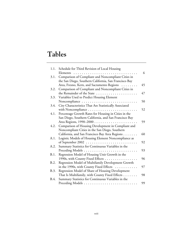# **Tables**

| 1.1. | Schedule for Third Revision of Local Housing           |    |
|------|--------------------------------------------------------|----|
|      | Elements<br>.                                          | 6  |
| 3.1. | Comparison of Compliant and Noncompliant Cities in     |    |
|      | the San Diego, Southern California, San Francisco Bay  |    |
|      | Area, Fresno, Kern, and Sacramento Regions             | 45 |
| 3.2. | Comparison of Compliant and Noncompliant Cities in     |    |
|      | the Remainder of the State                             | 47 |
| 3.3. | Variables Used to Predict Housing Element              |    |
|      | Noncompliance                                          | 50 |
| 3.4. | City Characteristics That Are Statistically Associated |    |
|      |                                                        | 52 |
| 4.1. | Percentage Growth Rates for Housing in Cities in the   |    |
|      | San Diego, Southern California, and San Francisco Bay  |    |
|      |                                                        | 59 |
| 4.2. | Comparison of Housing Development in Compliant and     |    |
|      | Noncompliant Cities in the San Diego, Southern         |    |
|      | California, and San Francisco Bay Area Regions         | 60 |
| A.1. | Logistic Models of Housing Element Noncompliance as    |    |
|      |                                                        | 92 |
| A.2. | Summary Statistics for Continuous Variables in the     |    |
|      |                                                        | 93 |
| B.1. | Regression Model of Housing Unit Growth in the         |    |
|      | 1990s, with County Fixed Effects                       | 96 |
| B.2. | Regression Model of Multifamily Development Growth     |    |
|      | in the 1990s, with County Fixed Effects                | 97 |
| B.3. | Regression Model of Share of Housing Development       |    |
|      | That Is Multifamily, with County Fixed Effects         | 98 |
| B.4. | Summary Statistics for Continuous Variables in the     |    |
|      |                                                        | 99 |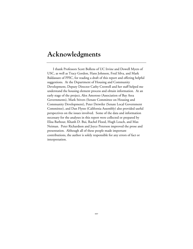### **Acknowledgments**

I thank Professors Scott Bollens of UC Irvine and Dowell Myers of USC, as well as Tracy Gordon, Hans Johnson, Fred Silva, and Mark Baldassare of PPIC, for reading a draft of this report and offering helpful suggestions. At the Department of Housing and Community Development, Deputy Director Cathy Creswell and her staff helped me understand the housing element process and obtain information. At an early stage of the project, Alex Amoroso (Association of Bay Area Governments), Mark Stivers (Senate Committee on Housing and Community Development), Peter Detwiler (Senate Local Government Committee), and Dan Flynn (California Assembly) also provided useful perspectives on the issues involved. Some of the data and information necessary for the analyses in this report were collected or prepared by Elisa Barbour, Khanh D. Bui, Rachel Flood, Hugh Louch, and Max Neiman. Peter Richardson and Joyce Peterson improved the prose and presentation. Although all of these people made important contributions, the author is solely responsible for any errors of fact or interpretation.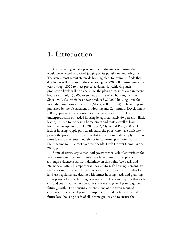### **1. Introduction**

California is generally perceived as producing less housing than would be expected or desired judging by its population and job gains. The state's most recent statewide housing plan, for example, finds that developers will need to produce an average of 220,000 housing units per year through 2020 to meet projected demand. Achieving such production levels will be a challenge, the plan notes, since even in recent boom years only 150,000 or so new units received building permits. Since 1970, California has never produced 220,000 housing units for more than two consecutive years (Myers, 2001, p. 388). The state plan, published by the Department of Housing and Community Development (HCD), predicts that a continuation of current trends will lead to underproduction of needed housing by approximately 60 percent—likely leading in turn to increasing home prices and rents as well as lower homeownership rates (HCD, 2000, p. 3; Myers and Park, 2002). This lack of housing supply particularly hurts the poor, who have difficulty in paying the price or rent premium that results from undersupply. Two of three low-income renter households in California pay more than half their income to put a roof over their heads (Little Hoover Commission, 2002, p. i).

Some observers argue that local governments' lack of enthusiasm for new housing in their communities is a large source of this problem, although evidence is far from definitive on this point (see Lewis and Neiman, 2002). This report examines California's housing element law, the major means by which the state government tries to ensure that local land-use regulators are dealing with unmet housing needs and planning appropriately for new housing development. The state requires that each city and county write (and periodically revise) a general plan to guide its future growth. The housing element is one of the seven required elements of the general plan; its purposes are to identify current and future local housing needs of all income groups and to ensure the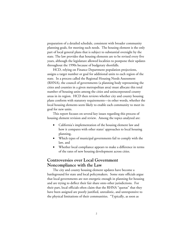preparation of a detailed schedule, consistent with broader community planning goals, for meeting such needs. The housing element is the only part of local general plans that is subject to substantial oversight by the state. The law provides that housing elements are to be revised every five years, although the legislature allowed localities to postpone their updates throughout the 1990s because of budgetary shortfalls.

HCD, relying on Finance Department population projections, assigns a target number or goal for additional units to each region of the state. In a process called the Regional Housing Needs Assessment (RHNA), the council of governments (a planning body representing the cities and counties in a given metropolitan area) must allocate this total number of housing units among the cities and unincorporated county areas in its region. HCD then reviews whether city and county housing plans conform with statutory requirements—in other words, whether the local housing elements seem likely to enable each community to meet its goal for new units.

This report focuses on several key issues regarding this process of housing element revision and review. Among the topics analyzed are:

- California's implementation of the housing element law and how it compares with other states' approaches to local housing planning,
- Which types of municipal governments fail to comply with the law, and
- Whether local compliance appears to make a difference in terms of the rates of new housing development across cities.

### **Controversies over Local Government Noncompliance with the Law**

The city and county housing element updates have become a battleground for state and local policymakers. Some state officials argue that local governments are not energetic enough in planning for housing and are trying to deflect their fair share onto other jurisdictions. For their part, local officials often claim that the RHNA "quotas" that they have been assigned are poorly justified, unrealistic, and unresponsive to the physical limitations of their communities. "Typically, as soon as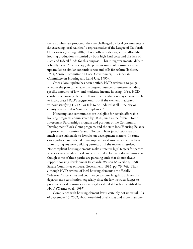these numbers are proposed, they are challenged by local governments as far exceeding local realities," a representative of the League of California Cities writes (Carrigg, 2002). Local officials also argue that affordable housing production is stymied by both high land costs and the lack of state and federal funds for this purpose. This intergovernmental debate is hardly new. A decade ago, the previous round of housing element updates led to similar contentiousness and calls for reform (Jackson, 1994; Senate Committee on Local Government, 1993; Senate Committee on Housing and Land Use, 1995).

Once a local update has been drafted, HCD reviews it to gauge whether the plan can enable the targeted number of units—including specific amounts of low- and moderate-income housing. If so, HCD certifies the housing element. If not, the jurisdiction may change its plan to incorporate HCD's suggestions. But if the element is adopted without satisfying HCD—or fails to be updated at all—the city or county is regarded as "out of compliance."

Noncompliant communities are ineligible for certain affordable housing programs administered by HCD, such as the federal Home Investment Partnerships Program and portions of the Community Development Block Grant program, and the state Jobs/Housing Balance Improvement Incentive Grant. Noncompliant jurisdictions are also much more vulnerable to lawsuits on development matters. In some cases, judges have ordered noncompliant local governments to refrain from issuing any new building permits until the matter is resolved. Noncompliant housing elements make attractive legal targets for parties who seek to invalidate local land-use or redevelopment decisions—even though some of these parties are pursuing ends that do not always support housing development (Richards, Watson & Gershon, 1998; Senate Committee on Local Government, 1993, pp. 73–74). Thus, although HCD reviews of local housing elements are officially "advisory," most cities and counties go to some length to achieve the department's certification, especially since the law instructs judges to presume a local housing element legally valid if it has been certified by HCD (Warner et al., 1997).

Compliance with housing element law is certainly not universal. As of September 25, 2002, about one-third of all cities and more than one-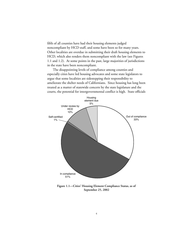fifth of all counties have had their housing elements judged noncompliant by HCD staff, and some have been so for many years. Other localities are overdue in submitting their draft housing elements to HCD, which also renders them noncompliant with the law (see Figures 1.1 and 1.2). At some points in the past, large majorities of jurisdictions in the state have been noncompliant.

The disappointing levels of compliance among counties and especially cities have led housing advocates and some state legislators to argue that some localities are sidestepping their responsibility to ameliorate the shelter needs of Californians. Since housing has long been treated as a matter of statewide concern by the state legislature and the courts, the potential for intergovernmental conflict is high. State officials



**Figure 1.1—Cities' Housing Element Compliance Status, as of September 25, 2002**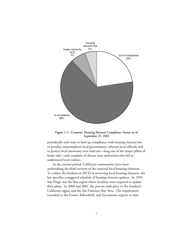

**Figure 1.2—Counties' Housing Element Compliance Status, as of September 25, 2002**

periodically seek ways to beef up compliance with housing element law or penalize noncompliant local governments, whereas local officials seek to protect local autonomy over land use—long one of the major pillars of home rule—and complain of distant state authorities who fail to understand local realities.

In the current period, California communities have been undertaking the third revision of the required local housing elements. To reduce the burdens on HCD in reviewing local housing elements, the law specifies a staggered schedule of housing element updates. In 1999, San Diego was the first region where localities were required to update their plans. In 2000 and 2001, the process took place in the Southern California region and the San Francisco Bay Area. The requirement extended to the Fresno, Bakersfield, and Sacramento regions in mid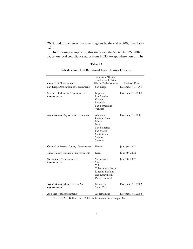2002, and to the rest of the state's regions by the end of 2003 (see Table 1.1).

In discussing compliance, this study uses the September 25, 2002, report on local compliance status from HCD, except where noted. The

#### **Table 1.1**

#### **Schedule for Third Revision of Local Housing Elements**

|                                                   | Counties Affected                                                                                               |                      |
|---------------------------------------------------|-----------------------------------------------------------------------------------------------------------------|----------------------|
|                                                   | (Includes all Cities                                                                                            |                      |
| Council of Governments                            | Within Each County)                                                                                             | <b>Revision Date</b> |
| San Diego Association of Governments              | San Diego                                                                                                       | December 31, 1999    |
| Southern California Association of<br>Governments | Imperial<br>Los Angeles<br>Orange<br>Riverside<br>San Bernardino<br>Ventura                                     | December 31, 2000    |
| Association of Bay Area Governments               | Alameda<br>Contra Costa<br>Marin<br>Napa<br>San Francisco<br>San Mateo<br>Santa Clara<br>Solano<br>Sonoma       | December 31, 2001    |
| Council of Fresno County Government               | Fresno                                                                                                          | June 30, 2002        |
| Kern County Council of Governments                | Kern                                                                                                            | June 30, 2002        |
| Sacramento Area Council of<br>Governments         | Sacramento<br>Sutter<br>Yolo<br>Yuba (plus cities of<br>Lincoln, Rocklin,<br>and Roseville in<br>Placer County) | June 30, 2002        |
| Association of Monterey Bay Area<br>Governments   | Monterey<br>Santa Cruz                                                                                          | December 31, 2002    |
| All other local governments                       | All remaining                                                                                                   | December 31, 2003    |

SOURCES: HCD website; 2001 California Statutes, Chapter 85.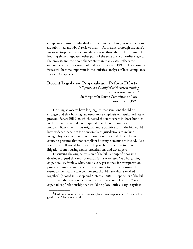compliance status of individual jurisdictions can change as new revisions are submitted and HCD reviews them.<sup>1</sup> At present, although the state's major metropolitan areas have already gone through the third round of housing element updates, other parts of the state are at an earlier stage of the process, and their compliance status in many cases reflects the outcomes of the prior round of updates in the early 1990s. These timing issues will become important in the statistical analysis of local compliance status in Chapter 3.

#### **Recent Legislative Proposals and Reform Efforts**

*"All groups are dissatisfied with current housing element requirements."* —Staff report for Senate Committee on Local Government (1993)

Housing advocates have long argued that sanctions should be stronger and that housing law needs more emphasis on results and less on process. Senate Bill 910, which passed the state senate in 2001 but died in the assembly, would have required that the state controller fine noncompliant cities. In its original, more punitive form, the bill would have widened penalties for noncompliant jurisdictions to include ineligibility for certain state transportation funds and directed state courts to presume that noncompliant housing elements are invalid. As a result, that bill would have opened up such jurisdictions to more litigation from housing rights' organizations and developers.

Discussing the original version of the bill, a nonprofit housing developer argued that transportation funds were used "as a bargaining chip, because, frankly, why should a city get money for transportation projects to make travel easier if it isn't going to provide housing? It seems to me that the two components should have always worked together" (quoted in Bishop and Materna, 2001). Proponents of the bill also argued that the tougher state requirements could lead to a "good cop, bad cop" relationship that would help local officials argue against

\_\_\_\_\_\_\_\_\_\_\_\_

<sup>&</sup>lt;sup>1</sup>Readers can view the most recent compliance status report at http://www.hcd.ca. gov/hpd/hrc/plan/he/status.pdf.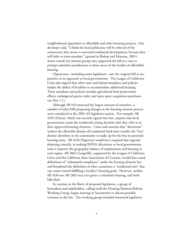neighborhood opposition to affordable and other housing projects. One developer said, "I think the local politicians will be relieved of the controversy that seems to surround residential development, because they will defer to state mandate" (quoted in Bishop and Materna, 2001). Some central city interest groups also supported the bill as a way to prompt suburban jurisdictions to share more of the burden of affordable housing.

Opponents—including some legislators—saw the original bill as too punitive in its approach to local governments. The League of California Cities also argued that other state and federal mandates and policies hinder the ability of localities to accommodate additional housing. These mandates and policies include agricultural land preservation efforts, endangered species rules, and open space acquisition purchases (see Box 1.1).

Although SB 910 attracted the largest amount of attention, a number of other bills proposing changes in the housing element process were considered in the 2001–02 legislative session. For example, SB 2292 (Dutra), which was recently signed into law, requires that local governments retain the residential zoning densities that they refer to in their approved housing elements. Cities and counties that "downzone" (reduce the allowable density of) residential land must transfer the "lost" density elsewhere in the community to make up for the loss in potential housing units. SB 1634 (Figueroa) would have required that regional planning councils, in making RHNA allocations to local governments, seek to improve the geographic balance of employment and housing in each region. AB 2863 (Longville), supported by the League of California Cities and the California State Association of Counties, would have eased definitions of "substantial compliance" under the housing element law and broadened the definition of what constitutes a "residential unit" that can count toward fulfilling a locality's housing goals. However, neither SB 1634 nor AB 2863 was ever given a committee hearing, and both bills died.

In reaction to the flurry of proposed legislation, a group of lawmakers and stakeholders, calling itself the Housing Element Reform Working Group, began meeting in Sacramento to discuss possible revisions to the law. The working group included interested legislators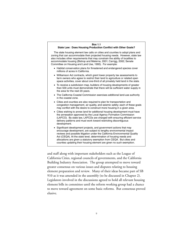#### **Box 1.1 State Law: Does Housing Production Conflict with Other Goals?**

The state housing element law calls on cities and counties to adopt plans and zoning that can accommodate their projected housing needs. However, state law also includes other requirements that may constrain the ability of localities to accommodate housing (Bishop and Materna, 2001; Carrigg, 2002; Senate Committee on Housing and Land Use, 1995). For example:

- Habitat conservation plans for threatened and endangered species cover millions of acres in California.
- Williamson Act contracts, which grant lower property tax assessments to farm owners who agree to restrict their land to agriculture or related open space activities, cover about one-third of all privately held land in the state.
- To receive a subdivision map, builders of housing developments of greater than 500 units must demonstrate that there will be sufficient water supply in the area for the next 20 years.
- The California Coastal Commission exercises additional land-use authority in the coastal zone.
- Cities and counties are also required to plan for transportation and congestion management, air quality, and seismic safety; each of these goals may conflict with the desire to construct more housing in a given area.
- Cities wishing to annex land for additional housing development must have the annexation approved by the Local Agency Formation Commission (LAFCO). By state law, LAFCOs are charged with ensuring efficient service delivery patterns and must work toward restricting discontiguous development.
- Significant development projects, and government actions that may encourage development, are subject to lengthy environmental impact reviews and possible litigation under the California Environmental Quality Act (CEQA). At the state level, determination of housing needs and allocations are given a statutory exemption from CEQA. But cities and counties updating their housing element are given no such exemption.

and staff along with important stakeholders such as the League of California Cities, regional councils of governments, and the California Building Industry Association. The group attempted to move toward greater consensus on various issues and disputes relating to housing element preparation and review. Many of their ideas became part of SB 910 as it was amended in the assembly (to be discussed in Chapter 2). Legislators involved in the discussions agreed to hold all relevant housing element bills in committee until the reform working group had a chance to move toward agreement on some basic reforms. But consensus proved elusive.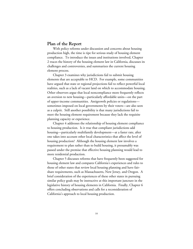#### **Plan of the Report**

With policy reforms under discussion and concerns about housing production high, the time is ripe for serious study of housing element compliance. To introduce the issues and institutions involved, Chapter 2 traces the history of the housing element law in California, discusses its challenges and controversies, and summarizes the current housing element process.

Chapter 3 examines why jurisdictions fail to submit housing elements that are acceptable to HCD. For example, some communities have argued that state or regional projections fail to reflect powerful local realities, such as a lack of vacant land on which to accommodate housing. Other observers argue that local noncompliance more frequently reflects an aversion to new housing—particularly affordable units—on the part of upper-income communities. Antigrowth policies or regulations sometimes imposed on local governments by their voters—are also seen as a culprit. Still another possibility is that many jurisdictions fail to meet the housing element requirement because they lack the requisite planning capacity or experience.

Chapter 4 addresses the relationship of housing element compliance to housing production. Is it true that compliant jurisdictions add housing—particularly multifamily development—at a faster rate, after one takes into account other local characteristics that affect the level of housing production? Although the housing element law involves a requirement to plan rather than to build housing, it presumably was passed under the premise that effective housing planning would lead to more residential production.

Chapter 5 discusses reforms that have frequently been suggested for housing element law and compares California's experiences and rules to those of other states that review local housing planning and have fairshare requirements, such as Massachusetts, New Jersey, and Oregon. A brief consideration of the experiences of these other states in pursuing similar policy goals may be instructive at this important juncture in the legislative history of housing elements in California. Finally, Chapter 6 offers concluding observations and calls for a reconsideration of California's approach to local housing production.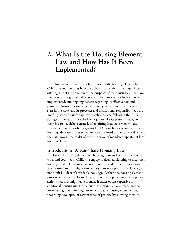# **2. What Is the Housing Element Law and How Has It Been Implemented?**

This chapter presents a policy history of the housing element law in California and discusses how the policy is currently carried out. After offering a brief introduction to the purposes of the housing element law, I focus on its origins and development, the process by which it has been implemented, and ongoing debates regarding its effectiveness and possible reforms. Housing element policy had a somewhat inauspicious start in the state, and its processes and institutional responsibilities were not fully worked out for approximately a decade following the 1969 passage of the law. Once the law began to take its present shape, an extended policy debate ensued, often pitting local governments and advocates of local flexibility against HCD, homebuilders, and affordable housing advocates. This stalemate has continued to the current day, with the state now in the midst of the third wave of mandated updates of local housing elements.

## **Introduction: A Fair-Share Housing Law**

Enacted in 1969, the original housing element law requires that all cities and counties in California engage in detailed planning to meet their housing needs. Housing elements do not, in and of themselves, cause new housing to be built, as this activity rests with private developers (or nonprofit builders of affordable housing). Rather, the housing element process is intended to focus the attention of city policymakers on policy actions that they might take to make it easier or less expensive for additional housing units to be built. For example, local plans may call for reducing or eliminating fees on affordable housing construction, rewarding developers of certain types of projects by allowing them to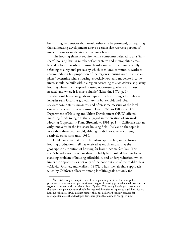build at higher densities than would otherwise be permitted, or requiring that all housing developments above a certain size reserve a portion of units for low- or moderate-income households.

The housing element requirement is sometimes referred to as a "fairshare" housing law. A number of other states and metropolitan areas have developed fair-share housing legislation, with the term generally referring to a regional process by which each local community works to accommodate a fair proportion of the region's housing need. Fair-share plans "determine where housing, especially low- and moderate-income units, should be built within a region according to such criteria as placing housing where it will expand housing opportunity, where it is most needed, and where it is most suitable" (Listokin, 1976, p. 1). Jurisdictional fair-share goals are typically defined using a formula that includes such factors as growth rates in households and jobs, socioeconomic status measures, and often some measure of the local carrying capacity for new housing. From 1977 to 1983, the U.S. Department of Housing and Urban Development (HUD) offered matching funds to regions that engaged in the creation of Areawide Housing Opportunity Plans (Brownlow, 1991, p. 1).<sup>1</sup> California was an early innovator in the fair-share housing field. Its law on the topic is more than three decades old, although it did not take its current, relatively strict form until 1980.

Unlike in some states with fair-share approaches, in California housing production itself has received as much emphasis as the geographic distribution of housing for lower-income families. This state's broader notion of fair share probably has resulted from its longstanding problem of housing affordability and underproduction, which limits the opportunities not only of the poor but also of the middle class (Calavita, Grimes, and Mallach, 1997). Thus, the fair-share approach taken by California allocates among localities goals not only for

<sup>&</sup>lt;sup>1</sup>In 1968, Congress required that federal planning subsidies for metropolitan planning be contingent on preparation of a regional housing plan, which led many urban regions to develop early fair-share plans. By the 1970s, many housing activists argued that fair-share plan adoption should be required for cities or regions to qualify for federal housing subsidies. HUD did not require this, but did award subsidy bonuses for metropolitan areas that developed fair-share plans (Listokin, 1976, pp. xvii, 6).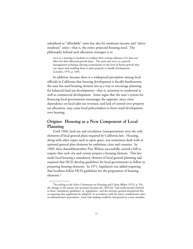subsidized or "affordable" units but also for moderate-income and "above moderate" units—that is, the entire projected housing need. The philosophy behind such allocation strategies is to

serve as a warning to localities to readjust their zoning ordinance if it does not allow for their allocated growth share. The units also serve as a growth management technique alerting communities to the level of future growth they can expect and enabling them to plan properly to handle development (Listokin, 1976, p. 169).

In addition, because there is a widespread perception among local officials in California that housing development is fiscally burdensome, the state has used housing element law as a way to encourage planning for balanced land-use development—that is, attention to residential as well as commercial development. Some argue that the state's system for financing local governments encourages the opposite, since cities' dependence on local sales tax revenues, and lack of control over property tax allocation, may cause local policymakers to favor retail development over housing.

# **Origins: Housing as a New Component of Local Planning**

Until 1969, land use and circulation (transportation) were the only elements of local general plans required by California law. Housing, along with other topics such as open space, was sometimes dealt with in optional general plan elements by ambitious cities and counties. In 1969, then-Assemblymember Pete Wilson successfully carried a bill to require that each city and county prepare a housing element. This law made local housing a mandatory element of local general planning and required that HCD develop guidelines for local governments to follow in preparing housing elements. In 1971, legislation was added requiring that localities follow HCD guidelines for the preparation of housing elements.2

<sup>&</sup>lt;sup>2</sup> According to the Select Committee on Housing and Urban Affairs (1974, p. 59), the change to the statute was necessary because the 1969 law "had inadvertently referred to these 'mandatory guidelines' as 'regulations,' and the attorney general interpreted this as requiring that regulations be adopted" in accordance with the state's cumbersome rules on administrative procedures. Such rule-making would be interpreted as a state mandate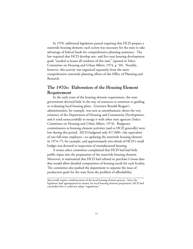In 1970, additional legislation passed requiring that HCD prepare a statewide housing element; such action was necessary for the state to take advantage of federal funds for comprehensive planning assistance. The law required that HCD develop one- and five-year housing development goals "needed to house all residents of this state" (quoted in Select Committee on Housing and Urban Affairs, 1974, p. 50). Notably, however, this activity was organized separately from the more comprehensive statewide planning efforts of the Office of Planning and Research.

# **The 1970s: Elaboration of the Housing Element Requirement**

In the early years of the housing element requirement, the state government devoted little in the way of resources or attention to guiding or evaluating local housing plans. Governor Ronald Reagan's administration, for example, was seen as unenthusiastic about the very existence of the Department of Housing and Community Development, and it tried unsuccessfully to merge it with other state agencies (Select Committee on Housing and Urban Affairs, 1974). Budgetary commitments to housing element activities (and to HCD generally) were low during this period. HCD budgeted only \$17,000—the equivalent of one full-time employee—to updating the statewide housing element in 1974–75, for example, and approximately two-thirds of HCD's small budget was devoted to inspection of manufactured housing.

A senate select committee complained that HCD had had little public input into the preparation of the statewide housing element. Moreover, it maintained that HCD had refused to purchase Census data that would allow detailed computation of housing needs for each locality. The committee also pushed the department to separate the issue of production goals for the state from the problem of affordability

**\_\_\_\_\_\_\_\_\_\_\_\_\_\_\_\_\_\_\_\_\_\_\_\_\_\_\_\_\_\_\_\_\_\_\_\_\_\_\_\_\_\_\_\_\_\_\_\_\_\_\_\_\_\_\_\_**

that would require reimbursement of the local housing element process. Since the legislature had appropriated no money for local housing element preparation, HCD had concluded that it could not adopt "regulations."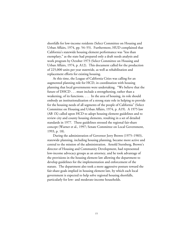shortfalls for low-income residents (Select Committee on Housing and Urban Affairs, 1974, pp. 54–55). Furthermore, HUD complained that California's statewide housing element performance was "less than exemplary," as the state had prepared only a draft needs analysis and work program by October 1973 (Select Committee on Housing and Urban Affairs, 1974, p. A12). This document called for the production of 225,000 units per year statewide, as well as rehabilitation and replacement efforts for existing housing.

At this time, the League of California Cities was calling for an augmented planning role for HCD, in coordination with housing planning that local governments were undertaking. "We believe that the future of DHCD . . . must include a strengthening, rather than a weakening, of its functions. . . . In the area of housing, its role should embody an institutionalization of a strong state role in helping to provide for the housing needs of all segments of the people of California" (Select Committee on Housing and Urban Affairs, 1974, p. A19). A 1975 law (AB 1X) called upon HCD to adopt housing element guidelines and to review city and county housing elements, resulting in a set of detailed standards in 1977. These guidelines stressed the regional fair-share concept (Warner et al., 1997; Senate Committee on Local Government, 1993, p. 18).

During the administration of Governor Jerry Brown (1975–1983), statewide planning, including housing planning, became more active and central to the mission of the administration. Arnold Sternberg, Brown's director of Housing and Community Development, had represented low-income advocacy groups as an attorney, and he took advantage of the provisions in the housing element law allowing the department to develop guidelines for the implementation and enforcement of the statute. The department also took a more aggressive posture toward the fair-share goals implied in housing element law, by which each local government is expected to help solve regional housing shortfalls, particularly for low- and moderate-income households.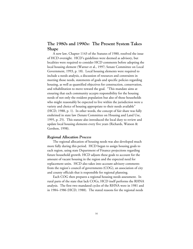# **The 1980s and 1990s: The Present System Takes Shape**

A new law, Chapter 1143 of the Statutes of 1980, resolved the issue of HCD oversight. HCD's guidelines were deemed as advisory, but localities were required to consider HCD comments before adopting the local housing element (Warner et al., 1997; Senate Committee on Local Government, 1993, p. 18). Local housing elements were required to include a needs analysis, a discussion of resources and constraints in meeting those needs, statements of goals and specific policies regarding housing, as well as quantified objectives for construction, conservation, and rehabilitation to move toward the goal. "This mandate aims at ensuring that each community accepts responsibility for the housing needs of not only the resident population but also of those households who might reasonably be expected to live within the jurisdiction were a variety and choice of housing appropriate to their needs available" (HCD, 1988, p. 1). In other words, the concept of fair share was fully enshrined in state law (Senate Committee on Housing and Land Use, 1995, p. 25). This statute also introduced the local duty to review and update local housing elements every five years (Richards, Watson & Gershon, 1998).

## *Regional Allocation Process*

The regional allocation of housing needs was also developed much more fully during this period. HCD began to assign housing goals to each region, using state Department of Finance projections regarding future household growth. HCD adjusts these goals to account for the amount of vacant housing in the region and the expected need for replacement units. HCD also takes into account advisory comments from the region's council of governments (COG), an association of city and county officials that is responsible for regional planning.

Each COG then prepares a regional housing needs assessment. In rural parts of the state that lack COGs, HCD itself performs the RHNA analysis. The first two mandated cycles of the RHNA were in 1981 and in 1984–1986 (HCD, 1988). The stated reasons for the regional needs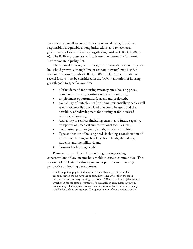assessment are to allow consideration of regional issues, distribute responsibilities equitably among jurisdictions, and relieve local governments of some of their data-gathering burdens (HCD, 1988, p. 4). The RHNA process is specifically exempted from the California Environmental Quality Act.

The regional housing need is pegged to at least the level of projected household growth, although "major economic events" may justify a revision to a lower number (HCD, 1988, p. 11). Under the statute, several factors must be considered in the COG's allocation of housing growth goals to specific localities:

- Market demand for housing (vacancy rates, housing prices, household structure, construction, absorption, etc.),
- Employment opportunities (current and projected),
- Availability of suitable sites (including residentially zoned as well as nonresidentially zoned land that could be used, and the possibility of redevelopment for housing or for increased densities of housing),
- Availability of services (including current and future capacity, transportation, medical and recreational facilities, etc.),
- Commuting patterns (time, length, transit availability),
- Type and tenure of housing need (including a consideration of special populations, such as large households, the elderly, students, and the military), and
- Farmworker housing needs.

Planners are also directed to avoid aggravating existing concentrations of low-income households in certain communities. The reasoning HCD cites for this requirement presents an interesting perspective on housing development:

The basic philosophy behind housing element law is that citizens of all economic levels should have the opportunity to live where they choose in decent, safe, and sanitary housing. . . . Some COGs have adopted [allocations] which plan for the same percentages of households in each income group in each locality. This approach is based on the position that all areas are equally suitable for each income group. The approach also reflects the view that the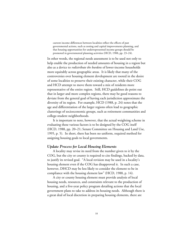current income differences between localities reflect the effects of past governmental actions, such as zoning and capital improvements planning, and that housing opportunities for underrepresented income groups should be promoted in governmental planning activities (HCD, 1988, pp. 23–24).

In other words, the regional needs assessment is to be used not only to help enable the production of needed amounts of housing in a region but also as a device to *redistribute the burdens* of lower-income households more equitably across geographic areas. It is likely that many of the controversies over housing element development are rooted in the desire of some localities to preserve their existing character, while their COG and HCD attempt to move them toward a mix of residents more representative of the entire region. Still, HCD guidelines do point out that in larger and more complex regions, there may be good reasons to deviate from the general goal of having each jurisdiction approximate the diversity of its region. For example, HCD (1988, p. 24) notes that the age and differentiation of the larger regions often lead to geographic clusterings of socioeconomic groups, such as retirement communities and college-student neighborhoods.

It is important to note, however, that the actual weighting scheme in evaluating these various factors is to be designed by the COG itself (HCD, 1988, pp. 20–21; Senate Committee on Housing and Land Use, 1995, p. 5). In short, there has been no uniform, required method for assigning housing goals to local governments.

### *Update Process for Local Housing Elements*

A locality may revise its need from the number given to it by the COG, but the city or county is required to cite findings, backed by data, to justify its revised goal. "A local revision may be used in a locality's housing element even if the COG has disapproved it. In such a case, however, DHCD may be less likely to consider the element to be in compliance with the housing element law" (HCD, 1988, p. 14).

A city or county housing element must provide analysis of local housing needs, resources, and constraints relevant to the production of housing, and a five-year policy program detailing actions that the local government plans to take to address its housing needs. Although there is a great deal of local discretion in preparing housing elements, there are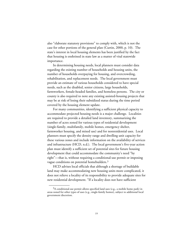also "elaborate statutory provisions" to comply with, which is not the case for other portions of the general plan (Curtin, 2000, p. 10). The state's interest in local housing elements has been justified by the fact that housing is enshrined in state law as a matter of vital statewide importance.

In determining housing needs, local planners must consider data regarding the existing number of households and housing units, the number of households overpaying for housing, and overcrowding, rehabilitation, and replacement needs. The local government must provide an estimate of various households considered to have special needs, such as the disabled, senior citizens, large households, farmworkers, female-headed families, and homeless persons. The city or county is also required to note any existing assisted-housing projects that may be at risk of losing their subsidized status during the time period covered by the housing element update.

For many communities, identifying a sufficient physical capacity to accommodate projected housing needs is a major challenge. Localities are required to provide a detailed land inventory, summarizing the number of acres zoned for various types of residential development (single-family, multifamily, mobile homes, emergency shelter, farmworker housing, and mixed use) and for nonresidential uses. Local planners must specify the density range and dwelling unit capacity for these various zones and include information on the availability of services and infrastructure (HCD, n.d.). The local government's five-year action plan must identify a sufficient set of potential sites for future housing development that could accommodate the community's need "by right"—that is, without requiring a conditional-use permit or imposing vague conditions on potential homebuilders.<sup>3</sup>

HCD advises local officials that although a shortage of buildable land may make accommodating new housing units more complicated, it does not relieve a locality of its responsibility to provide adequate sites for new residential development. "If a locality does not have sufficient

 $3A$  conditional-use permit allows specified land uses (e.g., a mobile home park) in areas zoned for other types of uses (e.g., single-family homes), subject to additional local government discretion.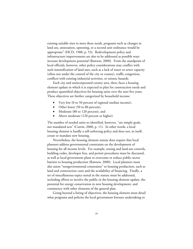existing suitable sites to meet these needs, programs such as changes in land use, annexation, upzoning, or a second unit ordinance would be appropriate" (HCD, 1988, p. 53). Redevelopment policy and infrastructure improvements are also to be addressed as possible ways increase development potential (Rawson, 2000). From the standpoint of local officials, however, other policy considerations may conflict with such intensification of land uses, such as a lack of water or sewer capacity (often not under the control of the city or county), traffic congestion, conflicts with existing industrial activities, or seismic hazards.

Each city and unincorporated county area, then, faces a housing element update in which it is expected to plan for construction needs and produce quantified objectives for housing units over the next five years. These objectives are further categorized by household income:

- Very low (0 to 50 percent of regional median income),
- Other lower (50 to 80 percent),
- Moderate (80 to 120 percent), and
- Above moderate (120 percent or higher).

The number of needed units so identified, however, "are simply goals, not mandated acts" (Curtin, 2000, p. 11). In other words, a local housing element is hardly a self-enforcing policy and does not, in itself, create or mandate new housing.

Nevertheless, the housing element statute does require that local planners address governmental constraints on the development of housing for all income levels. For example, zoning and land-use controls, building codes, developer fees, and permit procedures must be discussed, as well as local government plans to overcome or reduce public-sector barriers to housing production (Rawson, 2000). Local planners must also assess "nongovernmental constraints" to housing production, such as land and construction costs and the availability of financing. Finally, a set of miscellaneous topics noted in the statute must be addressed, including efforts to involve the public in the housing element update, the potential for energy conservation in new housing development, and consistency with other elements of the general plan.

Going beyond a listing of objectives, the housing element must detail what programs and policies the local government foresees undertaking to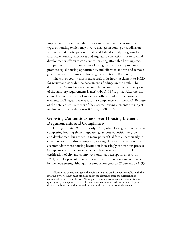implement the plan, including efforts to provide sufficient sites for all types of housing (which may involve changes in zoning or subdivision requirements), participation in state and federal subsidy programs for affordable housing, incentives and regulatory concessions for residential developments, efforts to conserve the existing affordable housing stock and preserve units that are at risk of losing their subsidies, programs to promote equal housing opportunities, and efforts to address and remove governmental constraints on housing construction (HCD, n.d.).

The city or county must send a draft of its housing element to HCD for review and consider the department's findings on the draft. The department "considers the element to be in compliance only if every one of the statutory requirements is met" (HCD, 1991, p. 1). After the city council or county board of supervisors officially adopts the housing element, HCD again reviews it for its compliance with the law. $4$  Because of the detailed requirements of the statute, housing elements are subject to close scrutiny by the courts (Curtin, 2000, p. 27).

# **Growing Contentiousness over Housing Element Requirements and Compliance**

During the late 1980s and early 1990s, when local governments were completing housing element updates, grassroots opposition to growth and development burgeoned in many parts of California, particularly in coastal regions. In this atmosphere, writing plans that focused on how to accommodate more housing became an increasingly contentious process. Compliance with the housing element law, as measured by HCD's certification of city and county revisions, has been spotty at best. In 1991, only 19 percent of localities were certified as being in compliance by the department, although this proportion grew to 37 percent by 1993

 ${}^{4}$ Even if the department gives the opinion that the draft element complies with the law, the city or county must officially adopt the element before the jurisdiction is considered to be in compliance. Although most local governments in such a situation quickly adopt the approved draft element, some communities delay in their adoption or decide to submit a new draft to reflect new local concerns or political changes.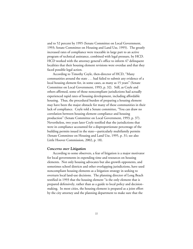and to 52 percent by 1995 (Senate Committee on Local Government, 1993; Senate Committee on Housing and Land Use, 1995). The greatly increased rates of compliance were traceable in large part to an active program of technical assistance, combined with legal pressure, by HCD. HCD worked with the attorney general's office to inform 47 delinquent localities that their housing element revisions were overdue and that they faced possible legal action.

According to Timothy Coyle, then-director of HCD, "Many communities around the state . . . had failed to submit any evidence of a local housing element for, in some cases, as many as 15 years" (Senate Committee on Local Government, 1993, p. 32). Still, as Coyle and others affirmed, some of those noncompliant jurisdictions had actually experienced rapid rates of housing development, including affordable housing. Thus, the procedural burden of preparing a housing element may have been the major obstacle for many of these communities in their lack of compliance. Coyle told a Senate committee, "You can draw no correlation between housing element compliance and housing production" (Senate Committee on Local Government, 1993, p. 37). Nevertheless, two years later Coyle testified that the jurisdictions that were in compliance accounted for a disproportionate percentage of the building permits issued in the state—particularly multifamily permits (Senate Committee on Housing and Land Use, 1995, p. 31; see also Little Hoover Commission, 2002, p. 18).

#### *Concerns over Litigation*

According to some observers, a fear of litigation is a major motivator for local governments in expending time and resources on housing elements. Not only housing advocates but also growth opponents, and sometimes school districts and other overlapping jurisdictions, have used noncompliant housing elements as a litigation strategy in seeking to overturn local land-use decisions. The planning director of Long Beach testified in 1993 that the housing element "is the only element that is prepared defensively, rather than as a guide to local policy and decisionmaking. In most cities, the housing element is prepared as a joint effort by the city attorney and the planning department to make sure that the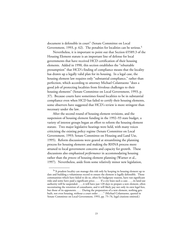document is defensible in court" (Senate Committee on Local Government, 1993, p. 62). The penalties for localities can be serious.<sup>5</sup>

Nevertheless, it is important to point out that Section 65589.3 of the Housing Element statute is an important line of defense for local governments that have received HCD certification of their housing elements. Added in 1990, this section establishes the "rebuttable presumption" that HCD's finding of compliance means that the locality has drawn up a legally valid plan for its housing. In a legal case, the housing element law requires only "substantial compliance," rather than perfection, which according to attorney Michael Colantuono "does a good job of protecting localities from frivolous challenges to their housing elements" (Senate Committee on Local Government, 1993, p. 37). Because courts have sometimes found localities to be in substantial compliance even when HCD has failed to certify their housing elements, some observers have suggested that HCD's review is more stringent than necessary under the law.

After the second round of housing element revisions, and the suspension of housing element funding in the 1992–93 state budget, a variety of interest groups began an effort to reform the housing element statute. Two major legislative hearings were held, with many voices criticizing the existing policy regime (Senate Committee on Local Government, 1993; Senate Committee on Housing and Land Use, 1995). Reform discussions were geared at streamlining the planning process for housing elements and making the RHNA process more attuned to local government concerns and capacity for growth. These discussions also emphasized *performance* in accommodating housing rather than the *process* of housing element planning (Warner et al., 1997). Nevertheless, aside from some relatively minor new legislation,

<sup>&</sup>lt;sup>5</sup>"A prudent locality can manage this risk only by keeping its housing element up to date and building a voluminous record to ensure the element is legally defensible. Those communities which have failed to do so, often for budgetary reasons, have run significant risks and some have paid a significant price. . . . If a city loses such a case. . . , its land-use authority will be suspended. . . , it will have just 120 days to prepare a new element, often necessitating the retention of consultants, and it will likely pay not only its own legal fees, but those of its opponents. . . . During the preparation of a new element, nothing gets built, not even housing, without a court order . . . ." (Michael Colantuono, quoted in Senate Committee on Local Government, 1993, pp. 75–76, legal citations omitted.)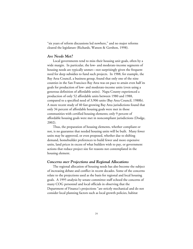"six years of reform discussions led nowhere," and no major reforms cleared the legislature (Richards, Watson & Gershon, 1998).

## *Are Needs Met?*

Local governments tend to miss their housing unit goals, often by a wide margin. In particular, the low- and moderate-income segments of housing needs are typically unmet—not surprisingly given the frequent need for deep subsidies to fund such projects. In 1988, for example, the Bay Area Council, a business group, found that only one of the nine counties in the San Francisco Bay Area was on pace to attain even half its goals for production of low- and moderate-income units (even using a generous definition of affordable units). Napa County experienced a production of only 52 affordable units between 1980 and 1988, compared to a specified need of 3,906 units (Bay Area Council, 1988b). A more recent study of 40 fast-growing Bay Area jurisdictions found that only 34 percent of affordable housing goals were met in those communities with certified housing elements; only 9 percent of affordable housing goals were met in noncompliant jurisdictions (Dodge, 2002).

Thus, the preparation of housing elements, whether compliant or not, is no guarantee that needed housing units will be built. Many fewer units may be approved, or even proposed, whether due to shifting demand, homebuilder preferences to build fewer and more expensive units, land prices in excess of what builders wish to pay, or government actions that reduce project size for reasons not contemplated in the housing element.

#### *Concerns over Projections and Regional Allocations*

The regional allocation of housing needs has also become the subject of increasing debate and conflict in recent decades. Some of the concerns relate to the projections used as the basis for regional and local housing goals. A 1995 analysis by senate committee staff echoed the concerns of many COG personnel and local officials in observing that the Department of Finance's projections "are strictly mechanical and do not consider local planning factors such as local growth policies, habitat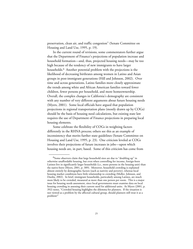preservation, clean air, and traffic congestion" (Senate Committee on Housing and Land Use, 1995, p. 19).

In the current round of revisions, some commentators further argue that the Department of Finance's projections of population increase and household formation—and, thus, projected housing needs—may be too high because of the tendency of new immigrants to have larger households.<sup>6</sup> Another potential problem with the projections is the likelihood of decreasing birthrates among women in Latino and Asian groups in post-immigrant generations (Hill and Johnson, 2002). Over time and across generations, Latino families more closely approximate the trends among white and African American families toward fewer children, fewer persons per household, and more homeownership. Overall, the complex changes in California's demography are consistent with any number of very different arguments about future housing needs (Myers, 2001). Some local officials have argued that population projections in regional transportation plans (mostly drawn up by COGs) should be the basis of housing need calculations, but existing state law requires the use of Department of Finance projections in preparing local housing elements.

Some celebrate the flexibility of COGs in weighting factors differently in the RHNA process; others see this as an example of inconsistency that merits further state guidelines (Senate Committee on Housing and Land Use, 1995, p. 23). One criticism leveled at COGs involves their projections of future increases in jobs—upon which housing needs are, in part, based. Some of this criticism has come from

<sup>&</sup>lt;sup>6</sup>Some observers claim that large household sizes are due to "doubling up" in otherwise unaffordable housing, but even when controlling for income, foreign-born Latinos live in significantly larger households (i.e., more persons in the housing unit) than the native-born (Myers, 2001, p. 389). Moreover, household crowding is explained almost entirely by demographic factors (such as nativity and poverty), whereas local housing market conditions have little relationship to crowding (Moller, Johnson, and Dardia, 2002). In brief, immigrant households, particularly among Latinos, are much more likely to be crowded, measured as more than one person per room. This is a major issue for housing needs assessment, since local governments must examine data on local housing crowding in assessing their current need for additional units. As Myers (2001, p. 392) notes, "Crowded housing highlights the dilemma for planners. If the situation is not viewed as a problem by the affected cultural group, should planners still treat it as a problem?"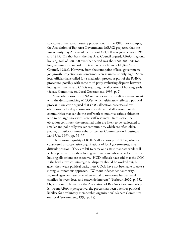advocates of increased housing production. In the 1980s, for example, the Association of Bay Area Governments (ABAG) projected that the nine-county Bay Area would add about 473,000 new jobs between 1988 and 1995. On that basis, the Bay Area Council argued, ABAG's regional housing goal of 288,000 over that period was about 50,000 units too low, assuming a standard of 1.4 workers per household (Bay Area Council, 1988a). However, from the standpoint of local governments, job growth projections are sometimes seen as unrealistically high. Some local officials have called for a mediation process as part of the RHNA procedure, possibly with some third party evaluating disputes between local governments and COGs regarding the allocation of housing goals (Senate Committee on Local Government, 1993, p. 2).

Some objections to RHNA outcomes are the result of disagreement with the decisionmaking of COGs, which ultimately reflects a political process. One critic argued that COG allocation processes allow objections by local governments after the initial allocation, but the communities that can do the staff work to mount a serious objection tend to be large cities with large staff resources. In this case, the objection continues, the unwanted units are likely to be reallocated to smaller and politically weaker communities, which are often older, poorer, or built-out inner suburbs (Senate Committee on Housing and Land Use, 1995, pp. 56–57).

The zero-sum quality of RHNA allocations puts COGs, which are constituted as cooperative organizations of local governments, in a difficult position. They are left to carry out a state mandate while still feeling pressure from their local government members who feel that their housing allocations are excessive. HCD officials have said that the COG is the level at which intraregional disputes should be worked out, but given their weak political basis, most COGs have not been able to take a strong, autonomous approach. "Without independent authority, regional agencies have little wherewithal to overcome fundamental conflicts between local and statewide interests" (Barbour, 2002, p. 65). Or, as a senior planner for the Association of Bay Area Governments put it, "From ABAG's perspective, the process has been a serious political liability for a voluntary membership organization" (Senate Committee on Local Government, 1993, p. 48).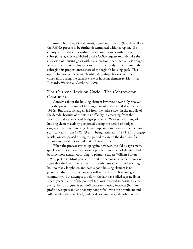Assembly Bill 438 (Torlakson), signed into law in 1998, does allow the RHNA process to be further decentralized within a region. If a county and all the cities within it (or a joint powers authority or subregional agency established by the COG) request to undertake the allocation of housing goals within a subregion, then the COG is obliged to turn that responsibility over to this smaller body, after assigning the subregion its proportionate share of the region's housing goal. This option has not yet been widely utilized, perhaps because of time constraints during the current cycle of housing element revisions (see Richards, Watson & Gershon, 1999).

# **The Current Revision Cycle: The Controversy Continues**

Concerns about the housing element law were never fully resolved after the previous round of housing element updates ended in the early 1990s. But the topic largely fell from the radar screen in the middle of the decade, because of the state's difficulty in emerging from the recession and its associated budget problems. With state funding of housing element activity postponed during the period of budget exigencies, required housing element update activity was suspended for six fiscal years, from 1992–93 until being resumed in 1998–99. Stopgap legislation was passed during this period to extend the deadlines for regions and localities to undertake their updates.

When the process started up again, however, the old disagreements quickly resurfaced, even as housing problems in much of the state had become more acute. According to planning expert William Fulton (1999, p. 114), "Most people involved in the housing element process agree that the law is ineffective: it is overly bureaucratic and exacting, has too many loopholes, and even a good housing element is no guarantee that affordable housing will actually be built in any given community. But attempts to reform the law have failed repeatedly in recent years." One of the political tensions involved in housing element policy, Fulton argues, is standoff between housing interests (both forprofit developers and antipoverty nonprofits), who are prominent and influential at the state level, and local governments, who often see the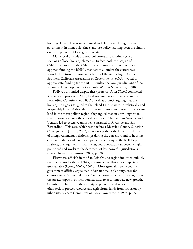housing element law as unwarranted and clumsy meddling by state government in home rule, since land-use policy has long been the almost exclusive purview of local governments.

Many local officials did not look forward to another cycle of revisions of local housing elements. In fact, both the League of California Cities and the California State Association of Counties opposed funding the RHNA mandate at all unless the statute was reworked; in turn, the governing board of the state's largest COG, the Southern California Association of Governments (SCAG), voted to oppose state funding for the RHNA unless the local jurisdictions of the region no longer opposed it (Richards, Watson & Gershon, 1998).

RHNA was funded despite these protests. After SCAG completed its allocation process in 2000, local governments in Riverside and San Bernardino Counties sued HCD as well as SCAG, arguing that the housing unit goals assigned to the Inland Empire were unrealistically and inequitably large. Although inland communities hold most of the vacant land in the metropolitan region, they argued that an unwillingness to accept housing among the coastal counties of Orange, Los Angeles, and Ventura led to excessive units being assigned to Riverside and San Bernardino. This case, which went before a Riverside County Superior Court judge in January 2002, represents perhaps the largest breakdown of intergovernmental relationships during the current round of housing element updates and has drawn particular scrutiny to the RHNA process. In short, the argument is that the regional allocation can become highly politicized and works to the detriment of less-powerful jurisdictions (Little Hoover Commission, 2002, p. 19).

Elsewhere, officials in the San Luis Obispo region indicated publicly that they consider the RHNA goals assigned to that area completely unattainable (Lyons, 2002a, 2002b). More generally, some county government officials argue that it does not make planning sense for counties to be "treated like cities" in the housing element process, given the greater capacity of incorporated cities to accommodate new growth. Counties are limited in their ability to provide city-like services, and often seek to protect resource and agricultural lands from intrusion by urban uses (Senate Committee on Local Government, 1993, p. 89).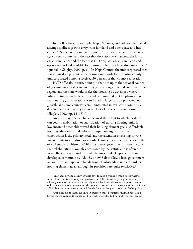In the Bay Area, for example, Napa, Sonoma, and Solano Counties all attempt to direct growth away from farmland and open space and into cities. A Napa County supervisor notes, "Consider the fact that we're an agricultural county, and the fact that the state always laments the loss of agricultural land, and the fact that HCD equates agricultural land and open space as land available for housing. There is a huge disconnect there" (quoted in Shigley, 2002, p. 1). In Napa County, the unincorporated area was assigned 28 percent of the housing unit goals for the entire county; unincorporated Sonoma received 30 percent of that county's allocation.

HCD officials, in turn, point out that it is up to the regional council of governments to allocate housing goals among cities and counties in the region, and the state would prefer that housing be developed where infrastructure is available and sprawl is minimized. COG planners note that housing goal allocations were based in large part on projected job growth, and some counties seem uninterested in restricting commercial development even as they bemoan a lack of capacity to take housing (Shigley, 2002, pp. 14–15).7

Another major debate has concerned the extent to which localities can count rehabilitation or subsidization of existing housing units for low-income households toward their housing element goals. Affordable housing advocates and developer groups have argued that new construction is the primary need, and the alteration of existing privatemarket units to subsidized or affordable units does little to ameliorate the overall supply problem in California. Local governments make the case that rehabilitation is overtly encouraged by the statute and is often the most efficient way to make affordable units available, particularly in fully developed communities. AB 438 of 1998 does allow a local government to count certain types of rehabilitation of substandard units toward its housing element goal, although its provisions are quite restrictive.<sup>8</sup>

 $7$ In Napa, city and county officials have formed a working group to see whether some of the county's housing unit goals can be shifted to cities, perhaps in exchange for allowing cities to annex some industrially zoned land near the county airport. Transfers of housing allocations between jurisdictions are permitted under changes to the law in the 1990s, but the requirements on such "trades" are relatively strict (Curtin, 2000, p. 11).

<sup>8</sup>For example, the housing units in question must be unfit for human habitation before the renovation, the units must be made affordable to low- and very-low-income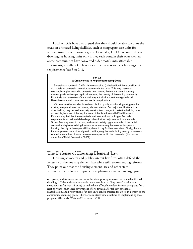Local officials have also argued that they should be able to count the creation of shared living facilities, such as congregate care units for seniors, toward their housing goals. Generally, HCD has counted new dwellings as housing units only if they each contain their own kitchen. Some communities have converted older motels into affordable apartments, installing kitchenettes in the process to meet housing-unit requirements (see Box 2.1).

#### **Box 2.1 A Creative Way to Help Meet Housing Goals**

Several communities in California have acquired (or helped fund the acquisition) of old motels for conversion into affordable residential units. This may present a seemingly simpler method to generate new housing that counts toward housing element goals, without perceptibly increasing the density of the existing community. Potentially, the renovation of the motel may actually improve the neighborhood. Nevertheless, motel conversion too has its complications.

Kitchens must be installed in each unit for it to qualify as a housing unit, given the existing interpretation of the housing element statute. But major modifications to an older building may necessitate costly construction changes to make the building more accessible, because of the requirements of the Americans with Disabilities Act. Planners may find that the converted motel violates local parking or fire code requirements for residential dwellings unless further major renovations are made. School fees may need to be paid, and seismic safety upgrades made. If the motel conversion displaces existing low-income tenants using the motel as temporary housing, the city or developer will likely have to pay for their relocation. Finally, there is the ever-present issue of local growth politics; neighbors—including nearby businesses worried about a loss of motel customers—may object to the conversion (discussion draws from "Motel Conversion," 2002).

## **The Defense of Housing Element Law**

Housing advocates and public-interest law firms often defend the necessity of the housing element law while still recommending reforms. They point out that the housing element law and other state requirements for local comprehensive planning emerged in large part

**\_\_\_\_\_\_\_\_\_\_\_\_\_\_\_\_\_\_\_\_\_\_\_\_\_\_\_\_\_\_\_\_\_\_\_\_\_\_\_\_\_\_\_\_\_\_\_\_\_\_\_\_\_\_\_\_**

occupants, and former occupants must be given priority to move into the rehabilitated dwellings. Cities and counties are also now permitted to "buy down" market rate apartments (of at least 16 units) to make them affordable to low-income occupants for at least 30 years. Such local government efforts toward affordability covenants, rehabilitation, and preservation of at-risk units can be credited for up to 25 percent of the community's housing goals. There are also strict time deadlines to implementing these programs (Richards, Watson & Gershon, 1999).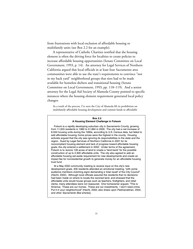from frustrations with local exclusion of affordable housing or multifamily units (see Box 2.2 for an example).

A representative of Catholic Charities testified that the housing element is often the driving force for localities to create policies to increase affordable housing opportunities (Senate Committee on Local Government, 1993, p. 14). An attorney for Legal Services of Northern California argued that local officials in at least four Sacramento area communities were able to use the state's requirements to convince "not in my back yard" neighborhood groups that sites had to be made available for homeless shelters and transitional housing (Senate Committee on Local Government, 1993, pp. 118–119). And a senior attorney for the Legal Aid Society of Alameda County pointed to specific instances where the housing element requirement generated local policy changes:

As a result of the process, I've seen the City of Alameda lift its prohibition on multifamily affordable housing development and commit funds to affordable

#### **Box 2.2 A Housing Element Challenge in Folsom**

Folsom is a rapidly developing suburban city in Sacramento County, growing from 11,003 residents in 1980 to 51,884 in 2000. The city had a net increase of 8,550 housing units during the 1990s, according to U.S. Census data, but failed to add affordable housing; home prices were the highest in the county. Housing activists argued that the city was ignoring its responsibilities to the state and the region. Sued by Legal Services of Northern California in 2001 for its noncompliant housing element and lack of progress toward affordable housing goals, the city entered a settlement in 2002. Under terms of the agreement, Folsom is to rezone 128 acres of land to create a "land bank" for the possible construction of up to 2,900 affordable units. The city also agreed to add an affordable housing set-aside requirement for new developments and create an impact fee for nonresidential growth to generate money for an affordable housing trust fund.

At a May 2002 community meeting to receive input on the city's new development goals, 400 residents attended an emotional meeting, "with some audience members clutching signs demanding a 'total recall' of the City Council" (Hecht, 2002). Although local officials assured the residents that no decisions had been made on where to locate the rezoned land, and stressed that the affordable units would house groups such as teachers, firefighters, and retail clerks, many attendees were not reassured. One homeowner argued, "This is America. These are our homes. These are our investments. I don't need crime. Put it in your neighborhood" (Hecht, 2002; also draws upon Padmanabhan, 2002, and other Sacramento Bee articles).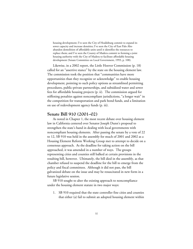housing development; I've seen the City of Healdsburg commit to expand its sewer capacity and increase densities; I've seen the City of East Palo Alto abandon demolition of affordable units until it identifies the resources to replace them; and I've seen the County of Madera commit to forming a joint housing authority with the City of Madera to facilitate affordable housing development (Senate Committee on Local Government, 1993, p. 108).

Likewise, in a 2002 report, the Little Hoover Commission (p. 18) called for an "assertive stance" by the state on the housing element law. The commission took the position that "communities have more opportunities than they recognize or acknowledge" to enable housing development, pointing to such policy options as streamlined permitting procedures, public-private partnerships, and subsidized water and sewer fees for affordable housing projects (p. ii). The commission argued for stiffening penalties against noncompliant jurisdictions, "a longer wait" in the competition for transportation and park bond funds, and a limitation on use of redevelopment agency funds (p. iii).

## **Senate Bill 910 (2001–02)**

As noted in Chapter 1, the most recent debate over housing element law in California centered over Senator Joseph Dunn's proposal to strengthen the state's hand in dealing with local governments with noncompliant housing elements. After passing the senate by a vote of 22 to 12, SB 910 was held in the assembly for much of 2001 and 2002 as a Housing Element Reform Working Group met to attempt to decide on a consensus approach. As the deadline for taking action on the bill approached, it was amended in a number of ways. The groups representing cities and counties still balked at certain provisions in the resulting bill, however. Ultimately, the bill died in the assembly, as that chamber refused to suspend the deadline for the bill to emerge from the policy and fiscal committees. Although it did not pass, the bill galvanized debate on the issue and may be resuscitated in new form in a future legislative session.

SB 910 sought to alter the existing approach to noncompliance under the housing element statute in two major ways:

1. SB 910 required that the state controller fine cities and counties that either (a) fail to submit an adopted housing element within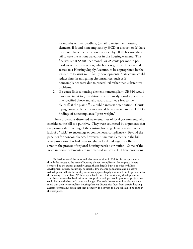six months of their deadline, (b) fail to revise their housing elements, if found noncompliant by HCD or a court, or (c) have their compliance certification rescinded by HCD because they fail to take the actions called for in the housing element. The fine was set at \$5,000 per month, or 25 cents per month per resident of the jurisdiction, whichever is greater. Fines would accrue to a Housing Supply Account, to be appropriated by the legislature to assist multifamily developments. State courts could reduce fines in mitigating circumstances, such as if noncompliance were due to procedural rather than substantive problems.

2. If a court finds a housing element noncompliant, SB 910 would have directed it to (in addition to any remedy it orders) levy the fine specified above and also award attorney's fees to the plaintiff, if the plaintiff is a public-interest organization. Courts trying housing element cases would be instructed to give HCD's findings of noncompliance "great weight."

These provisions distressed representatives of local government, who considered the bill too punitive. They were countered by arguments that the primary shortcoming of the existing housing element statute is its lack of a "stick" to encourage or compel local compliance.<sup>9</sup> Beyond the penalties for noncompliance, however, numerous elements in the bill were provisions that had been sought by local and regional officials to smooth the process of regional housing needs distribution. Some of the more important elements are summarized in Box 2.3. These provisions

<sup>&</sup>lt;sup>9</sup>Indeed, some of the most exclusive communities in California can apparently thumb their noses at the issue of housing element compliance. Policy practitioners contacted by the author generally agreed that in largely built-out cities with little development activity occurring, no sizeable low-income population, and no active redevelopment effort, the local government appears largely immune from litigation under the housing element law. With no open land zoned for multifamily development or available at reasonable land prices, no nonprofit developers could propose a project that could become the basis of a court challenge. The exclusive communities also may not mind that their noncompliant housing element disqualifies them from certain housingassistance programs, given that they probably do not wish to have subsidized housing in the first place.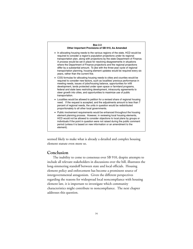

seemed likely to make what is already a detailed and complex housing element statute even more so.

## **Conclusion**

The inability to come to consensus over SB 910, despite attempts to include all relevant stakeholders in discussions over the bill, illustrates the long-simmering standoff between state and local officials. Housing element policy and enforcement has become a prominent source of intergovernmental antagonism. Given the different perspectives regarding the reasons for widespread local noncompliance with housing element law, it is important to investigate which community characteristics might contribute to noncompliance. The next chapter addresses this question.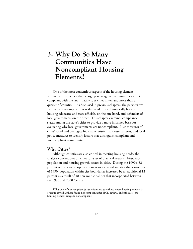# **3. Why Do So Many Communities Have Noncompliant Housing Elements?**

One of the most contentious aspects of the housing element requirement is the fact that a large percentage of communities are not compliant with the law—nearly four cities in ten and more than a quarter of counties.<sup>1</sup> As discussed in previous chapters, the perspectives as to why noncompliance is widespread differ dramatically between housing advocates and state officials, on the one hand, and defenders of local governments on the other. This chapter examines compliance status among the state's cities to provide a more informed basis for evaluating why local governments are noncompliant. I use measures of cities' social and demographic characteristics, land-use patterns, and local policy measures to identify factors that distinguish compliant and noncompliant communities.

## **Why Cities?**

\_\_\_\_\_\_\_\_\_\_\_\_

Although counties are also critical in meeting housing needs, the analysis concentrates on cities for a set of practical reasons. First, most population and housing growth occurs in cities. During the 1990s, 82 percent of the state's population increase occurred in cities that existed as of 1990; population within city boundaries increased by an additional 12 percent as a result of 18 new municipalities that incorporated between the 1990 and 2000 Census.

<sup>&</sup>lt;sup>1</sup>This tally of noncompliant jurisdictions includes those whose housing element is overdue as well as those found noncompliant after HCD review. In both cases, the housing element is legally noncompliant.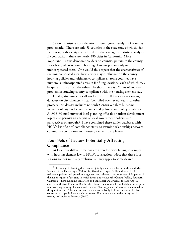Second, statistical considerations make rigorous analysis of counties problematic. There are only 58 counties in the state (one of which, San Francisco, is also a city), which reduces the leverage of statistical analysis. By comparison, there are nearly 480 cities in California. More important, Census demographic data on counties pertain to the county as a whole, whereas county housing elements pertain only to unincorporated areas. One would thus expect that the characteristics of the unincorporated areas have a very major influence on the county's housing policies and, ultimately, compliance. Some counties have numerous unincorporated areas in far-flung locations, each of which may be quite distinct from the others. In short, there is a "units of analysis" problem in studying county compliance with the housing element law.

Finally, studying cities allows for use of PPIC's extensive existing database on city characteristics. Compiled over several years for other projects, this dataset includes not only Census variables but some measures of city budgetary revenues and political and policy attributes. A 1998–99 mail survey of local planning officials on urban development topics also permits an analysis of local government policies and perspectives on growth.2 I have combined these earlier databases with HCD's list of cities' compliance status to examine relationships between community conditions and housing element compliance.

# **Four Sets of Factors Potentially Affecting Compliance**

\_\_\_\_\_\_\_\_\_\_\_\_

At least four different reasons are given for cities failing to comply with housing element law to HCD's satisfaction. Note that these four reasons are not mutually exclusive; all may apply to some degree.

 $2$ The survey of planning directors was jointly undertaken by the author and Max Neiman of the University of California, Riverside. It specifically addressed local residential policies and growth management and achieved a response rate of 76 percent in the major regions of the state in which it was undertaken (the Central Valley, Southern California—here including San Diego and Santa Barbara as well as the Los Angeles area—and the San Francisco Bay Area). The survey was initially undertaken for purposes not involving housing elements, and the term "housing element" was not mentioned in the questionnaire. This means that respondents probably had little reason to let that controversial topic influence their responses. For more details on the survey and its results, see Lewis and Neiman (2000).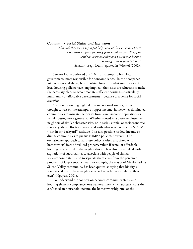## *Community Social Status and Exclusion*

*"Although they won't say so publicly, some of these cities don't care what their assigned [housing goal] numbers are. They just won't do it because they don't want low-income housing in their jurisdictions."* —Senator Joseph Dunn, quoted in Wisckol (2002).

Senator Dunn authored SB 910 in an attempt to hold local governments more responsible for noncompliance. In the newspaper interview quoted above, he articulated forcefully what some critics of local housing policies have long implied: that cities are reluctant to make the necessary plans to accommodate sufficient housing—particularly multifamily or affordable developments—because of a desire for social exclusion.

Such exclusion, highlighted in some national studies, is often thought to rest on the attempts of upper-income, homeowner-dominated communities to insulate their cities from lower-income populations or rental housing more generally. Whether rooted in a desire to cluster with neighbors of similar characteristics, or in racial, ethnic, or socioeconomic snobbery, these efforts are associated with what is often called a NIMBY ("not in my backyard") attitude. It is also possible for low-income or diverse communities to pursue NIMBY policies, however. The exclusionary approach to land-use policy is often associated with homeowners' fears of reduced property values if rental or affordable housing is permitted in the neighborhood. It is also often linked with the aspirations of suburbanites to associate with people of similar socioeconomic status and to separate themselves from the perceived problems of large central cities. For example, the mayor of Menlo Park, a Silicon Valley community, has been quoted as saying that his city's residents "desire to have neighbors who live in homes similar to their own" (Nguyen, 2001).

To understand the connection between community status and housing element compliance, one can examine such characteristics as the city's median household income, the homeownership rate, or the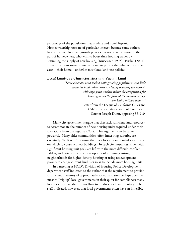percentage of the population that is white and non-Hispanic. Homeownership rates are of particular interest, because some authors have attributed local antigrowth policies to cartel-like behavior on the part of homeowners, who wish to boost their housing values by restricting the supply of new housing (Brueckner, 1995). Fischel (2001) argues that homeowners' intense desire to protect the value of their main asset—their home—underlies most local land-use policies.

#### *Local Land-Use Characteristics and Vacant Land*

*"Some cities are land-locked with growing populations and little available land; other cities are facing booming job markets with high-paid workers where the competition for housing drives the price of the smallest cottage over half a million dollars."* —Letter from the League of California Cities and California State Association of Counties to Senator Joseph Dunn, opposing SB 910.

Many city governments argue that they lack sufficient land resources to accommodate the number of new housing units required under their allocations from the regional COG. This argument can be quite powerful. Many older communities, often inner-ring suburbs, are essentially "built out," meaning that they lack any substantial vacant land on which to construct new buildings. In such circumstances, cities with significant housing unit goals are left with the more difficult, conflictridden, and potentially expensive options of rezoning existing neighborhoods for higher-density housing or using redevelopment powers to change current land uses so as to include more housing units.

In a meeting at HCD's Division of Housing Policy Development, department staff indicated to the author that the requirement to provide a sufficient inventory of appropriately zoned land sites perhaps does the most to "trip up" local governments in their quest for compliance; many localities prove unable or unwilling to produce such an inventory. The staff indicated, however, that local governments often have an inflexible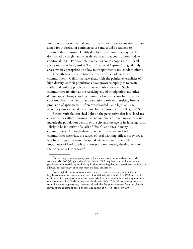notion of vacant residential land, as many cities have vacant sites that are zoned for industrial or commercial use and could be rezoned to accommodate housing. Highly developed communities may also be dominated by single-family residential areas that could accommodate additional units. For example, such cities could adopt a more liberal policy on secondary ("in-law") units<sup>3</sup> or could "upzone" single-family areas, where appropriate, to allow more apartments and condominiums.

Nevertheless, it is also true that many of such older, inner communities in California have already felt the painful externalities of high density, as their populations have grown so rapidly as to create traffic and parking problems and strain public services. Such communities are often at the receiving end of immigration and other demographic changes, and communities like Santa Ana have expressed concerns about fire hazards and sanitation problems resulting from a profusion of apartments—often overcrowded—and legal or illegal secondary units in an already dense built environment (Perkes, 2002).

Several variables can shed light on the perspective that local land-use characteristics affect housing element compliance. Such measures could include the population density of the city and the age of its housing stock (likely to be indicative of a lack of "fresh" land sites in many communities). Although there is no database of vacant land in communities statewide, the survey of local planning officials provided a helpful surrogate measure. Respondents were asked to rate the importance of land supply as a constraint on housing development in their city, on a 1-to-5 scale.<sup>4</sup>

<sup>&</sup>lt;sup>3</sup>It has long been state policy to ease local restrictions on secondary units. Most recently, AB 1866 (Wright), signed into law in 2002, requires that local governments provide for ministerial approval of applications (meaning that no discretionary reviews are allowed) for secondary units that meet the local ordinance.

 $^{4}$ Although the measure is somewhat subjective, it is reassuring to note that it is highly associated with another measure of local developable land. In a 1998 survey of California city managers, respondents were asked to indicate whether their city was built out (meaning it had "little or no vacant land available"). This (dichotomous) measure from the city manager survey is correlated with the five-point measure from the planner survey of the constraint posed by low land supply at  $r = .45$  (prob. < 0.000).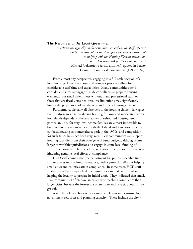## *The Resources of the Local Government*

*"My clients are typically smaller communities without the staff expertise or other resources of the state's largest cities and counties, and complying with the Housing Element statute can be a Herculean task for these communities."* —Michael Colantuono (a city attorney), quoted in Senate Committee on Local Government (1993, p. 67).

From almost any perspective, engaging in a full-scale revision of a local housing element is a long and complex process, calling for considerable staff time and capabilities. Many communities spend considerable sums to engage outside consultants to prepare housing elements. For small cities, those without many professional staff, or those that are fiscally strained, resource limitations may significantly hinder the preparation of an adequate and timely housing element.

Furthermore, virtually all observers of the housing element law agree that "performance" in producing housing for low- and moderate-income households depends on the availability of subsidized housing funds. In particular, units for very-low-income families are almost impossible to build without heavy subsidies. Both the federal and state governments cut back housing assistance after a peak in the 1970s, and competition for such funds has since been very keen. Few communities can support housing subsidies from their own general-fund budgets, although some larger or wealthier jurisdictions do engage in some local funding of affordable housing. Thus, a lack of local government resources is seen as hindering genuine local efforts at compliance.

HCD staff counter that the department has put considerable time and resources into technical assistance, with a particular effort at helping small cities and counties attain compliance. In some cases, HCD staff analysts have been dispatched to communities and taken the lead in helping the locality to prepare its initial draft. They indicated that small, rural communities often have an easier time reaching compliance than larger cities, because the former are often more enthusiastic about future growth.

A number of city characteristics may be relevant in measuring local government resources and planning capacity. These include the city's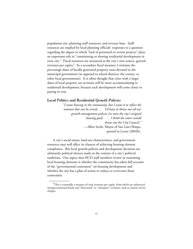population size, planning staff resources, and revenue base. Staff resources are implied by local planning officials' responses to a question regarding the degree to which "lack of personnel to review projects" plays an important role in "constraining or slowing residential development in your city." Fiscal resources are measured as the city's own-source, general revenues per capita.5 As a secondary fiscal measure, I estimate the percentage share of locally generated property taxes devoted to the municipal government (as opposed to school districts, the county, or other local governments). It is often thought that cities with a larger share of local property tax revenues will be more accommodating to residential development, because such development will come closer to paying its way.

## *Local Politics and Residential Growth Policies*

*"I want housing in the community, but I want it to reflect the amount that can be served. . . . I'd have to throw out all our growth-management policies [to meet the city's assigned housing goal]. . . . I think the voters would throw out the City Council."* —Allen Settle, Mayor of San Luis Obispo, quoted in Lyons (2002b).

A city's social status, land-use characteristics, and government resources may well affect its chances of achieving housing element compliance. But local growth policies and development decisions are ultimately political choices made in the context of a city's political traditions. One aspect that HCD staff members review in examining local housing elements is whether the community has taken full account of the "governmental constraints" on housing development and whether the city has a plan of action to reduce or overcome those constraints.

<sup>&</sup>lt;sup>5</sup>This is essentially a measure of total revenues per capita, from which are subtracted intergovernmental funds and "functional" or "enterprise" revenues, such as current service charges.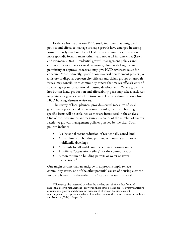Evidence from a previous PPIC study indicates that antigrowth politics and efforts to manage or shape growth have emerged in strong form in a fairly small number of California communities, in a weaker or more sporadic form in many others, and not at all in some cities (Lewis and Neiman, 2002). Residential growth-management policies and citizen initiatives that seek to slow growth, along with lengthy city permitting or approval processes, may give HCD reviewers cause for concern. More indirectly, specific controversial development projects, or a history of disputes between city officials and citizen groups on growth issues, may contribute to community rancor that makes officials wary of advancing a plan for additional housing development. Where growth is a hot-button issue, production and affordability goals may take a back seat to political exigencies, which in turn could lead to a thumbs-down from HCD housing element reviewers.

The survey of local planners provides several measures of local government policies and orientations toward growth and housing; specific items will be explained as they are introduced in the analysis. One of the most important measures is a count of the number of overtly restrictive growth-management policies pursued by the city. Such policies include:

- A substantial recent reduction of residentially zoned land,
- Annual limits on building permits, on housing units, or on multifamily dwellings,
- A formula for allowable numbers of new housing units,
- An official "population ceiling" for the community, or
- A moratorium on building permits or water or sewer connections.6

\_\_\_\_\_\_\_\_\_\_\_\_

One might assume that an antigrowth approach simply reflects community status, one of the other potential causes of housing element noncompliance. But the earlier PPIC study indicates that local

<sup>&</sup>lt;sup>6</sup>The survey also measured whether the city had any of nine other forms of residential growth management. However, these other policies are less overtly restrictive of residential growth and showed no evidence of effects on housing element noncompliance in regression analyses. For a discussion of the various measures, see Lewis and Neiman (2002), Chapter 3.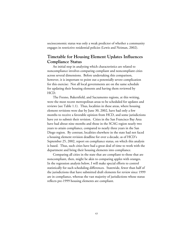socioeconomic status was only a weak predictor of whether a community engages in restrictive residential policies (Lewis and Neiman, 2002).

# **Timetable for Housing Element Updates Influences Compliance Status**

An initial step in analyzing which characteristics are related to noncompliance involves comparing compliant and noncompliant cities across several dimensions. Before undertaking this comparison, however, it is important to point out a potentially severe complication for this exercise: Not all local governments are on the same schedule for updating their housing elements and having them reviewed by HCD.

The Fresno, Bakersfield, and Sacramento regions, at this writing, were the most recent metropolitan areas to be scheduled for updates and reviews (see Table 1.1). Thus, localities in these areas, where housing element revisions were due by June 30, 2002, have had only a few months to receive a favorable opinion from HCD, and some jurisdictions have yet to submit their revision. Cities in the San Francisco Bay Area have had about nine months and those in the SCAG region nearly two years to attain compliance, compared to nearly three years in the San Diego region. By contrast, localities elsewhere in the state had not faced a housing element revision deadline for over a decade, as of HCD's September 25, 2002, report on compliance status, on which this analysis is based. Thus, such cities have had a great deal of time to work with the department and bring their housing elements into compliance.

Comparing all cities in the state that are compliant to those that are noncompliant, then, might be akin to comparing apples with oranges. In the regression analysis below, I will make special efforts to control statistically for such scheduling differences. Statewide, fewer than half of the jurisdictions that have submitted draft elements for review since 1999 are in compliance, whereas the vast majority of jurisdictions whose status reflects pre-1999 housing elements are compliant.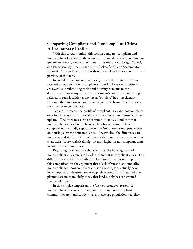# **Comparing Compliant and Noncompliant Cities: A Preliminary Profile**

With this caveat in mind, this section compares compliant and noncompliant localities in the regions that have already been required to undertake housing element revisions in this round (San Diego, SCAG, San Francisco Bay Area, Fresno, Kern (Bakersfield), and Sacramento regions). A second comparison is then undertaken for cities in the other portions of the state.

Included in the noncompliant category are those cities that have received an opinion of noncompliance from HCD as well as cities that are overdue in submitting their draft housing elements to the department. For many years, the department's compliance status report referred to such localities as having an "obsolete" housing element, although they are now referred to more gently as being "due." Legally, they are not in compliance.

Table 3.1 presents the profile of compliant cities and noncompliant ones for the regions that have already been involved in housing element updates. The three measures of community status all indicate that noncompliant cities tend to be of slightly higher status. These comparisons are mildly supportive of the "social exclusion" perspective on housing element noncompliance. Nevertheless, the differences are not great, and statistical testing indicates that none of the socioeconomic characteristics are statistically significantly higher in noncompliant than in compliant communities.

Regarding local land-use characteristics, the housing stock of noncompliant cities tends to be older than that in compliant cities. This difference is statistically significant. Otherwise, there is no support in this comparison for the argument that a lack of vacant land underlies noncompliance. Noncompliant cities in these regions actually have lower population densities, on average, than compliant cities, and their planners are no more likely to say that land supply has constrained residential growth.

In this simple comparison, the "lack of resources" reason for noncompliance receives little support. Although noncompliant communities are significantly smaller in average population size, they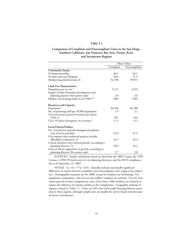#### **Table 3.1**

## **Comparison of Compliant and Noncompliant Cities in the San Diego, Southern California, San Francisco Bay Area, Fresno, Kern, and Sacramento Regions**

|                                                      | Mean Value |              |
|------------------------------------------------------|------------|--------------|
|                                                      | Compliant  | Noncompliant |
| <b>Community Status</b>                              |            |              |
| % homeownership                                      | 60.2       | 62.7         |
| % white and non-Hispanic                             | 48.0       | 51.5         |
| Median household income, \$                          | 54,780     | 59,913       |
| Land-Use Characteristics                             |            |              |
| Population per sq. mi.*                              | 5,111      | 4,322        |
| Supply of land constrains development, per           |            |              |
| planning director (five-point scale)                 | 3.8        | 3.6          |
| Median year housing built (as of 1990)***            | 1969       | 1965         |
| Resources and Capacity                               |            |              |
| Population*                                          | 64,160     | 46,788       |
| No. of planning staff per 10,000 population          | 1.9        | 2.1          |
| City own-source general revenues per capita,         |            |              |
| 1993, \$                                             | 507        | 593          |
| City's % share of property tax revenues*             | 11.5       | 13.1         |
| <b>Local Policies/Politics</b>                       |            |              |
| No. of restrictive growth-management policies        |            |              |
| (out of seven possible)                              | 0.52       | 0.72         |
| City requires that residential projects include      |            |              |
| affordable component, %                              | 32.3       | 34.3         |
| Citizen initiatives have slowed growth, according to |            |              |
| planning director, %                                 | 18.3       | 18.2         |
| Level of citizen opposition to growth, according to  |            |              |
| planning director (five-point scale)                 | 2.7        | 2.8          |

SOURCES: Author calculations based on data from the 2000 Census, the 1990 Census, a 1998–99 mail survey of city planning directors, and the HCD compliance list as of September 25, 2002.

NOTES: \*p < 0.1; \*\*\*p < 0.01. Asterisks indicate statistically significant differences in means between compliant and noncompliant cities, using a two-tailed ttest. Demographic measures are for 2000, except for median year of housing. For population comparison, cities of over one million residents are omitted. For city ownsource general revenue comparisons, cities of less than 1,000 residents are omitted to reduce the influence of extreme outliers in the comparisons. Geographic makeup of regions is listed in Table 1.1. There are 299 cities with usable housing element status data in these regions, although sample sizes are smaller for survey-based items because of survey nonresponse.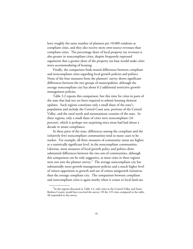have roughly the same number of planners per 10,000 residents as compliant cities, and they also receive more own-source revenues than compliant cities. The percentage share of local property tax revenues is also greater in noncompliant cities, despite frequently expressed arguments that a greater share of the property tax base would make cities more accommodating of housing.

Finally, the comparison finds muted differences between compliant and noncompliant cities regarding local growth policies and politics. None of the four measures from the planners' survey shows significant differences between the two groups of municipalities, although the average noncompliant city has about 0.2 additional restrictive growthmanagement policies.

Table 3.2 repeats this comparison, but this time for cities in parts of the state that had not yet been required to submit housing element updates. Such regions constitute only a small share of the state's population and include the Central Coast area, portions of the Central Valley, and the rural north and mountainous counties of the state. In these regions, only a small share of cities were noncompliant (16 percent), which is perhaps not surprising since most had had about a decade to attain compliance.

In these parts of the state, differences among the compliant and the (relatively few) noncompliant communities tend in many cases to be starker. For example, all three measures of community status are higher, at a statistically significant level, in the noncompliant communities. Likewise, most measures of local growth policy and politics show substantial differences between the two sets of communities, although this comparison can be only suggestive, as most cities in these regions were not sent the planner survey.<sup>7</sup> The average noncompliant city has substantially more growth-management policies and a much higher level of citizen opposition to growth and use of citizen antigrowth initiatives than the average compliant city. The comparison between compliant and noncompliant cities is again murky when it comes to local land-use

<sup>&</sup>lt;sup>7</sup>In the regions discussed in Table 3.2, only cities in the Central Valley and Santa Barbara County would have received the survey. Of the 125 cities compared in the table, 48 responded to the survey.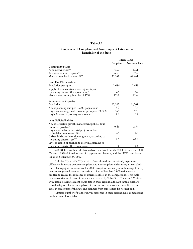#### **Table 3.2**

## **Comparison of Compliant and Noncompliant Cities in the Remainder of the State**

|                                                                                                             | Mean Value                    |              |
|-------------------------------------------------------------------------------------------------------------|-------------------------------|--------------|
|                                                                                                             | $\overline{\text{Compliant}}$ | Noncompliant |
| <b>Community Status</b>                                                                                     |                               |              |
| % homeownership**                                                                                           | 57.2                          | 62.1         |
| % white and non-Hispanic**                                                                                  | 60.9                          | 73.7         |
| Median household income, \$**                                                                               | 35,341                        | 44,441       |
| <b>Land Use Characteristics</b>                                                                             |                               |              |
| Population per sq. mi.                                                                                      | 2,686                         | 2,648        |
| Supply of land constrains development, per                                                                  |                               |              |
| planning director (five-point scale) <sup>a</sup>                                                           | 2.5                           | 3.1          |
| Median year housing built (as of 1990)                                                                      | 1966                          | 1967         |
| <b>Resources and Capacity</b>                                                                               |                               |              |
| Population                                                                                                  | 20,307                        | 24,261       |
| No. of planning staff per 10,000 population <sup>a</sup>                                                    | 1.7                           | 2.4          |
| City own-source general revenues per capita, 1993, \$                                                       | 466                           | 478          |
| City's % share of property tax revenues                                                                     | 14.8                          | 15.4         |
| <b>Local Policies/Politics</b>                                                                              |                               |              |
| No. of restrictive growth-management policies (out<br>of seven possible) <sup>a***</sup>                    | 0.43                          | 2.57         |
| City requires that residential projects include<br>affordable component, % <sup>a</sup>                     | 19.5                          | 14.3         |
| Citizen initiatives have slowed growth, according to<br>planning director, % <sup>2***</sup>                | 2.5                           | 42.9         |
| Level of citizen opposition to growth, according to<br>planning director (five-point scale) <sup>a***</sup> | 2.3                           | 3.9          |

SOURCES: Author calculations based on data from the 2000 Census, the 1990 Census, a 1998–99 mail survey of city planning directors, and the HCD compliance list as of September 25, 2002.

NOTES: \*\*p < 0.05; \*\*\*p < 0.01. Asterisks indicate statistically significant differences in means between compliant and noncompliant cities, using a two-tailed ttest. Demographic measures are for 2000, except for median year of housing. For city own-source general revenue comparisons, cities of less than 1,000 residents are omitted to reduce the influence of extreme outliers in the comparisons. This table relates to cities in all parts of the state not covered by Table 3.1. There are 125 cities with usable housing element status data in these regions, although sample sizes are considerably smaller for survey-based items because the survey was not directed at cities in some parts of the state and planners from some cities did not respond.

aLimited number of planner survey responses in these regions make comparisons on these items less reliable.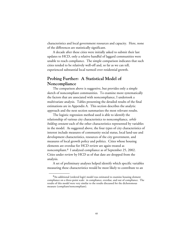characteristics and local government resources and capacity. Here, none of the differences are statistically significant.

A decade after these cities were initially asked to submit their last updates to HCD, only a relative handful of laggard communities were unable to reach compliance. The simple comparison indicates that such cities tended to be relatively well-off and, so far as we can tell, experienced substantial local turmoil over residential growth.

# **Probing Further: A Statistical Model of Noncompliance**

The comparison above is suggestive, but provides only a simple sketch of noncompliant communities. To examine more systematically the factors that are associated with noncompliance, I undertook a multivariate analysis. Tables presenting the detailed results of the final estimations are in Appendix A. This section describes the analytic approach and the next section summarizes the most relevant results.

The logistic regression method used is able to identify the relationship of various city characteristics to noncompliance, *while holding constant* each of the other characteristics represented by variables in the model. As suggested above, the four types of city characteristics of interest include measures of community social status, local land-use and development characteristics, resources of the city government, and measures of local growth policy and politics. Cities whose housing elements are overdue for HCD review are again treated as noncompliant.8 I analyzed compliance as of September 25, 2002. Cities under review by HCD as of that date are dropped from the analysis.

A set of preliminary analyses helped identify which specific variables measuring these characteristics would be most likely to contribute to an

<sup>&</sup>lt;sup>8</sup>An additional (ordered logit) model was estimated to examine housing element compliance on a three-point scale: in compliance, overdue, and out of compliance. The results of this model were very similar to the results discussed for the dichotomous measure (compliant/noncompliant).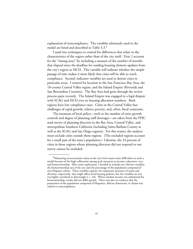explanation of noncompliance. The variables ultimately used in the model are listed and described in Table 3.3.9

I used two techniques to control for differences that relate to the characteristics of the region rather than of the city itself. First, I account for the "timing issue" by including a measure of the number of months that elapsed since the deadline for sending housing element updates from the city's region to HCD. This variable will indicate whether the simple passage of time makes it more likely that cities will be able to reach compliance. Second, indicator variables are used to denote cities in particular areas. I control for location in the San Francisco Bay Area, the 18-county Central Valley region, and the Inland Empire (Riverside and San Bernardino Counties). The Bay Area had gone through the review process quite recently. The Inland Empire was engaged in a legal dispute with SCAG and HCD over its housing allocation numbers. Both regions have low compliance rates. Cities in the Central Valley face challenges of rapid growth, relative poverty, and, often, fiscal constraint.

The measures of local policy—such as the number of strict growth controls and degree of planning staff shortages—are taken from the PPIC mail survey of planning directors in the Bay Area, Central Valley, and metropolitan Southern California (including Santa Barbara County as well as the SCAG and San Diego regions). For this reason, the analysis must exclude cities outside those regions. (The excluded regions account for a small part of the state's population.) Likewise, the 24 percent of cities in those regions whose planning directors did not respond to our survey cannot be included.

<sup>&</sup>lt;sup>9</sup>Measuring socioeconomic status at the city level creates some difficulties in such a model because of the high collinearity among such measures as income, education, race, and homeownership. After some exploration, I decided to include two relevant variables: the homeownership rate of the city and the percentage of the population composed of non-Hispanic whites. These variables capture two important measures of status and diversity, respectively, that might affect local housing policies, but the variables are not too highly correlated to disentangle  $(r = .44)$ . Where median income was substituted for homeownership, results did not differ greatly. There was also no evidence that the proportion of the population composed of Hispanics, African Americans, or Asians was related to noncompliance.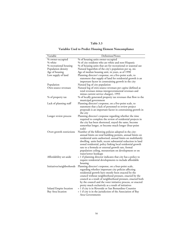## **Table 3.3**

# **Variables Used to Predict Housing Element Noncompliance**

| Variable                  | Definition/Notes                                                                                                                                                                                                                                                                                                                                                                                                                                |
|---------------------------|-------------------------------------------------------------------------------------------------------------------------------------------------------------------------------------------------------------------------------------------------------------------------------------------------------------------------------------------------------------------------------------------------------------------------------------------------|
| % owner-occupied          | % of housing units owner-occupied                                                                                                                                                                                                                                                                                                                                                                                                               |
| % white                   | % of city residents who are white and non-Hispanic                                                                                                                                                                                                                                                                                                                                                                                              |
| % recreational housing    | % of housing units that are for recreational or seasonal use                                                                                                                                                                                                                                                                                                                                                                                    |
| Population density        | Natural logarithm of the city's population per sq. mi.                                                                                                                                                                                                                                                                                                                                                                                          |
| Age of housing            | Age of median housing unit, in years, as of 1990                                                                                                                                                                                                                                                                                                                                                                                                |
| Low supply of land        | Planning director's response, on a five-point scale, to<br>statement that supply of land for residential growth is an<br>important factor in constraining growth in the city                                                                                                                                                                                                                                                                    |
| Population                | Natural log of city population                                                                                                                                                                                                                                                                                                                                                                                                                  |
| Own-source revenues       | Natural log of own-source revenues per capita (defined as<br>total revenues minus intergovernmental revenues and<br>minus current service charges), 1993                                                                                                                                                                                                                                                                                        |
| % of property tax         | % of locally generated property tax revenues that flow to the<br>municipal government                                                                                                                                                                                                                                                                                                                                                           |
| Lack of planning staff    | Planning director's response, on a five-point scale, to                                                                                                                                                                                                                                                                                                                                                                                         |
|                           | statement that a lack of personnel to review project                                                                                                                                                                                                                                                                                                                                                                                            |
|                           | proposals is an important factor in constraining growth in<br>the city                                                                                                                                                                                                                                                                                                                                                                          |
| Longer review process     | Planning director's response regarding whether the time                                                                                                                                                                                                                                                                                                                                                                                         |
|                           | required to complete the review of residential projects in<br>the city has been shortened, stayed the same, become<br>somewhat longer, or become much longer (four-point<br>scale)                                                                                                                                                                                                                                                              |
| Overt growth restrictions | Number of the following policies adopted in the city:<br>annual limits on total building permits, annual limits on<br>residential units authorized, annual limits on multifamily<br>dwelling units built, recent substantial reduction in land<br>zoned residential, policy linking local residential growth<br>rate to a formula or external growth rate, formal<br>population ceiling, moratorium on development or on<br>water/sewer hookups |
| Affordability set-aside   | = 1 if planning director indicates that city has a policy to<br>require residential developments to include affordable<br>housing                                                                                                                                                                                                                                                                                                               |
| Initiatives/neighborhoods | Planning director's response, on a four-point scale,<br>regarding whether important city policies affecting<br>residential growth have mostly been enacted by the<br>council without neighborhood pressure, enacted by the<br>council as a result of neighborhood pressure, enacted both<br>by the council and the voter initiative process, or enacted<br>pretty much exclusively as a result of initiatives                                   |
| Inland Empire location    | = 1 if city is in Riverside or San Bernardino Counties                                                                                                                                                                                                                                                                                                                                                                                          |
| Bay Area location         | = 1 if city is in the jurisdiction of the Association of Bay                                                                                                                                                                                                                                                                                                                                                                                    |
|                           | Area Governments                                                                                                                                                                                                                                                                                                                                                                                                                                |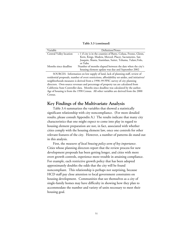**Table 3.3 (continued)**

| Variable                | Definition/Notes                                                                                                              |
|-------------------------|-------------------------------------------------------------------------------------------------------------------------------|
| Central Valley location | = 1 if city is in the counties of Butte, Colusa, Fresno, Glenn,                                                               |
|                         | Kern, Kings, Madera, Merced, Placer, Sacramento, San<br>Joaquin, Shasta, Stanislaus, Sutter, Tehama, Tulare, Yolo,<br>or Yuba |
| Months since deadline   | Number of months elapsed between the date when the city's<br>housing element update was due and September 2002                |

SOURCES: Information on low supply of land, lack of planning staff, review of residential proposals, number of overt restrictions, affordability set-asides, and initiatives/ neighborhoods measures is derived from a 1998–99 PPIC survey of city planning directors. Own-source revenues and percentage of property tax are calculated from California State Controller data. Months since deadline was calculated by the author. Age of housing is from the 1990 Census. All other variables are derived from the 2000 Census.

## **Key Findings of the Multivariate Analysis**

Table 3.4 summarizes the variables that showed a statistically significant relationship with city noncompliance. (For more detailed results, please consult Appendix A.) The results indicate that many city characteristics that one might expect to come into play in regard to housing element preparation are not, in fact, associated with whether cities comply with the housing element law, once one controls for other relevant features of the city. However, a number of patterns do stand out in this analysis.

First, the *measures of local housing policy seem of key importance*. Cities whose planning directors report that the review process for new development proposals has been getting longer, and cities with more overt growth controls, experience more trouble in attaining compliance. For example, each restrictive growth policy that has been adopted approximately doubles the odds that the city will be found noncompliant. This relationship is perhaps not surprising, because HCD staff pay close attention to local government constraints on housing development. Communities that see themselves as a city of single-family homes may have difficulty in showing how they plan to accommodate the number and variety of units necessary to meet their housing goal.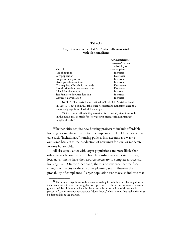### **Table 3.4**

## **City Characteristics That Are Statistically Associated with Noncompliance**

|                                       | As Characteristic      |
|---------------------------------------|------------------------|
|                                       | Increases/Occurs,      |
|                                       | Probability of         |
| Variable                              | Noncompliance          |
| Age of housing                        | Increases              |
| City population                       | Decreases              |
| Longer review process                 | Increases              |
| Overt growth restrictions             | Increases              |
| City requires affordability set-aside | Decreases <sup>a</sup> |
| Months since housing element due      | Decreases              |
| Inland Empire location                | Increases              |
| San Francisco Bay Area location       | Increases              |
| Central Valley location               | Increases              |

NOTES: The variables are defined in Table 3.1. Variables listed in Table 3.1 but not in this table were not related to noncompliance at a statistically significant level, defined as p < .1.

a"City requires affordability set-aside" is statistically significant only in the model that controls for "slow growth pressure from initiatives/ neighborhoods."

Whether cities require new housing projects to include affordable housing is a significant predictor of compliance.<sup>10</sup> HCD reviewers may take such "inclusionary" housing policies into account as a way to overcome barriers to the production of new units for low- or moderateincome households.

All else equal, cities with larger populations are more likely than others to reach compliance. This relationship may indicate that large local governments have the resources necessary to complete a successful housing plan. On the other hand, there is no evidence that the fiscal strength of the city or the size of its planning staff influences the probability of compliance. Larger population size may also indicate that

 $10$ This result is significant only when controlling for whether the planning director feels that voter initiatives and neighborhood pressure have been a major source of slowgrowth policies. I do not include this latter variable in the main model because 14 percent of survey respondents answered "don't know," which means that such cities must be dropped from the analysis.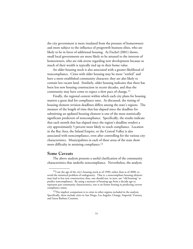the city government is more insulated from the pressure of homeowners and more subject to the influence of progrowth business elites, who are likely to be in favor of additional housing. As Fischel (2001) shows, small local governments are more likely to be attuned to the interests of homeowners, who are risk-averse regarding new development because so much of their wealth is typically tied up in their home value.

An older housing stock is also associated with a greater likelihood of noncompliance. Cities with older housing may be more "settled" and have a more established community character; they are also likely to contain less vacant land. Similarly, older housing indicates that there has been less new housing construction in recent decades, and thus the community may have come to expect a slow pace of change.<sup>11</sup>

Finally, the regional context within which each city plans for housing matters a great deal for compliance rates.As discussed, the timing of housing element revision deadlines differs among the state's regions. The measure of the length of time that has elapsed since the deadline for submitting an updated housing element is one of the most statistically significant predictors of noncompliance. Specifically, the results indicate that each month that has elapsed since the region's deadline renders a city approximately 5 percent more likely to reach compliance. Location in the Bay Area, the Inland Empire, or the Central Valley is also associated with noncompliance, even after controlling for the various city characteristics.Municipalities in each of these areas of the state show more difficulty in attaining compliance.<sup>12</sup>

## **Some Caveats**

\_\_\_\_\_\_\_\_\_\_\_\_

The above analysis presents a useful clarification of the community characteristics that underlie noncompliance. Nevertheless, the analysis

 $^{11}$ I use the age of the city's housing stock as of 1990, rather than as of 2000, to avoid the statistical problem of endogeneity. That is, a noncompliant housing element may lead to less new construction; thus, one should not, in turn, use "old housing" to predict noncompliance. By using a measure of housing age from a decade ago to represent *past* community characteristics, one is on firmer footing in predicting *current* compliance status.

 $12$ The implicit comparison is to cities in other regions included in the analysis. Specifically, these include cities in San Diego, Los Angeles, Orange, Imperial, Ventura, and Santa Barbara Counties.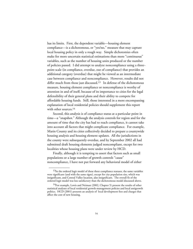has its limits. First, the dependent variable—housing element compliance—is a dichotomous, or "yes/no," measure that may capture local housing policy in only a rough way. Simple dichotomies often make for more uncertain statistical estimations than more "continuous" variables, such as the number of housing units produced or the number of policies passed. I did attempt to analyze noncompliance using a threepoint scale (in compliance, overdue, out of compliance) that provides an additional category (overdue) that might be viewed as an intermediate case between compliance and noncompliance. However, results did not differ much from those just discussed.<sup>13</sup> In defense of the dichotomous measure, housing element compliance or noncompliance is worthy of attention in and of itself, because of its importance to cities for the legal defensibility of their general plans and their ability to compete for affordable housing funds. Still, those interested in a more encompassing explanation of local residential policies should supplement this report with other sources.14

Second, this analysis is of compliance status at a particular point in time—a "snapshot." Although the analysis controls for region and for the amount of time that the city has had to reach compliance, it cannot take into account all factors that might complicate compliance. For example, Marin County and its cities collectively decided to prepare a countywide housing analysis and housing element updates. All the jurisdictions in the county were subsequently overdue, and by September 2002 all had submitted draft housing elements judged noncompliant, except for two localities whose housing plans were under review by HCD.

Finally, although it is tempting to assert that factors such as small populations or a large number of growth controls "cause" noncompliance, I have not put forward any behavioral model of either

<sup>&</sup>lt;sup>13</sup>In the ordered logit model of these three compliance statuses, the same variables were significant (and with the same signs), except for city population size, which was insignificant, and Central Valley location, also insignificant. The overall fit of the ordered logit model was less satisfactory than the dichotomous model discussed above.

<sup>&</sup>lt;sup>14</sup>For example, Lewis and Neiman (2002, Chapter 5) present the results of other statistical analyses of local residential growth-management policies and local antigrowth politics. HCD (2001) presents an analysis of local development fees and charges that affect the cost of new housing.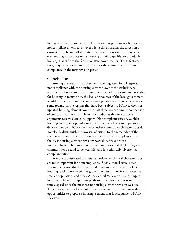local government activity or HCD reviews that pins down what leads to noncompliance. Moreover, over a long time horizon, the direction of causality may be muddled. Cities that have a noncompliant housing element may attract less rental housing or fail to qualify for affordable housing grants from the federal or state governments. These factors, in turn, may make it even more difficult for the community to attain compliance in the next revision period.

## **Conclusion**

Among the reasons that observers have suggested for widespread noncompliance with the housing element law are the exclusionary sentiments of upper-status communities, the lack of vacant land available for housing in many cities, the lack of resources of the local government to address the issue, and the antigrowth politics or antihousing policies of some towns. In the regions that have been subject to HCD reviews for updated housing elements over the past three years, a simple comparison of compliant and noncompliant cities indicates that few of these arguments receive clear-cut support. Noncompliant cities have older housing and smaller populations but are actually lower in population density than compliant cities. Most other community characteristics do not clearly distinguish the two sets of cities. In the remainder of the state, where cities have had about a decade to reach compliance since their last housing element revisions were due, few cities are noncompliant. The simple comparison indicates that the few laggard communities do tend to be wealthier and less ethnically diverse than compliant cities.

A more sophisticated analysis can isolate which local characteristics are most important for noncompliance. Such a model reveals that among the factors that best predicted noncompliance were an older housing stock, more restrictive growth policies and review processes, a smaller population, and a Bay Area, Central Valley, or Inland Empire location. The most important predictor of all, however, was simply the time elapsed since the most recent housing element revision was due. Time may not cure all ills, but it does allow many jurisdictions additional opportunities to prepare a housing element that is acceptable to HCD reviewers.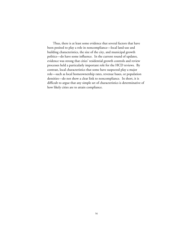Thus, there is at least some evidence that several factors that have been posited to play a role in noncompliance—local land-use and building characteristics, the size of the city, and municipal growth politics—do have some influence. In the current round of updates, evidence was strong that cities' residential growth controls and review processes held a particularly important role for the HCD reviews. By contrast, local characteristics that some have suspected play a major role—such as local homeownership rates, revenue bases, or population densities—do not show a clear link to noncompliance. In short, it is difficult to argue that any simple set of characteristics is determinative of how likely cities are to attain compliance.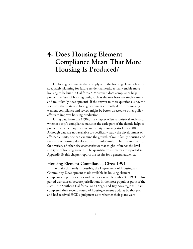# **4. Does Housing Element Compliance Mean That More Housing Is Produced?**

Do local governments that comply with the housing element law, by adequately planning for future residential needs, actually enable more housing to be built in California? Moreover, does compliance help predict the *types* of housing built, such as the mix between single-family and multifamily development? If the answer to these questions is no, the resources that state and local government currently devote to housing element compliance and review might be better directed to other policy efforts to improve housing production.

Using data from the 1990s, this chapter offers a statistical analysis of whether a city's compliance status in the early part of the decade helps to predict the percentage increase in the city's housing stock by 2000. Although data are not available to specifically study the development of affordable units, one can examine the growth of multifamily housing and the share of housing developed that is multifamily. The analyses control for a variety of other city characteristics that might influence the level and type of housing growth. The quantitative estimates are reported in Appendix B; this chapter reports the results for a general audience.

## **Housing Element Compliance, Circa 1991**

To make this analysis possible, the Department of Housing and Community Development made available its housing element compliance report for cities and counties as of December 31, 1991. This period was chosen because jurisdictions in the most populous parts of the state—the Southern California, San Diego, and Bay Area regions—had completed their second round of housing element updates by that point and had received HCD's judgment as to whether their plans were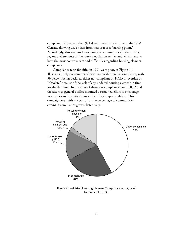compliant. Moreover, the 1991 date is proximate in time to the 1990 Census, allowing use of data from that year as a "starting point." Accordingly, this analysis focuses only on communities in these three regions, where most of the state's population resides and which tend to have the most controversies and difficulties regarding housing element compliance.

Compliance rates for cities in 1991 were poor, as Figure 4.1 illustrates. Only one-quarter of cities statewide were in compliance, with 59 percent being declared either noncompliant by HCD or overdue or "obsolete" because of the lack of any updated housing element in time for the deadline. In the wake of these low compliance rates, HCD and the attorney general's office mounted a sustained effort to encourage more cities and counties to meet their legal responsibilities. This campaign was fairly successful, as the percentage of communities attaining compliance grew substantially.



**Figure 4.1—Cities' Housing Element Compliance Status, as of December 31, 1991**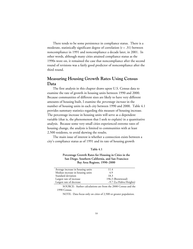There tends to be some persistence in compliance status. There is a moderate, statistically significant degree of correlation (r = .31) between noncompliance in 1991 and noncompliance a decade later, in 2001. In other words, although many cities attained compliance status as the 1990s wore on, it remained the case that noncompliance after the second round of revisions was a fairly good predictor of noncompliance after the third round.

# **Measuring Housing Growth Rates Using Census Data**

The first analysis in this chapter draws upon U.S. Census data to examine the rate of growth in housing units between 1990 and 2000. Because communities of different sizes are likely to have very different amounts of housing built, I examine the *percentage increase* in the number of housing units in each city between 1990 and 2000. Table 4.1 provides summary statistics regarding this measure of housing increase. The percentage increase in housing units will serve as a dependent variable (that is, the phenomenon that I seek to explain) in a quantitative analysis. Because some very small cities experienced extreme rates of housing change, the analysis is limited to communities with at least 2,500 residents, to avoid skewing the results.

The main issue of interest is whether a connection exists between a city's compliance status as of 1991 and its rate of housing growth

#### **Table 4.1**

## **Percentage Growth Rates for Housing in Cities in the San Diego, Southern California, and San Francisco Bay Area Regions, 1990–2000**

| 11.4                    |
|-------------------------|
| 4.9                     |
| 18.3                    |
| 196.3 (Brentwood)       |
| -9.7 (La Habra Heights) |
|                         |

SOURCE: Author calculations are from the 2000 Census and the 1990 Census.

NOTE: Data focus only on cities of 2,500 or greater population.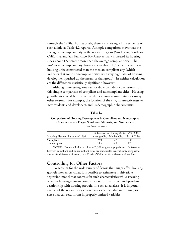through the 1990s. At first blush, there is surprisingly little evidence of such a link, as Table 4.2 reports. A simple comparison shows that the average noncompliant city in the relevant regions (San Diego, Southern California, and San Francisco Bay Area) actually increased its housing stock about 1.5 percent more than the average compliant city. The *median* noncompliant city, however, saw about 1.7 percent fewer new housing units constructed than the median compliant city (which indicates that some noncompliant cities with very high rates of housing development pushed up the mean for that group). In neither calculation are the differences statistically significant, however.

Although interesting, one cannot draw confident conclusions from this simple comparison of compliant and noncompliant cities. Housing growth rates could be expected to differ among communities for many other reasons—for example, the location of the city, its attractiveness to new residents and developers, and its demographic characteristics.

#### **Table 4.2**

## **Comparison of Housing Development in Compliant and Noncompliant Cities in the San Diego, Southern California, and San Francisco Bay Area Regions**

| % Increase in Houing Units, 1990–2000  |     |  |
|----------------------------------------|-----|--|
| Average City Median City No. of Cities |     |  |
|                                        | 48  |  |
| 4.0                                    | 173 |  |
|                                        |     |  |

NOTES: Data are limited to cities of 2,500 or greater population. Differences between compliant and noncompliant cities are statistically insignificant, using either a t-test for difference of means, or a Kruskal-Wallis test for difference of medians.

## **Controlling for Other Factors**

To account for the wide variety of factors that might affect housing growth rates across cities, it is possible to estimate a multivariate regression model that controls for such characteristics while assessing whether housing element compliance status has its own independent relationship with housing growth. In such an analysis, it is important that all of the relevant city characteristics be included in the analysis, since bias can result from improperly omitted variables.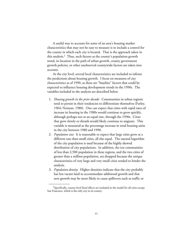A useful way to account for some of an area's housing market characteristics that may not be easy to measure is to include a control for the county in which each city is located. That is the approach taken in this analysis.<sup>1</sup> Thus, such factors as the county's population growth trend, its location in the path of urban growth, county government growth policies, or other unobserved countywide factors are taken into account.

At the city level, several local characteristics are included to inform the predictions about housing growth. I focus on measures of city characteristics as of 1990, as these are "baseline" factors that could be expected to influence housing development trends in the 1990s. The variables included in the analysis are described below.

- 1. *Housing growth in the prior decade:* Communities in urban regions tend to persist in their tendencies to differentiate themselves (Farley, 1964; Neiman, 1980). One can expect that cities with rapid rates of increase in housing in the 1980s would continue to grow quickly, although perhaps not at an equal rate, through the 1990s. Cities that grew slowly or shrank would likely continue to stagnate. This variable is measured as the percentage increase in total housing units in the city between 1980 and 1990.
- 2. *Population size*: It is reasonable to expect that large cities grow at a different rate than small cities, all else equal. The natural logarithm of the city population is used because of the highly skewed distribution of city populations. In addition, the ten communities of less than 2,500 population in these regions, and the two cities of greater than a million population, are dropped because the unique characteristics of very large and very small cities tended to hinder the analysis.
- 3. *Population density:* Higher densities indicate that the city probably has less vacant land to accommodate additional growth and that new growth may be more likely to cause spillovers such as traffic or

<sup>&</sup>lt;sup>1</sup>Specifically, county-level fixed effects are included in the model for all cities except San Francisco, which is the only city in its county.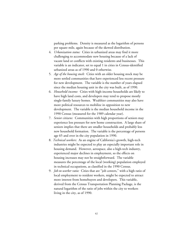parking problems. Density is measured as the logarithm of persons per square mile, again because of the skewed distribution.

- 4. *Urbanization status:* Cities in urbanized areas may find it more challenging to accommodate new housing because of a lack of vacant land or conflicts with existing residents and businesses. This variable is an indicator, set to equal 1 in cities in Census-identified urbanized areas as of 1990 and 0 otherwise.
- 5. *Age of the housing stock:* Cities with an older housing stock may be more settled communities that have experienced less recent pressure for new development. The variable is the number of years elapsed since the median housing unit in the city was built, as of 1990.
- 6. *Household income:* Cities with high-income households are likely to have high land costs, and developers may tend to propose mostly single-family luxury homes. Wealthier communities may also have more political resources to mobilize in opposition to new development. The variable is the median household income in the 1990 Census (measured for the 1989 calendar year).
- 7. *Senior citizens:* Communities with high proportions of seniors may experience less pressure for new home construction. A large share of seniors implies that there are smaller households and probably less new household formation. The variable is the percentage of persons age 65 and over in the city population in 1990.
- 8. *Technical workers:* As an engine of California's growth, high-tech industries might be expected to play an especially important role in housing demand. However, aerospace, also a high-tech industry, experienced major declines in employment, so the effects on housing increases may not be straightforward. The variable measures the percentage of the local (working) population employed in technical occupations, as classified in the 1990 Census.
- 9. *Job-to-worker ratio:* Cities that are "job centers," with a high ratio of local employment to resident workers, might be expected to attract more interest from homebuyers and developers. This variable, derived from the Census Transportation Planning Package, is the natural logarithm of the ratio of jobs within the city to workers living in the city, as of 1990.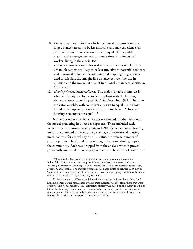- 10. *Commuting time:* Cities in which many workers must commute long distances are apt to be less attractive and may experience less pressure for home construction, all else equal. The variable measures the average one-way commute time, in minutes, of workers living in the city in 1990.
- 11. *Distance to urban centers:* Isolated municipalities located far from urban job centers are likely to be less attractive to potential residents and housing developers. A computerized mapping program was used to calculate the straight-line distance between the city in question and the nearest of a set of traditional urban central cities in California.2
- 12. *Housing element noncompliance:* The major variable of interest is whether the city was found to be compliant with the housing element statute, according to HCD, in December 1991. This is an indicator variable, with compliant cities set to equal 0 and those found noncompliant, those overdue, or those having "obsolete" housing elements set to equal 1.3

Numerous other city characteristics were tested in other versions of the model predicting housing development. These included such measures as the housing vacancy rate in 1990, the percentage of housing units not connected to sewers, the percentage of recreational housing units, controls for central city or rural status, the average number of persons per household, and the percentage of various ethnic groups in the community. Each was dropped from the analysis when it proved persistently unrelated to housing growth rates. The effects of compliance

 $2$ The central cities chosen to represent historic metropolitan centers were Bakersfield, Chico, Fresno, Los Angeles, Merced, Modesto, Monterey, Oakland, Redding, Sacramento, San Diego, San Francisco, San Jose, Santa Barbara, Santa Cruz, Stockton, and Visalia. The mapping program calculated distance between each city in California and the *nearest* one of these central cities, using mapping coordinates (where a unit of 1 is equivalent to approximately 60 miles).

 $3I$  also estimated a different model in which cities that had overdue or "obsolete" housing elements were represented by a separate indicator variable from those that were overtly found noncompliant. This estimation strategy was based on the theory that being late with a housing element may not demonstrate as serious a problem as being overtly noncompliant. However, no substantive differences in results were found from those reported here, with one exception to be discussed below.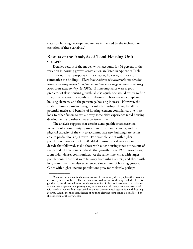status on housing development are not influenced by the inclusion or exclusion of these variables.<sup>4</sup>

# **Results of the Analysis of Total Housing Unit Growth**

Detailed results of the model, which accounts for 64 percent of the variation in housing growth across cities, are listed in Appendix Table B.1. For our main purposes in this chapter, however, it is easy to summarize the findings: *There is no evidence of a detectable relationship between housing element compliance and the percentage increase in housing across these cities during the 1990s*. If noncompliance were a good predictor of slow housing growth, all else equal, one would expect to find a negative, statistically significant relationship between noncompliant housing elements and the percentage housing increase. However, the analysis shows a positive, insignificant relationship. Thus, for all the potential merits and benefits of housing element compliance, one must look to other factors to explain why some cities experience rapid housing development and other cities experience little.

The analysis suggests that certain demographic characteristics, measures of a community's position in the urban hierarchy, and the physical capacity of the city to accommodate new buildings are better able to predict housing growth. For example, cities with higher population densities as of 1990 added housing at a slower rate in the decade that followed, as did those with older housing stock at the start of the period. These results indicate that growth in the 1990s moved away from older, denser communities. At the same time, cities with larger populations, those that were far away from urban centers, and those with long commute times also experienced slower rates of housing growth. Cities with higher-income populations grew more slowly, perhaps

 ${}^{4}$ Care was also taken to choose measures of community demographics that were not excessively intercorrelated. The median household income of the city, included here, is a good proxy for the overall status of the community. Other socioeconomic variables, such as the unemployment rate, poverty rate, or homeownership rate, are closely associated with median income, but these variables do not show as much association with housing growth. Again, the (non)significance of housing element compliance is not affected by the exclusion of these variables.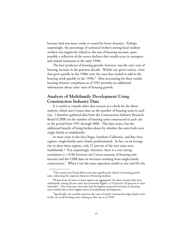because land was more costly or zoned for lower densities. Perhaps surprisingly, the percentage of technical workers among local resident workers was negatively related to the rate of housing increase, quite possibly a reflection of the severe declines that would occur in aerospace and related industries in the early 1990s.

The best predictor of housing growth, however, was the city's rate of housing increase in the previous decade. Within any given county, cities that grew quickly in the 1980s were the ones that tended to add to the housing stock quickly in the 1990s.<sup>5</sup> After accounting for these trends, housing element compliance as of 1991 provides no additional information about cities' rates of housing growth.

# **Analysis of Multifamily Development Using Construction Industry Data**

It is useful to consult other data sources as a check for the above analysis, which uses Census data on the number of housing units in each city. I therefore gathered data from the Construction Industry Research Board (CIRB) on the number of housing units constructed in each city in the period from 1991 through 2000. This data source has the additional benefit of being broken down by whether the units built were single-family or multifamily.

In most cities in the San Diego, Southern California, and Bay Area regions, single-family units clearly predominated. In fact, in an average city in these three regions, only 27 percent of the new units were multifamily.6 Not surprisingly, therefore, there is a very strong correlation  $(r = 0.90)$  between our Census measure of housing unit increase and the CIRB data on increases resulting from single-family construction.7 When I ran the same regression model as was used for the

<sup>&</sup>lt;sup>5</sup>The county-level fixed effects were also significantly related to housing growth rates, indicating the regional character of housing markets.

<sup>&</sup>lt;sup>6</sup>If data from all cities in these regions are aggregated, the share of units that were multifamily among all new units was somewhat higher, at 33 percent (28 percent in cities statewide). This is because cities that had the highest numerical increases in housing units tended also to have higher shares of multifamily development.

 $\sqrt{2}$ Specifically, the variable used was the ratio of newly constructed single-family units in the city to all housing units existing in that city as of 1990.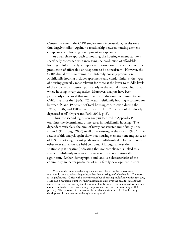Census measure in the CIRB single-family increase data, results were thus largely similar. Again, no relationship between housing element compliance and housing development was apparent.

As a fair-share approach to housing, the housing element statute is specifically concerned with increasing the production of affordable housing. Unfortunately, comparable information for all cities about the production of affordable units appears to be nonexistent. However, the CIRB data allow us to examine multifamily housing production. Multifamily housing includes apartments and condominiums, the types of housing generally most relevant for those at the lower to middle levels of the income distribution, particularly in the coastal metropolitan areas where housing is very expensive. Moreover, analysts have been particularly concerned that multifamily production has plummeted in California since the 1980s. "Whereas multifamily housing accounted for between 45 and 49 percent of total housing construction during the 1960s, 1970s, and 1980s, last decade it fell to 25 percent of the already depressed total" (Myers and Park, 2002, p. 2).

Thus, the second regression analysis featured in Appendix B examines the determinants of increases in multifamily housing. The dependent variable is the *ratio* of newly constructed multifamily units (from 1991 through 2000) to all units existing in the city in 1990.8 The results of this analysis again show that housing element noncompliance as of 1991 is not a significant predictor of multifamily development, once other relevant factors are held constant. Although at least the relationship is negative (indicating that noncompliance is linked to a smaller multifamily increase), it is near zero and not statistically significant. Rather, demographic and land-use characteristics of the community are better predictors of multifamily development. Cities

<sup>&</sup>lt;sup>8</sup>Some readers may wonder why the measure is based on the ratio of new multifamily units to *all* existing units, rather than existing *multifamily* units. The reason is straightforward. Cities with a very tiny number of existing multifamily units (say, two) could add a negligible number of new multifamily units over the decade (say, another two). If one uses the existing number of multifamily units as the denominator, then such cities are unfairly credited with a huge proportionate increase (in this example, 100 percent). The ratio used in the analysis better characterizes the role of multifamily development in augmenting each city's housing stock.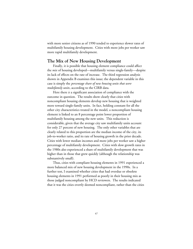with more senior citizens as of 1990 tended to experience slower rates of multifamily housing development. Cities with more jobs per worker saw more rapid multifamily development.

## **The Mix of New Housing Development**

Finally, it is possible that housing element compliance could affect the *mix* of housing developed—multifamily versus single-family—despite its lack of effects on the rate of increase. The third regression analysis shown in Appendix B examines this issue; the dependent variable in this case is simply the *percentage share of new housing units that were multifamily units*, according to the CIRB data.

Here there *is* a significant association of compliance with the outcome in question. The results show clearly that cities with noncompliant housing elements develop new housing that is weighted more toward single-family units. In fact, holding constant for all the other city characteristics treated in the model, a noncompliant housing element is linked to an 8 percentage point lower proportion of multifamily housing among the new units. This reduction is considerable, given that the average city saw multifamily units account for only 27 percent of new housing. The only other variables that are clearly related to this proportion are the median income of the city, its job-to-worker ratio, and its rate of housing growth in the prior decade. Cities with lower median incomes and more jobs per worker saw a higher percentage of multifamily development. Cities with slow growth rates in the 1980s also experienced a share of multifamily development that was higher than in those that grew quickly (although the relationship was substantively small).

Thus, cities with compliant housing elements in 1991 experienced a more balanced mix of new housing development in the 1990s. In a further test, I examined whether cities that had overdue or obsolete housing elements in 1991 performed as poorly in their housing mix as those judged noncompliant by HCD reviewers. The results indicated that it was the cities overtly deemed noncompliant, rather than the cities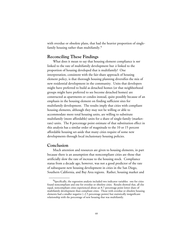with overdue or obsolete plans, that had the heavier proportion of singlefamily housing rather than multifamily.9

# **Reconciling These Findings**

What does it mean to say that housing element compliance is *not* linked to the rate of multifamily development but *is* linked to the proportion of housing developed that is multifamily? One interpretation, consistent with the fair-share approach of housing element policy, is that thorough housing planning diversifies the mix of new residential development in the community. Units that developers might have preferred to build as detached homes (or that neighborhood groups might have preferred to see become detached homes) are constructed as apartments or condos instead, quite possibly because of an emphasis in the housing element on finding sufficient sites for multifamily development. The results imply that cities with compliant housing elements, although they may not be willing or able to accommodate more total housing units, are willing to substitute multifamily (more affordable) units for a share of single-family (marketrate) units. The 8 percentage point estimate of that substitution effect in this analysis has a similar order of magnitude to the 10 or 15 percent affordable housing set-aside that many cities require of some new developments through local inclusionary housing policies.

## **Conclusion**

\_\_\_\_\_\_\_\_\_\_\_\_

Much attention and resources are given to housing elements, in part because there is an assumption that noncompliant cities are those that artificially slow the rate of increase to the housing stock. Compliance status from a decade ago, however, was not a good predictor of the rate of subsequent new housing development in cities in the San Diego, Southern California, and Bay Area regions. Rather, housing market and

 $9$ Specifically, the regression analysis included two indicator variables: one for cities found noncompliant and one for overdue or obsolete cities. Results showed that, all else equal, noncompliant cities experienced about an 8.7 percentage point lower share of multifamily development than compliant cities. Those with overdue or obsolete housing elements had a smaller negative (–2.5 percentage points) but statistically insignificant relationship with the percentage of new housing that was multifamily.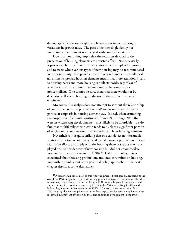demographic factors outweigh compliance status in contributing to variations in growth rates. The pace of neither single-family nor multifamily development is associated with compliance status.

Does this nonfinding imply that the resources devoted to the preparation of housing elements are a wasted effort? Not necessarily. It is probably a healthy exercise for local governments to plan for growth and to assess where various types of new housing may be accommodated in the community. It is possible that the very requirement that all local governments prepare housing elements means that more attention is paid to housing needs and more housing is built statewide, regardless of whether individual communities are found to be compliant or noncompliant. One cannot be sure, then, that there would not be deleterious effects on housing production if the requirement were eliminated.

Moreover, this analysis does not attempt to sort out the relationship of compliance status to production of *affordable* units, which receive particular emphasis in housing element law. Indeed, when examining the proportion of all units constructed from 1991 through 2000 that were in *multifamily* developments—most likely to be affordable—we do find that multifamily construction tends to displace a significant portion of single-family construction in cities with compliant housing elements.

Nevertheless, it is quite striking that one can detect no measurable relationship between compliance and overall housing production. Cities that made efforts to comply with the housing element statute may have played host to a wider mix of new housing but did not accommodate more units overall, at least in the 1990s.<sup>10</sup> California policymakers concerned about housing production, and local constraints on housing, may wish to think about other potential policy approaches. The next chapter describes some alternatives.

 $10A$  reader of an earlier draft of this report commented that compliance status at the *end* of the 1990s might better predict housing production rates in that decade. The idea is that many cities that were noncompliant in 1991 eventually gained compliance, and also that municipal policies measured by HCD in the 2000s were likely in effect and influencing housing development in the 1990s. However, when I substituted March 2001 housing element compliance status in these regressions for 1991 compliance status, it showed insignificant effects on all measures of housing development in the 1990s.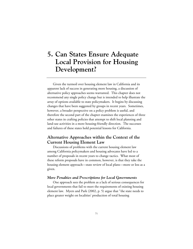# **5. Can States Ensure Adequate Local Provision for Housing Development?**

Given the turmoil over housing element law in California and its apparent lack of success in generating more housing, a discussion of alternative policy approaches seems warranted. This chapter does not recommend any single policy change but is intended to help illustrate the array of options available to state policymakers. It begins by discussing changes that have been suggested by groups in recent years. Sometimes, however, a broader perspective on a policy problem is useful, and therefore the second part of the chapter examines the experiences of three other states in crafting policies that attempt to shift local planning and land-use activities in a more housing-friendly direction. The successes and failures of these states hold potential lessons for California.

# **Alternative Approaches within the Context of the Current Housing Element Law**

Discussions of problems with the current housing element law among California policymakers and housing advocates have led to a number of proposals in recent years to change tactics. What most of these reform proposals have in common, however, is that they take the housing element approach—state review of local plans—more or less as a given.

### *More Penalties and Prescriptions for Local Governments*

One approach sees the problem as a lack of serious consequences for local governments that fail to meet the requirements of existing housing element law. Myers and Park (2002, p. 5) argue that "the state needs to place greater weight on localities' production of total housing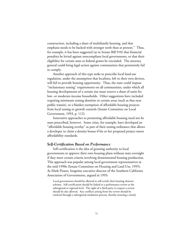construction, including a share of multifamily housing, and that emphasis needs to be backed with stronger teeth than at present." Thus, for example, it has been suggested (as in Senate Bill 910) that financial penalties be levied against noncompliant local governments, or that their eligibility for certain state or federal grants be rescinded. The attorney general could bring legal action against communities that persistently fail to comply.

Another approach of this type seeks to prescribe local land-use regulation, under the assumption that localities, left to their own devices, will fail to provide housing opportunity. Thus, the state could impose "inclusionary zoning" requirements on all communities, under which all housing developments of a certain size must reserve a share of units for low- or moderate-income households. Other suggestions have included requiring minimum zoning densities in certain areas (such as that near public transit), or a blanket exemption of affordable housing projects from local zoning or growth controls (Senate Committee on Local Government, 1993, p. 112).

Innovative approaches to promoting affordable housing need not be state-prescribed, however. Some cities, for example, have developed an "affordable housing overlay" as part of their zoning ordinance that allows a developer to claim a density bonus if his or her proposed project meets affordability standards.

## *Self-Certification Based on Performance*

Self-certification is the idea of granting authority to local governments to approve their own housing plans without state oversight if they meet certain criteria involving demonstrated housing production. This approach was popular among local government representatives in the mid-1990s (Senate Committee on Housing and Land Use, 1995). As Mark Pisano, longtime executive director of the Southern California Association of Governments, argued in 1993:

Local governments should be allowed to self-certify their housing element reforms. Self-certification should be linked to a performance review at the subregional or regional level. The right of a third party to request a review should be also allowed. Any conflicts arising from the review should be resolved through a subregional mediation process, thereby ensuring a timely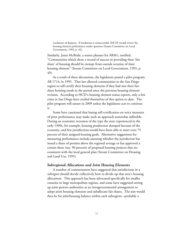resolution of disputes. If mediation is unsuccessful, [HCD] would review the housing element performance under question (Senate Committee on Local Government, 1993, p. 42).

Similarly, Janet McBride, a senior planner for ABAG, testified, "Communities which show a record of success in providing their 'fair share' of housing should be exempt from outside scrutiny of their housing element" (Senate Committee on Local Government, 1993, p. 49).

As a result of these discussions, the legislature passed a pilot program, AB 1714, in 1995. That law allowed communities in the San Diego region to self-certify their housing elements if they had met their fairshare housing needs in the period since the previous housing element revision. According to HCD's housing element status reports, only a few cities in San Diego have availed themselves of this option to date. The pilot program will sunset in 2009 unless the legislature acts to continue it.

Some have cautioned that basing self-certification on strict measures of prior performance may make such an approach somewhat inflexible. During an economic recession of the type the state experienced in the early 1990s, for example, housing production slumped because of the economy, and few jurisdictions would have been able to meet even 75 percent of their assigned housing goals. Alternative suggestions for measuring performance include assessing whether the jurisdiction has issued a share of permits above the regional average or has approved a certain share (say, 90 percent) of proposed housing projects that are consistent with the local general plan (Senate Committee on Housing and Land Use, 1995).

### *Subregional Allocations and Joint Housing Elements*

A number of commentators have suggested that jurisdictions in a *subregion* should decide collectively how to divide up that area's housing allocations. This approach has been advocated specifically for smaller counties in large metropolitan regions, and some have suggested setting up joint-powers authorities as an intergovernmental arrangement to adopt joint housing elements and suballocate fair shares. The aim would then be for jobs/housing balance within each subregion—probably a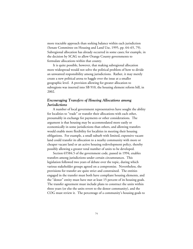more tractable approach than seeking balance within each jurisdiction (Senate Committee on Housing and Land Use, 1995, pp. 64–65, 79). Subregional allocation has already occurred in some cases; for example, in the decision by SCAG to allow Orange County governments to formulate allocations within that county.

It is quite possible, however, that making subregional allocation more widespread would not solve the political problem of how to divide an unwanted responsibility among jurisdictions. Rather, it may merely create a new political arena to haggle over the issue at a smaller geographic level. A provision allowing for greater allocation to subregions was inserted into SB 910, the housing element reform bill, in 2002.

## *Encouraging Transfers of Housing Allocations among Jurisdictions*

A number of local government representatives have sought the ability for localities to "trade" or transfer their allocations with each other, presumably in exchange for payments or other considerations. The argument is that housing may be accommodated more easily or economically in some jurisdictions than others, and allowing transfers would enable more flexibility for localities in meeting their housing obligations. For example, a small suburb with limited, expensive vacant land could transfer its allocation to a nearby community with more or cheaper vacant land or an active housing redevelopment policy, thereby possibly allowing a greater total number of units to be developed.

Section 65584.5 of the government code, passed in 1994, enables transfers among jurisdictions under certain circumstances. This legislation followed two years of debate over the topic, during which various stakeholder groups agreed on a compromise. Nevertheless, the provisions for transfer are quite strict and constrained. The entities engaged in the transfer must both have compliant housing elements, and the "donor" entity must have met at least 15 percent of its housing goals. The transfer agreement must include plans to construct the units within three years (or else the units revert to the donor community), and the COG must review it. The percentage of a community's housing goals to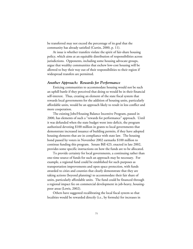be transferred may not exceed the percentage of its goal that the community has already satisfied (Curtin, 2000, p. 11).

At issue is whether transfers violate the spirit of fair-share housing policy, which aims at an equitable distribution of responsibilities across jurisdictions. Opponents, including some housing advocate groups, argue that wealthy communities that eschew low-cost housing will be allowed to buy their way out of their responsibilities to their region if widespread transfers are permitted.

## *Another Approach: Rewards for Performance*

Enticing communities to accommodate housing would not be such an uphill battle if they perceived that doing so would be in their financial self-interest. Thus, creating an element of the state fiscal system that rewards local governments for the addition of housing units, particularly affordable units, would be an approach likely to result in less conflict and more cooperation.

The existing Jobs/Housing Balance Incentive Program, passed in 2000, has elements of such a "rewards for performance" approach. Until it was defunded when the state budget went into deficit, the program authorized devoting \$100 million in grants to local governments that demonstrate increased issuance of building permits, if they have adopted housing elements that are in compliance with state law. The housing bond passed by voters in November 2002 earmarks \$100 million to continue funding this program. Senate Bill 423, enacted in late 2002, provides some specific instructions on how the funds are to be allocated.

To provide certainty for local governments, a continuing rather than one-time source of funds for such an approach may be necessary. For example, a regional fund could be established for such purposes as transportation improvements and open space protection, with funds awarded to cities and counties that clearly demonstrate that they are taking actions (beyond planning) to accommodate their fair share of units, particularly affordable units. The fund could be financed through a regional impact fee on commercial development in job-heavy, housingpoor areas (Lewis, 2002).

Others have suggested recalibrating the local fiscal system so that localities would be rewarded directly (i.e., by formula) for increases in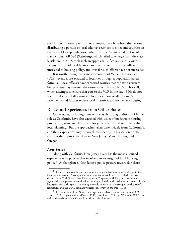population or housing units. For example, there have been discussions of distributing a portion of local sales tax revenues to cities and counties on the basis of local populations, rather than the "point of sale" of retail transactions. AB 680 (Steinberg), which failed to emerge from the state legislature in 2002, took such an approach. Of course, such a wideranging reform of local finance raises many concerns and conflicts unrelated to housing policy, and thus far such efforts have not succeeded.

It is worth noting that state subventions of Vehicle License Fee (VLF) revenues are awarded to localities through a population-based formula. Local officials have expressed worries that the state's current budget crisis may threaten the existence of the so-called VLF backfill, which attempts to ensure that cuts to the VLF in the late 1990s do not result in decreased allocations to localities. Loss of all or some VLF revenues would further reduce local incentives to provide new housing.

## **Relevant Experiences from Other States**

Other states, including some with equally strong traditions of home rule as California, have also wrestled with issues of inadequate housing production, mandated fair shares for jurisdictions, and state oversight of local planning. But the approaches taken differ widely from California's, and their experiences may be worth considering. This section briefly sketches the approaches taken in New Jersey, Massachusetts, and Oregon.1

## *New Jersey*

\_\_\_\_\_\_\_\_\_\_\_\_

Along with California, New Jersey likely has the most sustained experience with policies that involve state oversight of local housing policy.2 At first glance, New Jersey's policy posture toward fair-share

<sup>&</sup>lt;sup>1</sup>The focus here is only on contemporary policies that have some analogies to the California situation. A comprehensive examination would need to include the nowdefunct New York State Urban Development Corporation (UDC), a powerful state agency with the power to override local zoning to build subsidized housing projects in the late 1960s and early 1970s. Its zoning override power was later stripped by that state's legislature, and the UDC ultimately became insolvent in the mid-1970s.

 $2$ This discussion of the New Jersey experience is based upon Calavita et al. (1997), Haar (1996), Hughes and VanDoren (1990), Listokin (1976), and Weinstein (1993), as well as the website of the Council on Affordable Housing.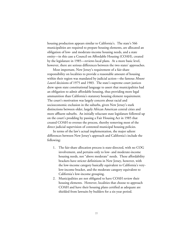housing production appears similar to California's. The state's 566 municipalities are required to prepare housing elements, are allocated an obligation of low- and moderate-income housing needs, and a state entity—in this case a Council on Affordable Housing (COAH), created by the legislature in 1985—reviews local plans. At a more basic level, however, there are serious differences between the two states' approaches.

Most important, New Jersey's requirement of a fair-share responsibility on localities to provide a reasonable amount of housing within their region was mandated by judicial action—the famous *Mount Laurel* decisions of 1975 and 1983. The state's supreme court justices drew upon state constitutional language to assert that municipalities had an obligation to admit affordable housing, thus providing more legal ammunition than California's statutory housing element requirement. The court's motivation was largely concern about racial and socioeconomic exclusion in the suburbs, given New Jersey's stark distinctions between older, largely African American central cities and more affluent suburbs. An initially reluctant state legislature followed up on the court's prodding by passing a Fair Housing Act in 1985 that created COAH to oversee the process, thereby removing most of the direct judicial supervision of contested municipal housing policies.

In terms of the law's actual implementation, the major salient differences between New Jersey's approach and California's include the following:

- 1. The fair-share allocation process is state-directed, with no COG involvement, and pertains only to low- and moderate-income housing needs, not "above moderate" needs. These affordability brackets have stricter definitions in New Jersey, however, with the low-income category basically equivalent to California's verylow-income bracket, and the moderate category equivalent to California's low-income grouping.
- 2. Municipalities are not obligated to have COAH review their housing elements. However, localities that choose to approach COAH and have their housing plans certified as adequate are shielded from lawsuits by builders for a six-year period.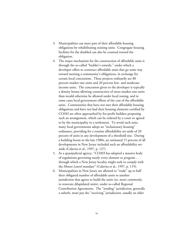- 3. Municipalities can meet part of their affordable housing obligations by rehabilitating existing units. Congregate housing facilities for the disabled can also be counted toward the obligation.
- 4. The major mechanism for the construction of affordable units is through the so-called "builder's remedy," under which a developer offers to construct affordable units that go some way toward meeting a community's obligations, in exchange for certain local concessions. These projects ordinarily are 80 percent market rate units and 20 percent low- and moderateincome units. The concession given to the developer is typically a density bonus allowing construction of more market-rate units than would otherwise be allowed under local zoning, and in some cases local government offsets of the cost of the affordable units. Communities that have not met their affordable housing obligations and have not had their housing elements certified by COAH are often approached by for-profit builders proposing such an arrangement, which can be ordered by a court or agreed to by the municipality in a settlement. To avoid such suits, many local governments adopt an "inclusionary housing" ordinance, providing for a routine affordability set-aside of 20 percent of units in any development of a threshold size. During a building boom in the late 1980s, an estimated 15 percent of all developments in New Jersey included such an affordability setaside (Calavita et al., 1997, p. 127).
- 5. As a quasijudicial agency, "COAH has adopted a massive body of regulations governing nearly every element or program . . . through which a New Jersey locality might seek to comply with the *Mount Laurel* mandate" (Calavita et al., 1997, p. 119).
- 6. Municipalities in New Jersey are allowed to "trade" up to half their obligated number of affordable units to another jurisdiction that agrees to build the units (or, more commonly, to renovate dilapidated units), under so-called Regional Contribution Agreements. The "sending" jurisdiction, generally a suburb, must pay the "receiving" jurisdiction, usually an older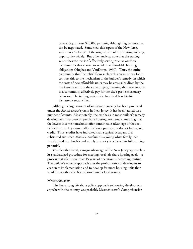central city, at least \$20,000 per unit, although higher amounts can be negotiated. Some view this aspect of the New Jersey system as a "sell-out" of the original aim of distributing housing opportunity widely. But other analysts note that the trading system has the merit of effectively serving as a tax on those communities that choose to avoid their affordable housing obligations (Hughes and VanDoren, 1990). Thus, the entire community that "benefits" from such exclusion must pay for it; contrast this to the mechanism of the builder's remedy, in which the costs of new affordable units may be cross-subsidized by the market-rate units in the same project, meaning that new entrants to a community effectively pay for the city's past exclusionary behavior. The trading system also has fiscal benefits for distressed central cities.

Although a large amount of subsidized housing has been produced under the *Mount Laurel* system in New Jersey, it has been faulted on a number of counts. Most notably, the emphasis in most builder's remedy developments has been on purchase housing, not rentals, meaning that the lowest-income households often cannot take advantage of the setasides because they cannot afford a down payment or do not have good credit. Thus, studies have indicated that a typical occupant of a subsidized suburban *Mount Laurel* unit is a young white family that already lived in suburbia and simply has not yet achieved its full earnings potential.

On the other hand, a major advantage of the New Jersey approach is its standardized procedure for meeting local fair-share housing goals—a process that after more than 15 years of operation is becoming routine. The builder's remedy approach uses the profit motive of developers to accelerate implementation and to develop far more housing units than would have otherwise been allowed under local zoning.

### *Massachusetts*

The first strong fair-share policy approach to housing development anywhere in the country was probably Massachusetts's Comprehensive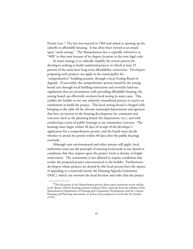Permit Law.3 The law was enacted in 1969 and aimed at opening up the suburbs to affordable housing. It has often been viewed as an attack upon "snob zoning." The Massachusetts law is typically referred to as "40B" in that state because of its chapter location in the state legal code.

Its main strategy is to radically simplify the review process for developers seeking to build residential projects in which at least 25 percent of the units have long-term affordability restrictions. Developers proposing such projects can apply to the municipality for "comprehensive" building permits, through a local Zoning Board of Appeals. If successful, the comprehensive permit issued by the zoning board cuts through local building restrictions and overrides land-use regulations that are inconsistent with providing affordable housing; the zoning board can effectively overturn local zoning in some cases. This enables the builder to use one relatively streamlined process to receive an entitlement to build the project. This local zoning board is charged with bringing to the table all the relevant municipal departments and agencies that have an interest in the housing development for comments and concerns (such as the planning board, fire department, etc.), and with conducting a series of public hearings to air community concerns. The hearings must begin within 30 days of receipt of the developer's application for a comprehensive permit, and the board must decide whether to award the permit within 40 days after the public hearings conclude.

Although state environmental and other statutes still apply, local authorities must use the principle of meeting local needs in any denial or conditions that they impose upon the project (such as density or height restrictions). The community is not allowed to impose conditions that render the proposed project uneconomical to the builder. Furthermore, developers whose projects are denied by this local process have the option of appealing to a statewide board, the Housing Appeals Committee (HAC), which can overturn the local decision and order that the project

 $3$ This discussion of the Massachusetts process draws upon numerous recent articles in the *Boston Globe* by housing reporter Anthony Flint, materials from the websites of the Massachusetts Department of Housing and Community Development and the Citizens Housing and Planning Association, as well as early perspectives on the law by Listokin (1976).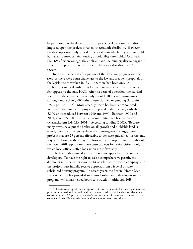be permitted. A developer can also appeal a local decision if conditions imposed upon the project threaten its economic feasibility. However, the developer may only appeal if the locality in which they wish to build has failed to meet certain housing affordability thresholds.<sup>4</sup> Ordinarily, the HAC first encourages the applicant and the municipality to engage in a mediation process to see if issues can be resolved without a HAC review.

In the initial period after passage of the 40B law, progress was very slow, as there were court challenges to the law and frequent proposals in the legislature to weaken it. By 1972, there had been only 35 applications to local authorities for comprehensive permits, and only a few appeals to the state HAC. After six years of operation, the law had resulted in the construction of only about 1,100 new housing units, although more than 3,000 others were planned or pending (Listokin 1976, pp. 100–103). More recently, there has been a pronounced increase in the number of projects proposed under the law, with about 5,000 units produced between 1990 and 1997. Between 1970 and 2001, about 25,000 units in 170 communities had been approved (Massachusetts DHCD, 2001). According to Flint (2002), "Because many towns have put the brakes on all growth and buildable land is scarce, developers say going the 40-B route—generally large, dense projects that are 25 percent affordable under state guidelines—is the only way to do business these days." However, a disproportionate number of the recent 40B applications have been projects for senior citizens only, which local officials often look upon more favorably.

The law is also limited in that it does not apply to many commercial developers. To have the right to seek a comprehensive permit, the developer must be either a nonprofit or a limited-dividend company, and the project must initially receive approval from a federal or state subsidized housing program. In recent years, the Federal Home Loan Bank of Boston has provided substantial subsidies to developers in the program, which has helped boost construction. Although 40B

 ${}^{4}$ The city is exempted from an appeal if at least 10 percent of its housing units are in projects subsidized for low- and moderate-income residents, or if such affordable units constitute at least 1.5 percent of the city's land area zoned for residential, industrial, and commercial uses. Few jurisdictions in Massachusetts meet these criteria.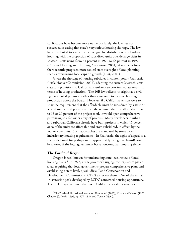applications have become more numerous lately, the law has not succeeded in easing that state's very serious housing shortage. The law has contributed to a much wider geographic distribution of subsidized housing, with the proportion of subsidized units outside large cities in Massachusetts rising from 31 percent in 1972 to 63 percent in 1997 (Citizens Housing and Planning Association, 2001). A state task force there recently proposed more radical state oversight of local planning, such as overturning local caps on growth (Flint, 2001).

Given the shortage of housing subsidies in contemporary California (Little Hoover Commission, 2002), adapting the current Massachusetts statutory provisions to California is unlikely to bear immediate results in terms of housing production. The 40B law reflects its origins as a civilrights-oriented provision rather than a measure to increase housing production across the board. However, if a California version were to relax the requirement that the affordable units be subsidized by a state or federal source, and perhaps reduce the required share of affordable units to 15 or 20 percent of the project total, it would open comprehensive permitting to a far wider array of projects. Many developers in urban and suburban California already have built projects in which 15 percent or so of the units are affordable and cross-subsidized, in effect, by the market-rate units. Such approaches are mandated by some cities' inclusionary housing requirements. In California, the right of appeal to a statewide board (or perhaps more appropriately, a regional board) could be allowed if the local government has a noncompliant housing element.

### *The Portland Region*

\_\_\_\_\_\_\_\_\_\_\_\_

Oregon is well-known for undertaking state-level review of local housing plans.<sup>5</sup> In 1973, at the governor's urging, the legislature passed a law requiring that local governments prepare comprehensive plans and establishing a state-level, quasijudicial Land Conservation and Development Commission (LCDC) to review them. One of the initial 14 statewide goals developed by LCDC concerned housing opportunity. The LCDC goal required that, as in California, localities inventory

<sup>5</sup>The Portland discussion draws upon Hammond (2002), Knaap and Nelson (1992, Chapter 3), Lewis (1996, pp. 179–182), and Toulan (1994).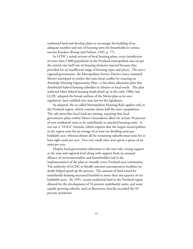residential land and develop plans to encourage the building of an adequate number and mix of housing units for households in various income brackets (Knaap and Nelson, 1992, p. 77).

In LCDC's initial reviews of local housing plans, every jurisdiction of more than 5,000 population in the Portland metropolitan area except the central city itself saw its housing elements rejected because they provided for an insufficient range of housing types and prices. The area's regional government, the Metropolitan Service District (since renamed Metro) attempted to resolve this state-local conflict by enacting an Areawide Housing Opportunity Plan—a fair-share allocation plan that distributed federal housing subsidies in relation to local needs. The plan withered when federal housing funds dried up in the early 1980s, but LCDC adopted the broad outlines of the Metro plan as its own regulation, later codified into state law by the legislature.

As adopted, the so-called Metropolitan Housing Rule applies only to the Portland region, which contains about half the state's population. The rule prescribes local land-use mixing, requiring that local government plans within Metro's boundaries allow for at least 50 percent of new residential units to be multifamily or attached housing units. It sets out a "10-8-6" formula, which requires that the largest municipalities in the region zone for an average of at least ten dwelling units per buildable acre, whereas almost all the remaining suburbs must zone for at least eight units per acre. Five very small cities were given a quota of six units per acre.

Despite local government objections to the new rule, strong support at the state and regional level along with support from an unusual alliance of environmentalists and homebuilders led to the implementation of the plan in virtually every Portland-area community. The authority of LCDC to fiscally sanction uncooperative localities no doubt helped speed up the process. The amount of land zoned for multifamily housing increased fourfold to more than one-quarter of net buildable acres. By 1991, vacant residential land in the Portland region allowed for the development of 54 percent multifamily units, and some rapidly growing suburbs, such as Beaverton, heavily exceeded the 50 percent minimum.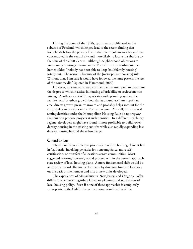During the boom of the 1990s, apartments proliferated in the suburbs of Portland, which helped lead to the recent finding that households below the poverty line in that metropolitan area became less concentrated in the central city and more likely to locate in suburbia by the time of the 2000 Census. Although neighborhood objections to multifamily housing continue in the Portland area, according to one homebuilder, "nobody has been able to keep [multifamily housing] totally out. The reason is because of the [metropolitan housing] rule. Without that, I am sure it would have followed the same pattern the rest of the country did" (quoted in Hammond, 2002).

However, no systematic study of the rule has attempted to determine the degree to which it assists in housing affordability or socioeconomic mixing. Another aspect of Oregon's statewide planning system, the requirement for urban growth boundaries around each metropolitan area, directs growth pressures inward and probably helps account for the sharp spikes in densities in the Portland region. After all, the increased zoning densities under the Metropolitan Housing Rule do not *require* that builders propose projects at such densities. In a different regulatory regime, developers might have found it more profitable to build lowerdensity housing in the existing suburbs while also rapidly expanding lowdensity housing beyond the urban fringe.

#### **Conclusion**

There have been numerous proposals to reform housing element law in California, involving penalties for noncompliance, more selfcertification, or transfers of allocations across communities. Most suggested reforms, however, would proceed within the current approach: state review of local housing plans. A more fundamental shift would be to directly reward effective performance by directing funds to localities on the basis of the number and mix of new units developed.

The experiences of Massachusetts, New Jersey, and Oregon all offer different experiences regarding fair-share planning and state review of local housing policy. Even if none of these approaches is completely appropriate to the California context, some combination of the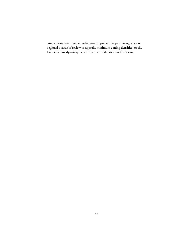innovations attempted elsewhere—comprehensive permitting, state or regional boards of review or appeals, minimum zoning densities, or the builder's remedy—may be worthy of consideration in California.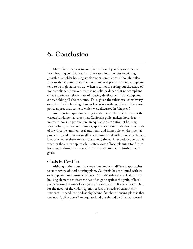## **6. Conclusion**

Many factors appear to complicate efforts by local governments to reach housing compliance. In some cases, local policies restricting growth or an older housing stock hinder compliance, although it also appears that communities that have remained persistently noncompliant tend to be high-status cities. When it comes to sorting out the *effects* of noncompliance, however, there is no solid evidence that noncompliant cities experience a slower rate of housing development than compliant cities, holding all else constant. Thus, given the substantial controversy over the existing housing element law, it is worth considering alternative policy approaches, some of which were discussed in Chapter 5.

An important question sitting astride the whole issue is whether the various fundamental values that California policymakers hold dear increased housing production, an equitable distribution of housing responsibility across communities, special attention to the housing needs of low-income families, local autonomy and home rule, environmental protection, and more—can all be accommodated within housing element law, or whether there are tensions among them. A secondary question is whether the current approach—state review of local planning for future housing needs—is the most effective use of resources to further these goals.

### **Goals in Conflict**

Although other states have experimented with different approaches to state review of local housing plans, California has continued with its own approach to housing elements. As in the other states, California's housing element requirement has often gone against the grain of local policymaking because of its regionalist orientation: It asks cities to plan for the needs of the wider region, not just the needs of current city residents. Indeed, the philosophy behind fair-share housing plans is that the local "police power" to regulate land use should be directed toward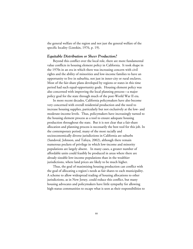the general welfare of the region and not just the general welfare of the specific locality (Listokin, 1976, p. 19).

#### *Equitable Distribution or Sheer Production?*

Beyond this conflict over the local role, there are more fundamental value conflicts in housing element policy in California. It took shape in the 1970s in an era in which there was increasing concern with civil rights and the ability of minorities and low-income families to have an opportunity to live in suburbia, not just in inner-city or rural enclaves. Most of the fair-share plans developed by regions or states in this time period had such equal-opportunity goals. Housing element policy was also concerned with improving the local planning process—a major policy goal for the state through much of the post-World War II era.

In more recent decades, California policymakers have also become very concerned with overall residential production and the need to increase housing supplies, particularly but not exclusively at the low- and moderate-income levels. Thus, policymakers have increasingly turned to the housing element process as a tool to ensure adequate housing production throughout the state. But it is not clear that a fair-share allocation and planning process is necessarily the best tool for this job. In the contemporary period, many of the most racially and socioeconomically diverse jurisdictions in California are suburbs (Sandoval, Johnson, and Tafoya, 2002), although there remain numerous pockets of privilege in which low-income and minority populations are largely absent. In many cases, a greater number of affordable units could feasibly be produced in areas where there are already sizeable low-income populations than in the wealthier jurisdictions, where land prices are likely to be much higher.

Thus, the goal of maximizing housing production can conflict with the goal of allocating a region's needs as fair shares to each municipality. A scheme to allow widespread trading of housing allocations to other jurisdictions, as in New Jersey, could reduce this conflict, but many housing advocates and policymakers have little sympathy for allowing high-status communities to escape what is seen as their responsibilities to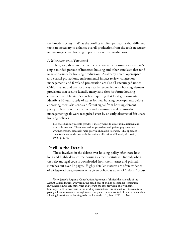the broader society.<sup>1</sup> What the conflict implies, perhaps, is that different tools are necessary to enhance overall production from the tools necessary to encourage equal housing opportunity across jurisdictions.

#### *A Mandate in a Vacuum?*

Then, too, there are the conflicts between the housing element law's single-minded pursuit of increased housing and other state laws that tend to raise barriers for housing production. As already noted, open-space and coastal protections, environmental impact review, congestion management, and farmland preservation are also all encouraged under California law and are not always easily reconciled with housing element provisions that seek to identify many land sites for future housing construction. The state's new law requiring that local governments identify a 20-year supply of water for new housing developments before approving them also sends a different signal from housing element policy. These potential conflicts with environmental or growthmanagement goals were recognized even by an early observer of fair-share housing policies:

Fair share basically accepts growth; it merely wants to direct it in a rational and equitable manner. The nongrowth or phased-growth philosophy questions whether growth, especially rapid growth, should be tolerated. This approach is therefore in contradiction with the regional allocation philosophy (Listokin, 1976, p. 137).

### **Devil in the Details**

\_\_\_\_\_\_\_\_\_\_\_\_

Those involved in the debate over housing policy often note how long and highly detailed the housing element statute is. Indeed, when the relevant legal code is downloaded from the Internet and printed, it stretches out over 27 pages. Highly detailed statutes are often evidence of widespread disagreement on a given policy, as waves of "reform" occur

<sup>&</sup>lt;sup>1</sup>New Jersey's Regional Contribution Agreements "shifted the rationale of the Mount Laurel doctrine away from the broad goal of ending geographic segregation surrounding inner-city minorities and toward the raw provision of low-income housing. . . . [Homeowners in the sending jurisdictions] are amenable, it turns out, to paying a form of ransom, through taxes, that preserves local control of new entrants while allowing lower-income housing to be built elsewhere" (Haar, 1996, p. 114).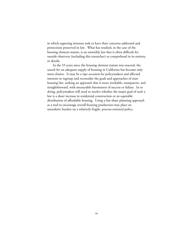in which opposing interests seek to have their concerns addressed and protections preserved in law. What has resulted, in the case of the housing element statute, is an unwieldy law that is often difficult for outside observers (including this researcher) to comprehend in its entirety or details.

In the 33 years since the housing element statute was enacted, the search for an adequate supply of housing in California has become only more elusive. It may be a ripe occasion for policymakers and affected interests to regroup and reconsider the goals and approaches of state housing law, seeking an approach that is more workable, transparent, and straightforward, with measurable barometers of success or failure. In so doing, policymakers will need to resolve whether the major goal of such a law is a sheer increase in residential construction or an equitable distribution of affordable housing. Using a fair-share planning approach as a tool to encourage overall housing production may place an unrealistic burden on a relatively fragile, process-oriented policy.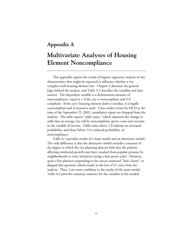## **Appendix A**

# **Multivariate Analyses of Housing Element Noncompliance**

This appendix reports the results of logistic regression analysis of city characteristics that might be expected to influence whether a city complies with housing element law. Chapter 3 discusses the general logic behind the analysis, and Table 3.3 describes the variables and data sources. The dependent variable is a dichotomous measure of noncompliance, equal to 1 if the city is noncompliant and 0 if compliant. If the city's housing element draft is overdue, it is legally noncompliant and is treated as such. Cities under review by HCD at the time of the September 25, 2002, compliance report are dropped from the analysis. The table reports "odds ratios," which represent the change in odds that an average city will be noncompliant, given a one-unit increase in the variable of interest. Odds ratios above 1.0 indicate an increased probability, and those below 1.0 a reduced probability, of noncompliance.

Table A.1 provides results of a main model and an alternative model. The only difference is that the alternative model includes a measure of the degree to which the city planning director feels that the policies affecting residential growth rates have resulted from popular pressure by neighborhoods or voter initiatives (using a four-point scale). However, quite a few planners responding to the survey answered "don't know" or skipped this question, which results in the loss of 41 cities from the analysis. Thus, I am more confident in the results of the main model. Table A.2 provides summary statistics for the variables in the models.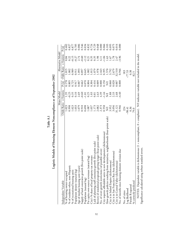| ï |
|---|
|   |
| ¢ |
|   |
|   |
|   |
|   |
|   |

Logistic Models of Housing Element Noncompliance as of September 2002 **Logistic Models of Housing Element Noncompliance as of September 2002**

|                                                                                                                              |                                   | Main Model                             |                                   |                              | Alternative Model    |                |
|------------------------------------------------------------------------------------------------------------------------------|-----------------------------------|----------------------------------------|-----------------------------------|------------------------------|----------------------|----------------|
| Independent Variable                                                                                                         | Odds Ratio z-Statistic            |                                        |                                   | P> z  Odds Ratio z-Statistic |                      | P >  z         |
| % of housing owner-occupied                                                                                                  | 1.023                             | 1.35                                   | 0.178                             | 1.015                        | 0.84                 | 0.402          |
| % of residents white, non-Hispanic                                                                                           | 0.998                             |                                        | 0.805                             | 002.                         | 0.22                 | 0.827          |
| % of recreational housing units                                                                                              | 1.023                             | $-0.25$                                | 0.725                             | <b>989</b>                   | 0.15                 | 0.877          |
| Population density (natural log)                                                                                             | 0.033                             | $0.10$<br>$2.60$<br>$-1.81$            | 0.917                             | 911                          |                      | 0.785          |
| Age of median housing unit (years)                                                                                           | 1.079                             |                                        |                                   | 1.093                        | 0.27<br>0.74<br>0.60 | 0.006          |
| Supply of land constrains growth (five-point scale)                                                                          | 0.910                             |                                        | 0.007<br>0.662                    | 1.897                        |                      | 0.546          |
| Population (natural log)                                                                                                     | 0.698                             |                                        | 0.070                             | 0.645                        | $-2.12$              | 0.034          |
| Per capita own-source revenues (natural log)                                                                                 | 1.087                             | 0.25                                   | 0.804                             | 1.082                        | 0.21                 | 0.832          |
| City's % share of local property tax revenues                                                                                | 1.037                             |                                        | 0.304<br>0.416                    | 1.013                        | 0.35                 | 0.724          |
| Lack of planning staff constrains growth (five-point scale)                                                                  | 1.173                             |                                        |                                   | 1.079                        | 0.35                 |                |
| Review of residential proposals getting longer (four-point scale)                                                            | 2.082                             | $1.03$<br>$0.81$<br>$0.33$<br>$4.39$   | 0.009                             | 1.978                        | 1.98                 | 0.729<br>0.048 |
| No. of overt growth restrictions (of possible seven)                                                                         | 2.373                             |                                        | 0.000                             | 2.443                        | 4.11                 | 0.000          |
| City requires affordable units in new developments (dichotomous)                                                             | 0.558                             | $-1.44$                                | 0.150                             | 0.395                        | $-1.84$              | 0.066          |
| Slow-growth policies resulting from initiatives, neighborhoods (four-point scale)                                            | $\overleftrightarrow{\mathsf{z}}$ | $\overline{z}$                         | $\overleftrightarrow{\mathbf{z}}$ | 1.570                        | 1.63                 | 0.103          |
| City is in Inland Empire (dichotomous)                                                                                       | 3.952                             | 1.88                                   | 0.060                             | 3.792                        | $1.67\,$             | 0.095          |
| City is in San Francisco Bay Area (dichotomous)                                                                              | 3.056<br>31.121                   | $2.\overline{33}$<br>$2.\overline{68}$ | 0.020                             | 2.679                        | 1.78                 | 0.075          |
| City is in Central Valley (dichotomous)                                                                                      |                                   |                                        | 0.007                             | 32.510                       | 2.47                 | 0.014          |
| No. of months since housing element revision due                                                                             | 0.946                             | $-4.40$                                | 0.000                             | 0.946                        | $-3.96$              | 0.000          |
| No. of cities                                                                                                                | 224                               |                                        |                                   | 183                          |                      |                |
| Log likelihood                                                                                                               | $-98.41$                          |                                        |                                   | $-77.53$                     |                      |                |
| Pseudo R-squared                                                                                                             | 0.36                              |                                        |                                   | 0.38                         |                      |                |
| % correctly predicted                                                                                                        | 79.0                              |                                        |                                   | 82.5                         |                      |                |
| NOTES: Dependent variable is dichotomous (1 = noncompliant, 0 = compliant). N/I indicates variable not included in the model |                                   |                                        |                                   |                              |                      |                |

NOTES: Dependent variable is dichotomous (1 = noncompliant, 0 = compliant). N/I indicates variable not included in the model. ļ. ļ. Significance calculated using robust standard errors. Significance calculated using robust standard errors.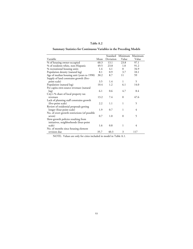### **Table A.2**

### **Summary Statistics for Continuous Variables in the Preceding Models**

|                                               |      | Standard  | Minimum  | Maximum |
|-----------------------------------------------|------|-----------|----------|---------|
| Variable                                      | Mean | Deviation | Value    | Value   |
| % of housing owner-occupied                   | 60.3 | 13.1      | 23.8     | 97.1    |
| % of residents white, non-Hispanic            | 49.5 | 23.8      | 1.0      | 91.2    |
| % recreational housing units                  | 1.4  | 4.1       | $\Omega$ | 34.9    |
| Population density (natural log)              | 8.1  | 0.9       | 3.7      | 10.1    |
| Age of median housing unit (years to 1990)    | 30.2 | 8.7       | 11       | 59      |
| Supply of land constrains growth (five-       |      |           |          |         |
| point scale)                                  | 3.5  | 1.4       | 1        | 5       |
| Population (natural log)                      | 10.4 | 1.2       | 6.1      | 14.0    |
| Per capita own-source revenues (natural       |      |           |          |         |
| log)                                          | 6.1  | 0.6       | 4.7      | 8.4     |
| City's % share of local property tax          |      |           |          |         |
| revenues                                      | 13.2 | 7.4       | $\Omega$ | 47.6    |
| Lack of planning staff constrains growth      |      |           |          |         |
| (five-point scale)                            | 2.2  | 1.1       | 1        | 5       |
| Review of residential proposals getting       |      |           |          |         |
| longer (four-point scale)                     | 1.9  | 0.7       | 1        | 4       |
| No. of overt growth restrictions (of possible |      |           |          |         |
| seven)                                        | 0.7  | 1.0       | $\Omega$ | 5       |
| Slow-growth policies resulting from           |      |           |          |         |
| initiatives, neighborhoods (four-point        |      |           |          |         |
| scale)                                        | 1.6  | 0.8       | 1        | 4       |
| No. of months since housing element           |      |           |          |         |
| revision due                                  | 35.7 | 40.3      | 3        | 117     |

NOTE: Values are only for cities included in model in Table A.1.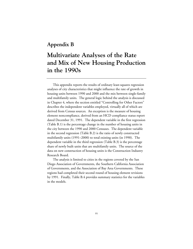### **Appendix B**

# **Multivariate Analyses of the Rate and Mix of New Housing Production in the 1990s**

This appendix reports the results of ordinary least-squares regression analyses of city characteristics that might influence the rate of growth in housing units between 1990 and 2000 and the mix between single-family and multifamily units. The general logic behind the analysis is discussed in Chapter 4, where the section entitled "Controlling for Other Factors" describes the independent variables employed, virtually all of which are derived from Census sources. An exception is the measure of housing element noncompliance, derived from an HCD compliance status report dated December 31, 1991. The dependent variable in the first regression (Table B.1) is the percentage change in the number of housing units in the city between the 1990 and 2000 Censuses. The dependent variable in the second regression (Table B.2) is the ratio of newly constructed multifamily units (1991–2000) to total existing units (in 1990). The dependent variable in the third regression (Table B.3) is the percentage share of newly built units that are multifamily units. The source of the data on new construction of housing units is the Construction Industry Research Board.

The analysis is limited to cities in the regions covered by the San Diego Association of Governments, the Southern California Association of Governments, and the Association of Bay Area Governments. These regions had completed their second round of housing element revisions by 1991. Finally, Table B.4 provides summary statistics for the variables in the models.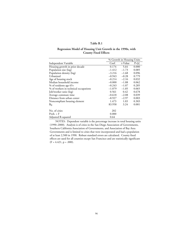#### **Regression Model of Housing Unit Growth in the 1990s, with County Fixed Effects**

|                                       |          | % Growth in Housing Units |       |  |
|---------------------------------------|----------|---------------------------|-------|--|
| Independent Variable                  | Coef.    | t-Value                   | P> t  |  |
| Housing growth in prior decade        | 0.174    | 5.64                      | 0.000 |  |
| Population size (log)                 | $-1.412$ | $-1.73$                   | 0.085 |  |
| Population density (log)              | $-3.216$ | $-1.68$                   | 0.096 |  |
| Urbanized                             | $-0.943$ | $-0.28$                   | 0.779 |  |
| Age of housing stock                  | $-0.214$ | $-2.16$                   | 0.032 |  |
| Median household income               | $-0.000$ | $-1.88$                   | 0.062 |  |
| % of residents age 65+                | $-0.243$ | $-1.07$                   | 0.285 |  |
| % of workers in technical occupations | $-1.079$ | $-1.85$                   | 0.065 |  |
| Job/worker ratio (log)                | 0.561    | 0.42                      | 0.678 |  |
| Average commute time                  | $-0.618$ | $-2.08$                   | 0.039 |  |
| Distance from urban center            | –8.927   | $-2.97$                   | 0.003 |  |
| Noncompliant housing element          | 1.473    | 1.03                      | 0.303 |  |
| $B_0$                                 | 83.958   | 3.24                      | 0.001 |  |
| No. of cities                         | 202      |                           |       |  |
| Prob. > F                             | 0.000    |                           |       |  |
| Adjusted R-squared                    | 0.64     |                           |       |  |

NOTES: Dependent variable is the percentage increase in total housing units (1990–2000). Analysis is of cities in the San Diego Association of Governments, Southern California Association of Governments, and Association of Bay Area Governments and is limited to cities that were incorporated and had a population of at least 2,500 in 1990. Robust standard errors are calculated. County fixed effects are used for all counties except San Francisco and are statistically significant  $(F = 4.421, p = .000).$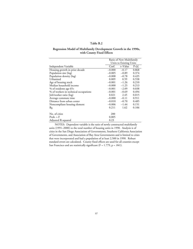#### **Regression Model of Multifamily Development Growth in the 1990s, with County Fixed Effects**

|                                       |          | Ratio of New Multifamily |       |  |
|---------------------------------------|----------|--------------------------|-------|--|
|                                       |          | Units to Existing Units  |       |  |
| Independent Variable                  | Coef.    | t–Value                  | P> t  |  |
| Housing growth in prior decade        | $-0.000$ | $-0.17$                  | 0.868 |  |
| Population size (log)                 | $-0.005$ | $-0.89$                  | 0.374 |  |
| Population density (log)              | $-0.008$ | $-0.78$                  | 0.435 |  |
| Urbanized                             | 0.009    | 0.59                     | 0.558 |  |
| Age of housing stock                  | $-0.001$ | $-1.26$                  | 0.210 |  |
| Median household income               | $-0.000$ | $-1.25$                  | 0.213 |  |
| % of residents age 65+                | $-0.001$ | $-2.09$                  | 0.038 |  |
| % of workers in technical occupations | $-0.001$ | $-0.69$                  | 0.494 |  |
| Job/worker ratio (log)                | 0.021    | 2.45                     | 0.015 |  |
| Average commute time                  | $-0.000$ | $-0.11$                  | 0.911 |  |
| Distance from urban center            | $-0.010$ | $-0.70$                  | 0.485 |  |
| Noncompliant housing element          | $-0.006$ | $-1.44$                  | 0.151 |  |
| $B_0$                                 | 0.211    | 1.62                     | 0.106 |  |
| No. of cities                         | 200      |                          |       |  |
| Prob. > F                             | 0.005    |                          |       |  |
| Adjusted R-squared                    | 0.23     |                          |       |  |

NOTES: Dependent variable is the ratio of newly constructed multifamily units (1991–2000) to the total number of housing units in 1990. Analysis is of cities in the San Diego Association of Governments, Southern California Association of Governments, and Association of Bay Area Governments and is limited to cities that were incorporated and had a population of at least 2,500 in 1990. Robust standard errors are calculated. County fixed effects are used for all counties except San Francisco and are statistically significant (F = 1.779, p = .041).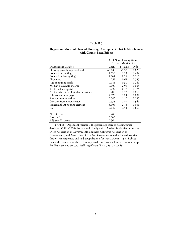#### **Regression Model of Share of Housing Development That Is Multifamily, with County Fixed Effects**

|                                       |          | % of New Housing Units |       |  |
|---------------------------------------|----------|------------------------|-------|--|
|                                       |          | That Are Multifamily   |       |  |
| Independent Variable                  | Coef.    | t-Value                | P> t  |  |
| Housing growth in prior decade        | $-0.083$ | $-2.30$                | 0.023 |  |
| Population size (log)                 | 1.650    | 0.70                   | 0.484 |  |
| Population density (log)              | 4.804    | 1.26                   | 0.210 |  |
| Urbanized                             | $-4.259$ | $-0.62$                | 0.535 |  |
| Age of housing stock                  | $-0.085$ | $-0.30$                | 0.766 |  |
| Median household income               | $-0.000$ | $-2.96$                | 0.004 |  |
| % of residents age 65+                | $-0.229$ | $-0.72$                | 0.474 |  |
| % of workers in technical occupations | 0.288    | 0.17                   | 0.868 |  |
| Job/worker ratio (log)                | 12.379   | 3.09                   | 0.002 |  |
| Average commute time                  | $-0.545$ | $-1.19$                | 0.235 |  |
| Distance from urban center            | 0.658    | 0.07                   | 0.946 |  |
| Noncompliant housing element          | $-8.106$ | $-2.18$                | 0.031 |  |
| $B_0$                                 | 19.049   | 0.44                   | 0.660 |  |
| No. of cities                         | 200      |                        |       |  |
| Prob. > F                             | 0.000    |                        |       |  |
| Adjusted R-squared                    | 0.36     |                        |       |  |

NOTES: Dependent variable is the percentage share of housing units developed (1991–2000) that are multifamily units. Analysis is of cities in the San Diego Association of Governments, Southern California Association of Governments, and Association of Bay Area Governments and is limited to cities that were incorporated and had a population of at least 2,500 in 1990. Robust standard errors are calculated. County fixed effects are used for all counties except San Francisco and are statistically significant (F = 1.759, p = .044).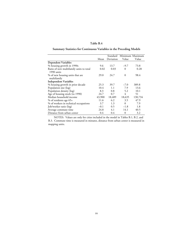### **Summary Statistics for Continuous Variables in the Preceding Models**

|                                                       |        | Standard  |          | Minimum Maximum |
|-------------------------------------------------------|--------|-----------|----------|-----------------|
|                                                       | Mean   | Deviation | Value    | Value           |
| <b>Dependent Variables</b>                            |        |           |          |                 |
| % housing growth in 1990s                             | 9.6    | 13.7      | $-9.7$   | 73.8            |
| Ratio of new multifamily units to total<br>1990 units | 0.02   | 0.03      | $\Omega$ | 0.28            |
| % of new housing units that are<br>multifamily        | 29.0   | 24.7      | $\Omega$ | 98.4            |
| <b>Independent Variables</b>                          |        |           |          |                 |
| % housing growth in prior decade                      | 25.3   | 39.7      | $-7.0$   | 389.8           |
| Population size (log)                                 | 10.4   | 1.1       | 7.9      | 13.6            |
| Population density (log)                              | 8.3    | 0.8       | 5.2      | 10.1            |
| Age of housing stock (to 1990)                        | 24.7   | 0.7       | 4        | 51              |
| Median household income                               | 43,900 | 18,489    | 18,635   | 130,734         |
| % of residents age 65+                                | 11.6   | 6.2       | 3.5      | 47.9            |
| % of workers in technical occupations                 | 3.7    | 1.3       | $\theta$ | 7.9             |
| Job/worker ratio (log)                                | $-0.1$ | 0.5       | $-1.8$   | 1.8             |
| Average commute time                                  | 24.8   | 4.1       | 14.1     | 40.5            |
| Distance from urban center                            | 0.4    | 0.4       | $\Omega$ | 3.2             |

NOTES: Values are only for cities included in the model in Tables B.1, B.2, and B.3. Commute time is measured in minutes, distance from urban center is measured in mapping units.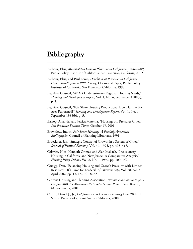# **Bibliography**

- Barbour, Elisa, *Metropolitan Growth Planning in California, 1900–2000*, Public Policy Institute of California, San Francisco, California, 2002.
- Barbour, Elisa, and Paul Lewis, *Development Priorities in California Cities: Results from a PPIC Survey,* Occasional Paper, Public Policy Institute of California, San Francisco, California, 1998.
- Bay Area Council, "ABAG Underestimates Regional Housing Needs," *Housing and Development Report*, Vol. 1, No. 4, September 1988(a), p. 1.
- Bay Area Council, "Fair Share Housing Production: How Has the Bay Area Performed?" *Housing and Development Report*, Vol. 1, No. 4, September 1988(b), p. 3.
- Bishop, Amanda, and Jessica Materna, "Housing Bill Pressures Cities," *San Francisco Business Times*, October 15, 2001.
- Brownlow, Judith, *Fair Share Housing: A Partially Annotated Bibliography*, Council of Planning Librarians, 1991.
- Brueckner, Jan, "Strategic Control of Growth in a System of Cities," *Journal of Political Economy*, Vol. 57, 1995, pp. 393–416.
- Calavita, Nico, Kenneth Grimes, and Alan Mallach, "Inclusionary Housing in California and New Jersey: A Comparative Analysis," *Housing Policy Debate*, Vol. 8, No. 1, 1997, pp. 109–142.
- Carrigg, Dan, "Balancing Housing and Growth Pressures with Limited Resources: It's Time for Leadership," *Western City*, Vol. 78, No. 4, April 2002, pp. 13, 15–16, 18–22.
- Citizens Housing and Planning Association, *Recommendations to Improve Chapter 40B, the Massachusetts Comprehensive Permit Law,* Boston, Massachusetts, 2001.
- Curtin, Daniel J., Jr., *California Land Use and Planning Law*, 20th ed., Solano Press Books, Point Arena, California, 2000.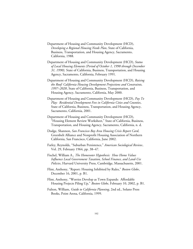- Department of Housing and Community Development (HCD), *Developing a Regional Housing Needs Plan*, State of California, Business, Transportation, and Housing Agency, Sacramento, California, 1988.
- Department of Housing and Community Development (HCD), *Status of Local Housing Elements (Period of October 1, 1990 through December 31, 1990),* State of California, Business, Transportation, and Housing Agency, Sacramento, California, February 1991.
- Department of Housing and Community Development (HCD), *Raising the Roof: California Housing Development Projections and Constraints, 1997–2020*, State of California, Business, Transportation, and Housing Agency, Sacramento, California, May 2000.
- Department of Housing and Community Development (HCD), *Pay To Play: Residential Development Fees in California Cities and Counties*, State of California, Business, Transportation, and Housing Agency, Sacramento, California, 2001.
- Department of Housing and Community Development (HCD), "Housing Element Review Worksheet," State of California, Business, Transportation, and Housing Agency, Sacramento, California, n. d.
- Dodge, Shannon, *San Francisco Bay Area Housing Crisis Report Card*, Greenbelt Alliance and Nonprofit Housing Association of Northern California, San Francisco, California, June 2002.
- Farley, Reynolds, "Suburban Persistence," *American Sociological Review*, Vol. 29, February 1964, pp. 38–47.
- Fischel, William A., *The Homevoter Hypothesis: How Home Values Influence Local Government Taxation, School Finance, and Land-Use Policies*, Harvard University Press, Cambridge, Massachusetts, 2001.
- Flint, Anthony, "Report: Housing Inhibited by Rules," *Boston Globe*, December 16, 2001, p. B1.
- Flint, Anthony, "Worries Develop as Town Expands: Affordable Housing Projects Piling Up," *Boston Globe*, February 10, 2002, p. B1.
- Fulton, William, *Guide to California Planning*, 2nd ed., Solano Press Books, Point Arena, California, 1999.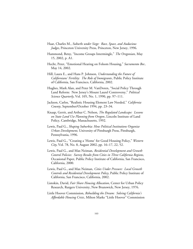- Haar, Charles M., *Suburbs under Siege: Race, Space, and Audacious Judges*, Princeton University Press, Princeton, New Jersey, 1996.
- Hammond, Betsy, "Income Groups Intermingle," *The Oregonian*, May 15, 2002, p. A1.
- Hecht, Peter, "Emotional Hearing on Folsom Housing," *Sacramento Bee*, May 14, 2002.
- Hill, Laura E., and Hans P. Johnson, *Understanding the Future of Californians' Fertility: The Role of Immigrants*, Public Policy Institute of California, San Francisco, California, 2002.
- Hughes, Mark Alan, and Peter M. VanDoren, "Social Policy Through Land Reform: New Jersey's Mount Laurel Controversy," *Political Science Quarterly*, Vol. 105, No. 1, 1990, pp. 97–111.
- Jackson, Carlos, "Realistic Housing Element Law Needed," *California County*, September/October 1994, pp. 23–34.
- Knaap, Gerrit, and Arthur C. Nelson, *The Regulated Landscape: Lessons on State Land Use Planning from Oregon*, Lincoln Institute of Land Policy, Cambridge, Massachusetts, 1992.
- Lewis, Paul G., *Shaping Suburbia: How Political Institutions Organize Urban Development*, University of Pittsburgh Press, Pittsburgh, Pennsylvania, 1996.
- Lewis, Paul G., "Creating a 'Home' for Good Housing Policy," *Western City*, Vol. 78, No. 8, August 2002, pp. 16–17, 22, 52.
- Lewis, Paul G., and Max Neiman, *Residential Development and Growth Control Policies: Survey Results from Cities in Three California Regions,* Occasional Paper, Public Policy Institute of California, San Francisco, California, 2000.
- Lewis, Paul G., and Max Neiman, *Cities Under Pressure: Local Growth Controls and Residential Development Policy*, Public Policy Institute of California, San Francisco, California, 2002.
- Listokin, David, *Fair Share Housing Allocation*, Center for Urban Policy Research, Rutgers University, New Brunswick, New Jersey, 1976.
- Little Hoover Commission, *Rebuilding the Dream: Solving California's Affordable Housing Crisis*, Milton Marks "Little Hoover" Commission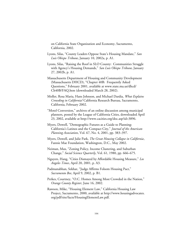on California State Organization and Economy, Sacramento, California, 2002.

- Lyons, Silas, "County Leaders Oppose State's Housing Mandate," *San Luis Obispo Tribune*, January 10, 2002a, p. A1.
- Lyons, Silas, "Raising the Roof in SLO County: Communities Struggle with Agency's Housing Demands," *San Luis Obispo Tribune*, January 27, 2002b, p. A1.
- Massachusetts Department of Housing and Community Development (Massachusetts DHCD), "Chapter 40B: Frequently Asked Questions," February 2001, available at www.state.ma.us/dhcd/ Ch40B/FAQ.htm (downloaded March 28, 2002).
- Moller, Rosa Maria, Hans Johnson, and Michael Dardia, *What Explains Crowding in California?* California Research Bureau, Sacramento, California, February 2002.
- "Motel Conversion," archives of an online discussion among municipal planners, posted by the League of California Cities, downloaded April 23, 2002, available at http://www.cacities.org/doc.asp?id=3896.
- Myers, Dowell, "Demographic Futures as a Guide to Planning: California's Latinos and the Compact City," *Journal of the American Planning Association*, Vol. 67, No. 4, 2001, pp. 383–397.
- Myers, Dowell, and Julie Park, *The Great Housing Collapse in California*, Fannie Mae Foundation, Washington, D.C., May 2002.
- Neiman, Max, "Zoning Policy, Income Clustering, and Suburban Change," *Social Science Quarterly*, Vol. 61, 1980, pp. 666–675.
- Nguyen, Hang, "Cities Dismayed by Affordable Housing Measure," *Los Angeles Times*, April 20, 2001, p. A3.
- Padmanabhan, Sekhar, "Judge Affirms Folsom Housing Pact," *Sacramento Bee*, April 9, 2002, p. B1.
- Perkes, Courtney, "O.C. Homes Among Most Crowded in the Nation," *Orange County Register*, June 16, 2002.
- Rawson, Mike, "Housing Element Law," California Housing Law Project, Sacramento, 2000, available at http://www.housingadvocates. org/pdf/site/facts/HousingElementLaw.pdf.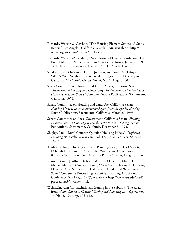- Richards, Watson & Gershon, "The Housing Element Statute: A Status Report," Los Angeles, California, March 1998, available at http:// www.rwglaw.com/Articles/Articles312.
- Richards, Watson & Gershon, "New Housing Element Legislation: The End of Mandate Suspension," Los Angeles, California, January 1999, available at http://www.rwglaw.com/Articles/Articles414.
- Sandoval, Juan Onésimo, Hans P. Johnson, and Sonya M. Tafoya, "Who's Your Neighbor? Residential Segregation and Diversity in California," *California Counts*, Vol. 4, No. 1, August 2002.
- Select Committee on Housing and Urban Affairs, California Senate, *Department of Housing and Community Development v. Housing Needs of the People of the State of California*, Senate Publications, Sacramento, California, 1974.
- Senate Committee on Housing and Land Use, California Senate, *Housing Element Law: A Summary Report from the Special Hearing*, Senate Publications, Sacramento, California, March 27, 1995.
- Senate Committee on Local Government, California Senate, *Housing Element Law: A Summary Report from the Interim Hearing*, Senate Publications, Sacramento, California, December 8, 1993.
- Shigley, Paul, "Rural Counties Question Housing Policy," *California Planning & Development Report*, Vol. 17, No. 2, February 2002, pp. 1, 14–15.
- Toulan, Nohad, "Housing as a State Planning Goal," in Carl Abbott, Deborah Howe, and Sy Adler, eds., *Planning the Oregon Way* (Chapter 5), Oregon State University Press, Corvallis, Oregon, 1994.
- Warner, Karen, J. Alfred Dichoso, Maureen Markham, Michael McLaughlin, and Candace Stowell, "New Approaches to the Housing Element: Case Studies from California, Nevada, and Washington State," Conference Proceedings, American Planning Association Conference, San Diego, 1997, available at http://www.asu.edu/caed/ proceedings97/warner.html.
- Weinstein, Alan C., "Exclusionary Zoning in the Suburbs: The Road from *Mount Laurel* to *Chester*," *Zoning and Planning Law Report*, Vol. 16, No. 3, 1993, pp. 105–112.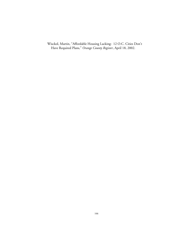Wisckol, Martin, "Affordable Housing Lacking: 12 O.C. Cities Don't Have Required Plans," *Orange County Register*, April 18, 2002.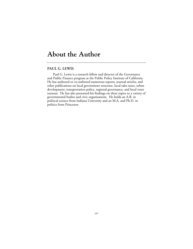# **About the Author**

#### **PAUL G. LEWIS**

Paul G. Lewis is a research fellow and director of the Governance and Public Finance program at the Public Policy Institute of California. He has authored or co-authored numerous reports, journal articles, and other publications on local government structure, local sales taxes, urban development, transportation policy, regional governance, and local voter turnout. He has also presented his findings on these topics to a variety of governmental bodies and civic organizations. He holds an A.B. in political science from Indiana University and an M.A. and Ph.D. in politics from Princeton